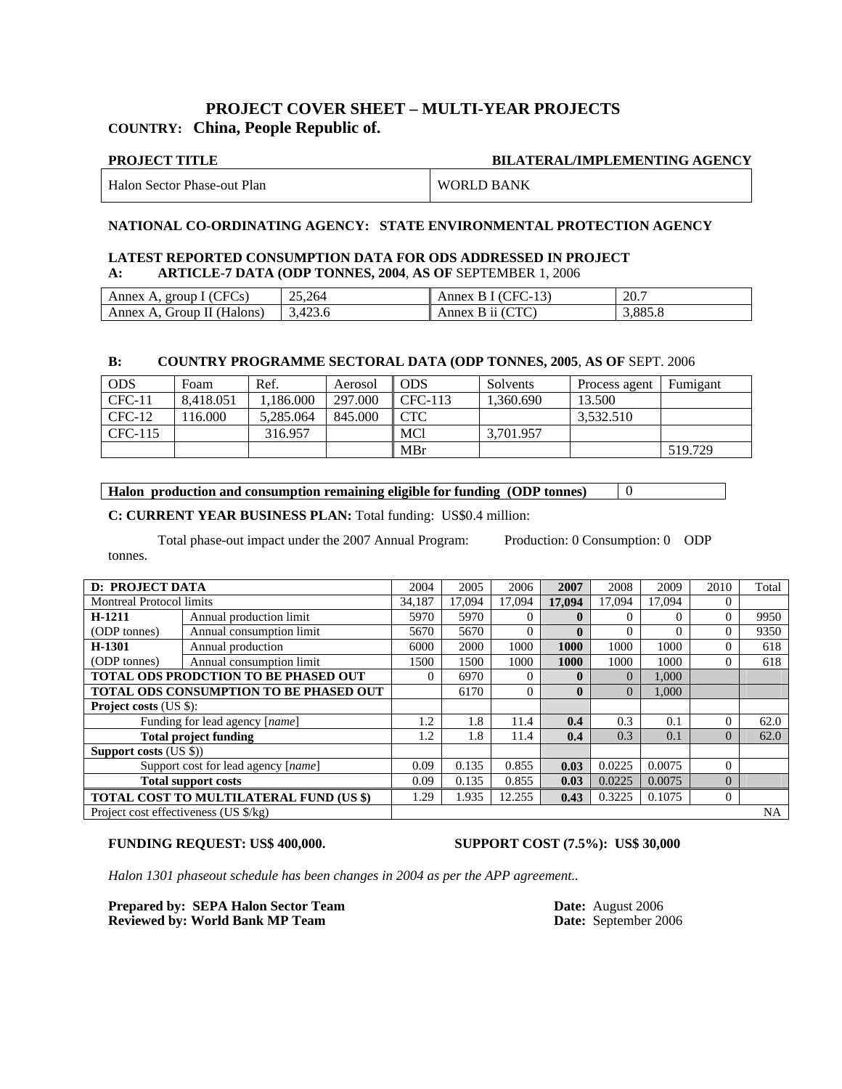#### **PROJECT COVER SHEET – MULTI-YEAR PROJECTS COUNTRY: China, People Republic of.**

## **PROJECT TITLE BILATERAL/IMPLEMENTING AGENCY**

| Halon Sector Phase-out Plan | <b>WORLD BANK</b> |
|-----------------------------|-------------------|
|                             |                   |

#### **NATIONAL CO-ORDINATING AGENCY: STATE ENVIRONMENTAL PROTECTION AGENCY**

#### **LATEST REPORTED CONSUMPTION DATA FOR ODS ADDRESSED IN PROJECT A: ARTICLE-7 DATA (ODP TONNES, 2004**, **AS OF** SEPTEMBER 1, 2006

| Annex A, group I (CFCs)    | 25.264  | Annex B I (CFC-13) | 20.7    |
|----------------------------|---------|--------------------|---------|
| Annex A, Group II (Halons) | 3.423.6 | Annex B ii (CTC)   | 3,885.8 |

#### **B: COUNTRY PROGRAMME SECTORAL DATA (ODP TONNES, 2005**, **AS OF** SEPT. 2006

| <b>ODS</b> | Foam      | Ref.      | Aerosol | ODS                  | Solvents  | Process agent | Fumigant |
|------------|-----------|-----------|---------|----------------------|-----------|---------------|----------|
| $CFC-11$   | 8.418.051 | .186.000  | 297.000 | CFC-113              | 1.360.690 | 13.500        |          |
| $CFC-12$   | !16.000   | 5.285.064 | 845.000 | $\operatorname{CTC}$ |           | 3.532.510     |          |
| CFC-115    |           | 316.957   |         | <b>MCl</b>           | 3.701.957 |               |          |
|            |           |           |         | MBr                  |           |               | 519.729  |

**Halon production and consumption remaining eligible for funding (ODP tonnes)**  $\boxed{0}$ 

**C: CURRENT YEAR BUSINESS PLAN:** Total funding: US\$0.4 million:

Total phase-out impact under the 2007 Annual Program: Production: 0 Consumption: 0 ODP tonnes.

|                                         | <b>D: PROJECT DATA</b><br>2005<br>2006<br>2004 |        |        |          | 2007         | 2008     | 2009   | 2010           | Total     |
|-----------------------------------------|------------------------------------------------|--------|--------|----------|--------------|----------|--------|----------------|-----------|
| <b>Montreal Protocol limits</b>         |                                                | 34,187 | 17.094 | 17.094   | 17.094       | 17.094   | 17.094 | $\Omega$       |           |
| H-1211                                  | Annual production limit                        | 5970   | 5970   | $\Omega$ | $\mathbf{0}$ | $\Omega$ |        | $\Omega$       | 9950      |
| (ODP tonnes)                            | Annual consumption limit                       | 5670   | 5670   | $\Omega$ | $\mathbf{0}$ |          |        | $\Omega$       | 9350      |
| H-1301                                  | Annual production                              | 6000   | 2000   | 1000     | 1000         | 1000     | 1000   | $\Omega$       | 618       |
| (ODP tonnes)                            | Annual consumption limit                       | 1500   | 1500   | 1000     | 1000         | 1000     | 1000   | $\Omega$       | 618       |
|                                         | TOTAL ODS PRODCTION TO BE PHASED OUT           |        |        | $\Omega$ | $\mathbf{0}$ | $\Omega$ | 1,000  |                |           |
|                                         | TOTAL ODS CONSUMPTION TO BE PHASED OUT         |        |        | $\Omega$ | $\mathbf{0}$ | $\Omega$ | 1,000  |                |           |
| <b>Project costs (US \$):</b>           |                                                |        |        |          |              |          |        |                |           |
|                                         | Funding for lead agency [name]                 | 1.2    | 1.8    | 11.4     | 0.4          | 0.3      | 0.1    | $\Omega$       | 62.0      |
|                                         | <b>Total project funding</b>                   | 1.2    | 1.8    | 11.4     | 0.4          | 0.3      | 0.1    | $\overline{0}$ | 62.0      |
| Support costs $(US \$ )                 |                                                |        |        |          |              |          |        |                |           |
|                                         | Support cost for lead agency [name]            | 0.09   | 0.135  | 0.855    | 0.03         | 0.0225   | 0.0075 | $\Omega$       |           |
| <b>Total support costs</b>              |                                                |        | 0.135  | 0.855    | 0.03         | 0.0225   | 0.0075 | $\Omega$       |           |
| TOTAL COST TO MULTILATERAL FUND (US \$) |                                                |        | 1.935  | 12.255   | 0.43         | 0.3225   | 0.1075 | $\Omega$       |           |
| Project cost effectiveness (US \$/kg)   |                                                |        |        |          |              |          |        |                | <b>NA</b> |

#### **FUNDING REQUEST: US\$ 400,000. SUPPORT COST (7.5%): US\$ 30,000**

*Halon 1301 phaseout schedule has been changes in 2004 as per the APP agreement..* 

**Prepared by: SEPA Halon Sector Team Date:** Date: August 2006<br> **Reviewed by: World Bank MP Team Date:** September 2006 **Reviewed by: World Bank MP Team**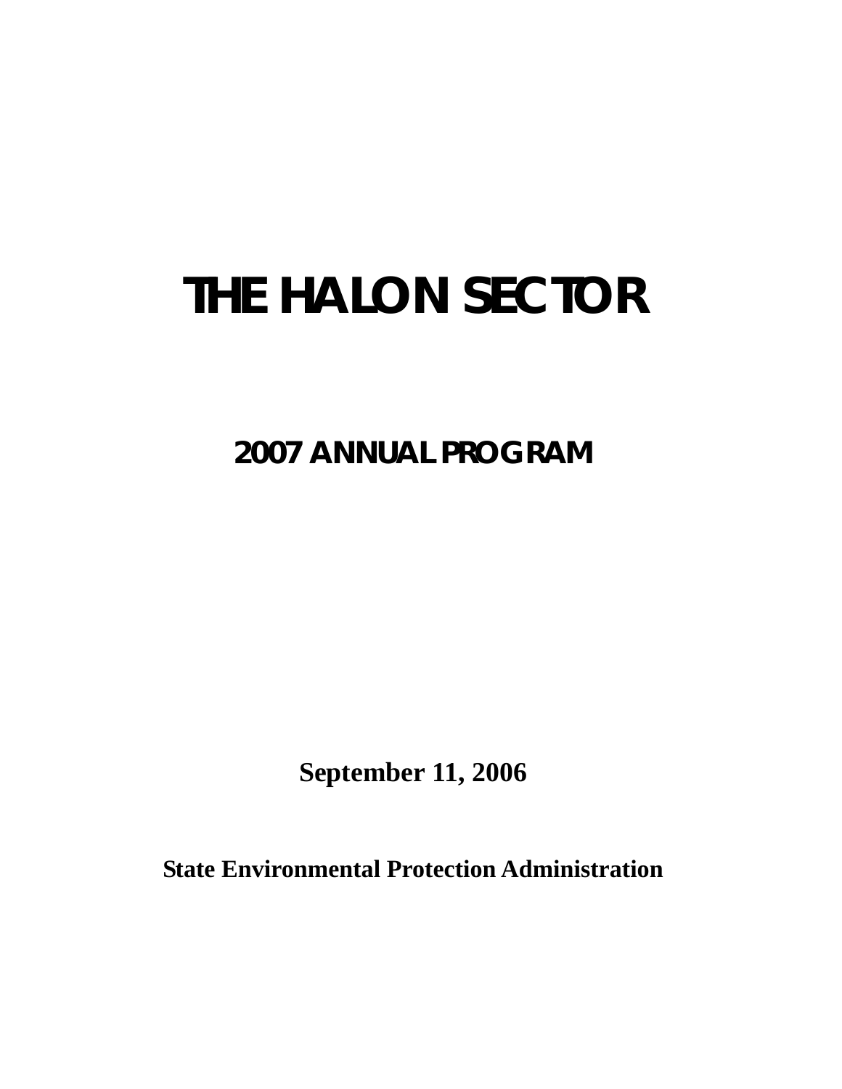# **THE HALON SECTOR**

**2007 ANNUAL PROGRAM** 

**September 11, 2006** 

**State Environmental Protection Administration**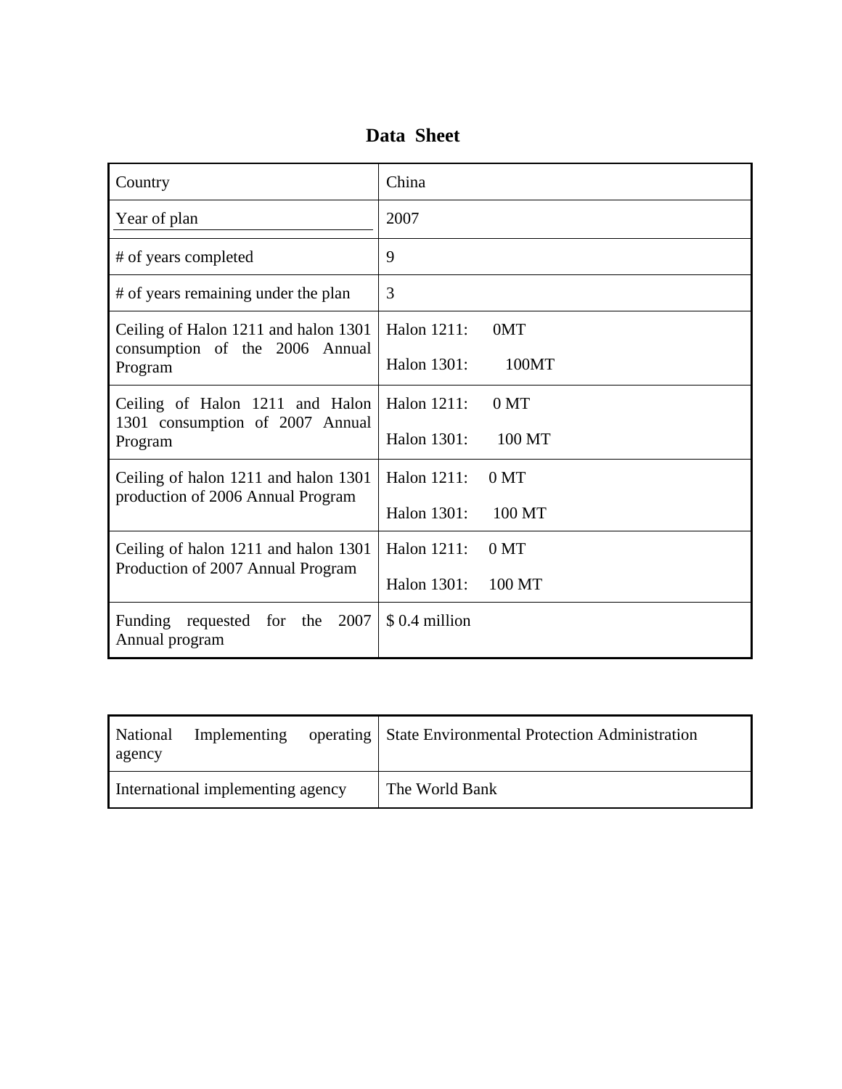## **Data Sheet**

| Country                                                                   | China                          |
|---------------------------------------------------------------------------|--------------------------------|
| Year of plan                                                              | 2007                           |
| # of years completed                                                      | 9                              |
| # of years remaining under the plan                                       | 3                              |
| Ceiling of Halon 1211 and halon 1301<br>consumption of the 2006 Annual    | Halon 1211:<br>0MT             |
| Program                                                                   | Halon 1301:<br>100MT           |
| Ceiling of Halon 1211 and Halon                                           | Halon 1211:<br>0 <sub>MT</sub> |
| 1301 consumption of 2007 Annual<br>Program                                | Halon 1301:<br>100 MT          |
| Ceiling of halon 1211 and halon 1301                                      | Halon 1211:<br>0 <sub>MT</sub> |
| production of 2006 Annual Program                                         | Halon 1301:<br>100 MT          |
| Ceiling of halon 1211 and halon 1301<br>Production of 2007 Annual Program | Halon 1211:<br>0 <sub>MT</sub> |
|                                                                           | Halon 1301:<br>100 MT          |
| Funding requested for<br>2007<br>the<br>Annual program                    | \$0.4 million                  |

| National<br>agency                | Implementing |  | operating   State Environmental Protection Administration |
|-----------------------------------|--------------|--|-----------------------------------------------------------|
| International implementing agency |              |  | The World Bank                                            |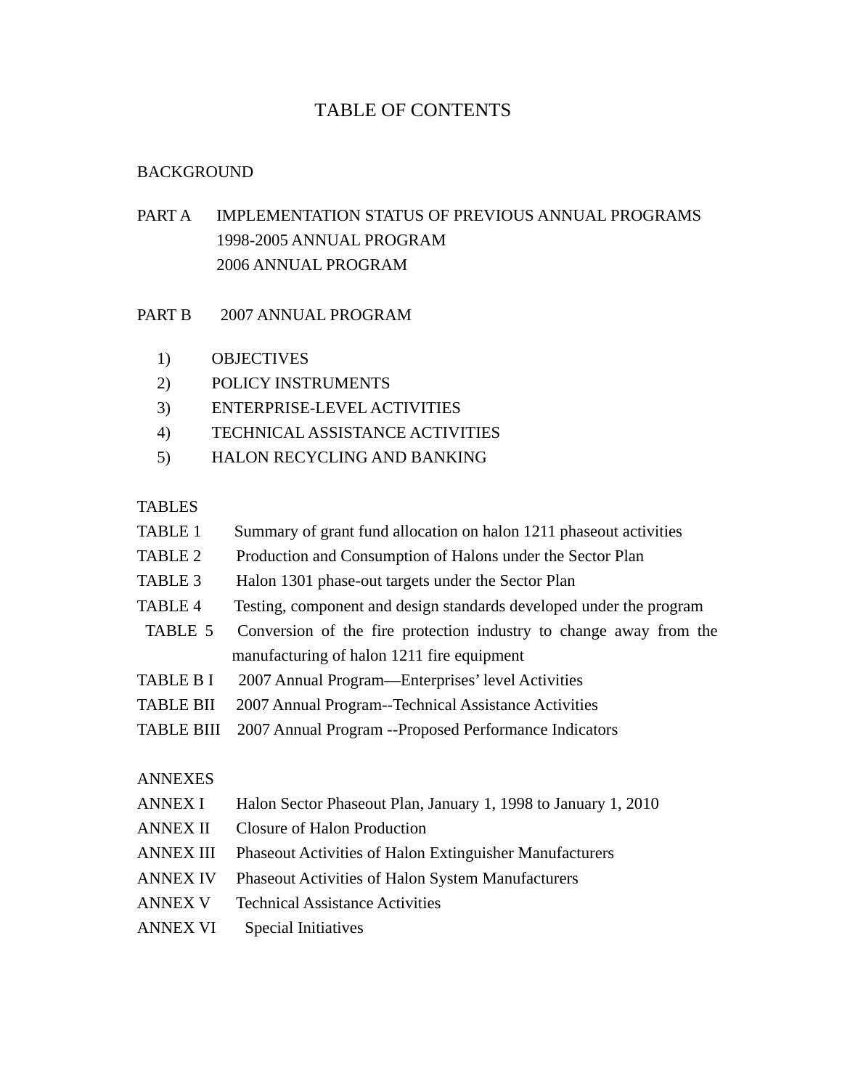## TABLE OF CONTENTS

#### BACKGROUND

- PART A IMPLEMENTATION STATUS OF PREVIOUS ANNUAL PROGRAMS 1998-2005 ANNUAL PROGRAM 2006 ANNUAL PROGRAM
- PART B 2007 ANNUAL PROGRAM
	- 1) OBJECTIVES
	- 2) POLICY INSTRUMENTS
	- 3) ENTERPRISE-LEVEL ACTIVITIES
	- 4) TECHNICAL ASSISTANCE ACTIVITIES
	- 5) HALON RECYCLING AND BANKING

#### TABLES

- TABLE 1 Summary of grant fund allocation on halon 1211 phaseout activities
- TABLE 2 Production and Consumption of Halons under the Sector Plan
- TABLE 3 Halon 1301 phase-out targets under the Sector Plan
- TABLE 4 Testing, component and design standards developed under the program
- TABLE 5 Conversion of the fire protection industry to change away from the manufacturing of halon 1211 fire equipment
- TABLE B I 2007 Annual Program—Enterprises' level Activities
- TABLE BII 2007 Annual Program--Technical Assistance Activities
- TABLE BIII 2007 Annual Program --Proposed Performance Indicators

#### ANNEXES

- ANNEX I Halon Sector Phaseout Plan, January 1, 1998 to January 1, 2010
- ANNEX II Closure of Halon Production
- ANNEX III Phaseout Activities of Halon Extinguisher Manufacturers
- ANNEX IV Phaseout Activities of Halon System Manufacturers
- ANNEX V Technical Assistance Activities
- ANNEX VI Special Initiatives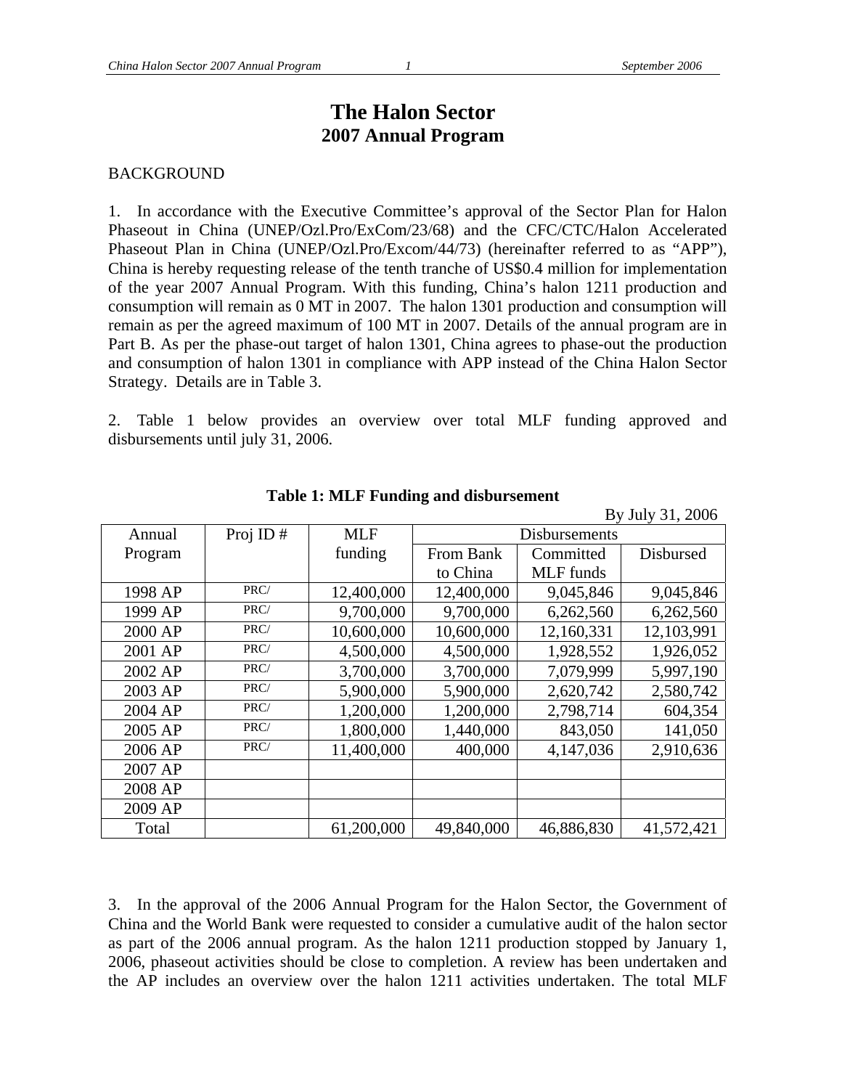By July 31, 2006

## **The Halon Sector 2007 Annual Program**

#### BACKGROUND

1. In accordance with the Executive Committee's approval of the Sector Plan for Halon Phaseout in China (UNEP/Ozl.Pro/ExCom/23/68) and the CFC/CTC/Halon Accelerated Phaseout Plan in China (UNEP/Ozl.Pro/Excom/44/73) (hereinafter referred to as "APP"), China is hereby requesting release of the tenth tranche of US\$0.4 million for implementation of the year 2007 Annual Program. With this funding, China's halon 1211 production and consumption will remain as 0 MT in 2007. The halon 1301 production and consumption will remain as per the agreed maximum of 100 MT in 2007. Details of the annual program are in Part B. As per the phase-out target of halon 1301, China agrees to phase-out the production and consumption of halon 1301 in compliance with APP instead of the China Halon Sector Strategy. Details are in Table 3.

2. Table 1 below provides an overview over total MLF funding approved and disbursements until july 31, 2006.

|         |          |            |                      |                  | $D_y$ July $J_1$ , $2000$ |  |  |  |
|---------|----------|------------|----------------------|------------------|---------------------------|--|--|--|
| Annual  | Proj ID# | <b>MLF</b> | <b>Disbursements</b> |                  |                           |  |  |  |
| Program |          | funding    | From Bank            | Committed        | Disbursed                 |  |  |  |
|         |          |            | to China             | <b>MLF</b> funds |                           |  |  |  |
| 1998 AP | PRC/     | 12,400,000 | 12,400,000           | 9,045,846        | 9,045,846                 |  |  |  |
| 1999 AP | PRC/     | 9,700,000  | 9,700,000            | 6,262,560        | 6,262,560                 |  |  |  |
| 2000 AP | PRC/     | 10,600,000 | 10,600,000           | 12,160,331       | 12,103,991                |  |  |  |
| 2001 AP | PRC/     | 4,500,000  | 4,500,000            | 1,928,552        | 1,926,052                 |  |  |  |
| 2002 AP | PRC/     | 3,700,000  | 3,700,000            | 7,079,999        | 5,997,190                 |  |  |  |
| 2003 AP | PRC/     | 5,900,000  | 5,900,000            | 2,620,742        | 2,580,742                 |  |  |  |
| 2004 AP | PRC/     | 1,200,000  | 1,200,000            | 2,798,714        | 604,354                   |  |  |  |
| 2005 AP | PRC/     | 1,800,000  | 1,440,000            | 843,050          | 141,050                   |  |  |  |
| 2006 AP | PRC/     | 11,400,000 | 400,000              | 4,147,036        | 2,910,636                 |  |  |  |
| 2007 AP |          |            |                      |                  |                           |  |  |  |
| 2008 AP |          |            |                      |                  |                           |  |  |  |
| 2009 AP |          |            |                      |                  |                           |  |  |  |
| Total   |          | 61,200,000 | 49,840,000           | 46,886,830       | 41,572,421                |  |  |  |

**Table 1: MLF Funding and disbursement** 

3. In the approval of the 2006 Annual Program for the Halon Sector, the Government of China and the World Bank were requested to consider a cumulative audit of the halon sector as part of the 2006 annual program. As the halon 1211 production stopped by January 1, 2006, phaseout activities should be close to completion. A review has been undertaken and the AP includes an overview over the halon 1211 activities undertaken. The total MLF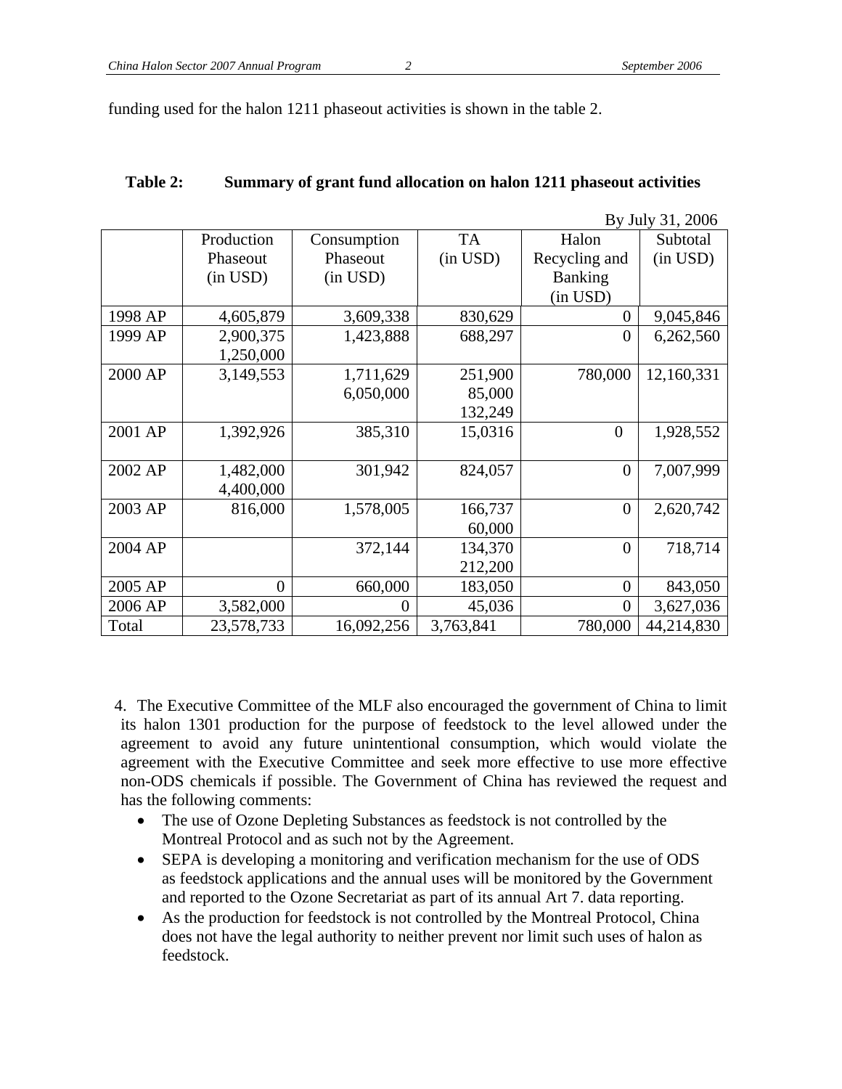funding used for the halon 1211 phaseout activities is shown in the table 2.

| Table 2: | Summary of grant fund allocation on halon 1211 phase out activities |
|----------|---------------------------------------------------------------------|
|----------|---------------------------------------------------------------------|

|         |                |               |           |                | By July 31, 2006 |
|---------|----------------|---------------|-----------|----------------|------------------|
|         | Production     | Consumption   | <b>TA</b> | Halon          | Subtotal         |
|         | Phaseout       | Phaseout      | (in USD)  | Recycling and  | (in USD)         |
|         | (in USD)       | $(in$ USD $)$ |           | <b>Banking</b> |                  |
|         |                |               |           | (in USD)       |                  |
| 1998 AP | 4,605,879      | 3,609,338     | 830,629   | $\overline{0}$ | 9,045,846        |
| 1999 AP | 2,900,375      | 1,423,888     | 688,297   | 0              | 6,262,560        |
|         | 1,250,000      |               |           |                |                  |
| 2000 AP | 3,149,553      | 1,711,629     | 251,900   | 780,000        | 12,160,331       |
|         |                | 6,050,000     | 85,000    |                |                  |
|         |                |               | 132,249   |                |                  |
| 2001 AP | 1,392,926      | 385,310       | 15,0316   | $\overline{0}$ | 1,928,552        |
|         |                |               |           |                |                  |
| 2002 AP | 1,482,000      | 301,942       | 824,057   | $\overline{0}$ | 7,007,999        |
|         | 4,400,000      |               |           |                |                  |
| 2003 AP | 816,000        | 1,578,005     | 166,737   | $\overline{0}$ | 2,620,742        |
|         |                |               | 60,000    |                |                  |
| 2004 AP |                | 372,144       | 134,370   | $\theta$       | 718,714          |
|         |                |               | 212,200   |                |                  |
| 2005 AP | $\overline{0}$ | 660,000       | 183,050   | $\overline{0}$ | 843,050          |
| 2006 AP | 3,582,000      | $\theta$      | 45,036    | $\theta$       | 3,627,036        |
| Total   | 23,578,733     | 16,092,256    | 3,763,841 | 780,000        | 44,214,830       |

4. The Executive Committee of the MLF also encouraged the government of China to limit its halon 1301 production for the purpose of feedstock to the level allowed under the agreement to avoid any future unintentional consumption, which would violate the agreement with the Executive Committee and seek more effective to use more effective non-ODS chemicals if possible. The Government of China has reviewed the request and has the following comments:

- The use of Ozone Depleting Substances as feedstock is not controlled by the Montreal Protocol and as such not by the Agreement.
- SEPA is developing a monitoring and verification mechanism for the use of ODS as feedstock applications and the annual uses will be monitored by the Government and reported to the Ozone Secretariat as part of its annual Art 7. data reporting.
- As the production for feedstock is not controlled by the Montreal Protocol, China does not have the legal authority to neither prevent nor limit such uses of halon as feedstock.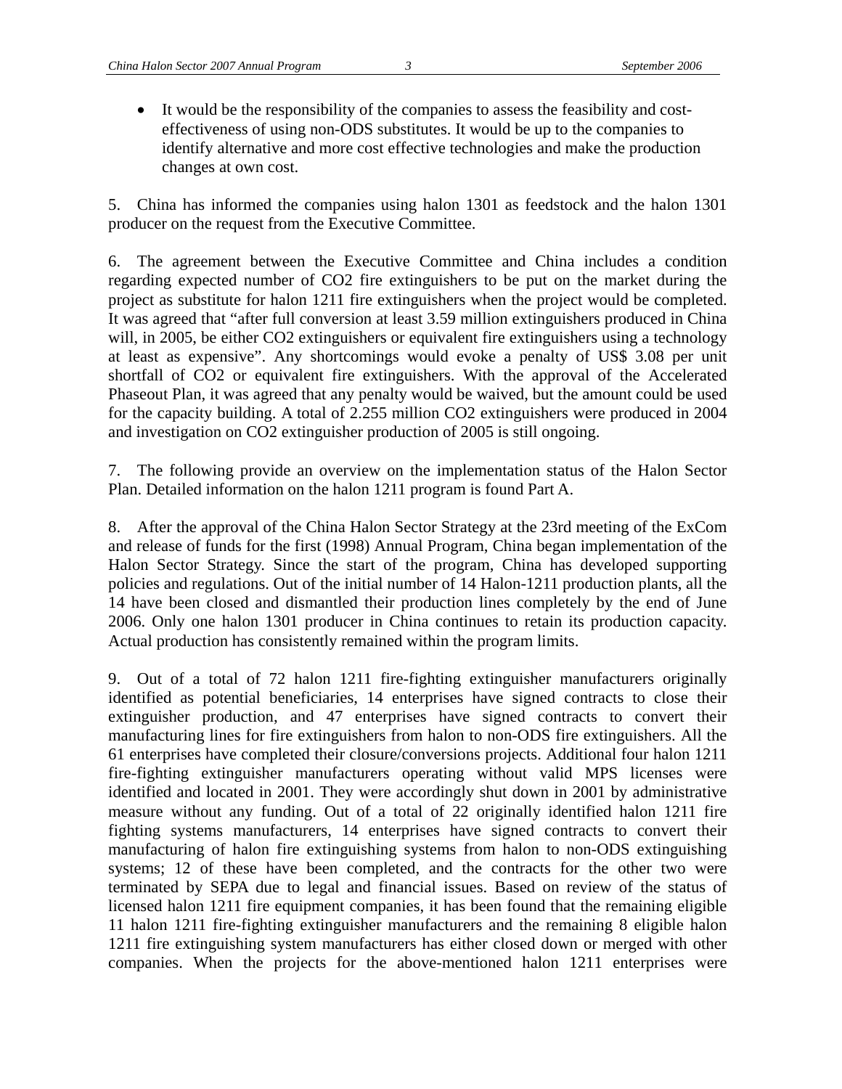• It would be the responsibility of the companies to assess the feasibility and costeffectiveness of using non-ODS substitutes. It would be up to the companies to identify alternative and more cost effective technologies and make the production changes at own cost.

5. China has informed the companies using halon 1301 as feedstock and the halon 1301 producer on the request from the Executive Committee.

6. The agreement between the Executive Committee and China includes a condition regarding expected number of CO2 fire extinguishers to be put on the market during the project as substitute for halon 1211 fire extinguishers when the project would be completed. It was agreed that "after full conversion at least 3.59 million extinguishers produced in China will, in 2005, be either CO2 extinguishers or equivalent fire extinguishers using a technology at least as expensive". Any shortcomings would evoke a penalty of US\$ 3.08 per unit shortfall of CO2 or equivalent fire extinguishers. With the approval of the Accelerated Phaseout Plan, it was agreed that any penalty would be waived, but the amount could be used for the capacity building. A total of 2.255 million CO2 extinguishers were produced in 2004 and investigation on CO2 extinguisher production of 2005 is still ongoing.

7. The following provide an overview on the implementation status of the Halon Sector Plan. Detailed information on the halon 1211 program is found Part A.

8. After the approval of the China Halon Sector Strategy at the 23rd meeting of the ExCom and release of funds for the first (1998) Annual Program, China began implementation of the Halon Sector Strategy. Since the start of the program, China has developed supporting policies and regulations. Out of the initial number of 14 Halon-1211 production plants, all the 14 have been closed and dismantled their production lines completely by the end of June 2006. Only one halon 1301 producer in China continues to retain its production capacity. Actual production has consistently remained within the program limits.

9. Out of a total of 72 halon 1211 fire-fighting extinguisher manufacturers originally identified as potential beneficiaries, 14 enterprises have signed contracts to close their extinguisher production, and 47 enterprises have signed contracts to convert their manufacturing lines for fire extinguishers from halon to non-ODS fire extinguishers. All the 61 enterprises have completed their closure/conversions projects. Additional four halon 1211 fire-fighting extinguisher manufacturers operating without valid MPS licenses were identified and located in 2001. They were accordingly shut down in 2001 by administrative measure without any funding. Out of a total of 22 originally identified halon 1211 fire fighting systems manufacturers, 14 enterprises have signed contracts to convert their manufacturing of halon fire extinguishing systems from halon to non-ODS extinguishing systems; 12 of these have been completed, and the contracts for the other two were terminated by SEPA due to legal and financial issues. Based on review of the status of licensed halon 1211 fire equipment companies, it has been found that the remaining eligible 11 halon 1211 fire-fighting extinguisher manufacturers and the remaining 8 eligible halon 1211 fire extinguishing system manufacturers has either closed down or merged with other companies. When the projects for the above-mentioned halon 1211 enterprises were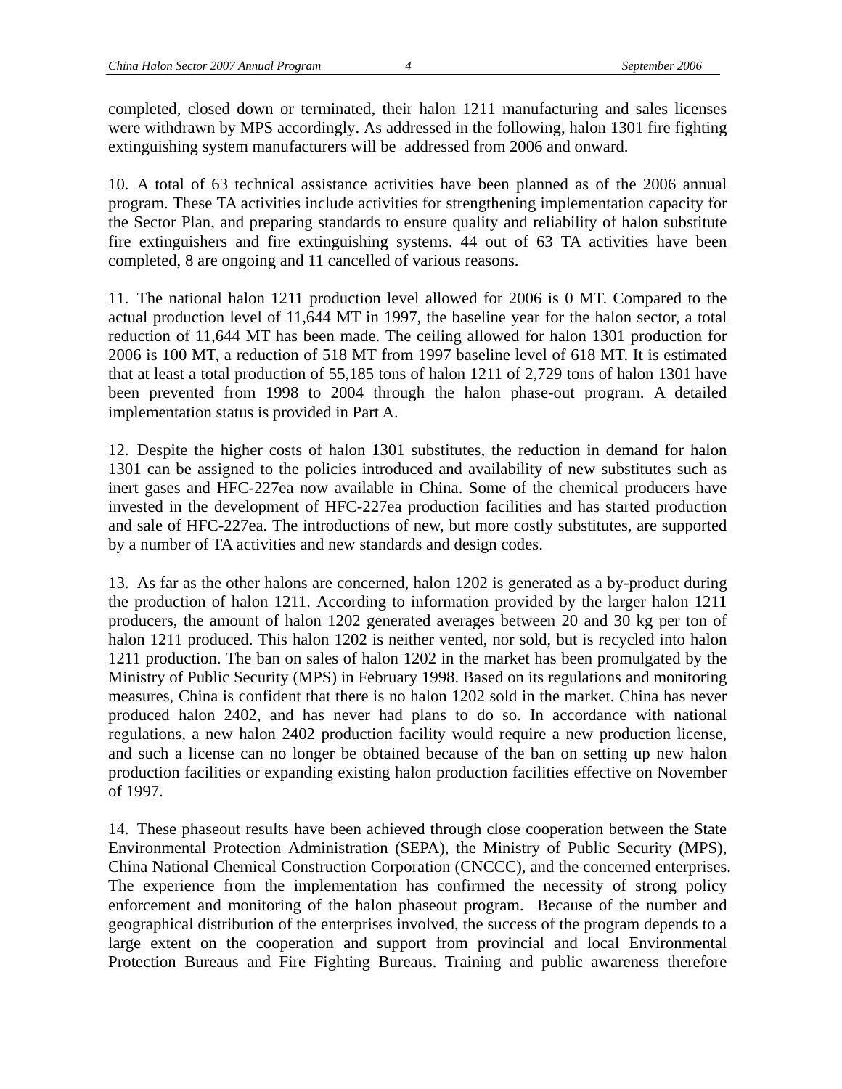completed, closed down or terminated, their halon 1211 manufacturing and sales licenses were withdrawn by MPS accordingly. As addressed in the following, halon 1301 fire fighting extinguishing system manufacturers will be addressed from 2006 and onward.

10. A total of 63 technical assistance activities have been planned as of the 2006 annual program. These TA activities include activities for strengthening implementation capacity for the Sector Plan, and preparing standards to ensure quality and reliability of halon substitute fire extinguishers and fire extinguishing systems. 44 out of 63 TA activities have been completed, 8 are ongoing and 11 cancelled of various reasons.

11. The national halon 1211 production level allowed for 2006 is 0 MT. Compared to the actual production level of 11,644 MT in 1997, the baseline year for the halon sector, a total reduction of 11,644 MT has been made. The ceiling allowed for halon 1301 production for 2006 is 100 MT, a reduction of 518 MT from 1997 baseline level of 618 MT. It is estimated that at least a total production of 55,185 tons of halon 1211 of 2,729 tons of halon 1301 have been prevented from 1998 to 2004 through the halon phase-out program. A detailed implementation status is provided in Part A.

12. Despite the higher costs of halon 1301 substitutes, the reduction in demand for halon 1301 can be assigned to the policies introduced and availability of new substitutes such as inert gases and HFC-227ea now available in China. Some of the chemical producers have invested in the development of HFC-227ea production facilities and has started production and sale of HFC-227ea. The introductions of new, but more costly substitutes, are supported by a number of TA activities and new standards and design codes.

13. As far as the other halons are concerned, halon 1202 is generated as a by-product during the production of halon 1211. According to information provided by the larger halon 1211 producers, the amount of halon 1202 generated averages between 20 and 30 kg per ton of halon 1211 produced. This halon 1202 is neither vented, nor sold, but is recycled into halon 1211 production. The ban on sales of halon 1202 in the market has been promulgated by the Ministry of Public Security (MPS) in February 1998. Based on its regulations and monitoring measures, China is confident that there is no halon 1202 sold in the market. China has never produced halon 2402, and has never had plans to do so. In accordance with national regulations, a new halon 2402 production facility would require a new production license, and such a license can no longer be obtained because of the ban on setting up new halon production facilities or expanding existing halon production facilities effective on November of 1997.

14. These phaseout results have been achieved through close cooperation between the State Environmental Protection Administration (SEPA), the Ministry of Public Security (MPS), China National Chemical Construction Corporation (CNCCC), and the concerned enterprises. The experience from the implementation has confirmed the necessity of strong policy enforcement and monitoring of the halon phaseout program. Because of the number and geographical distribution of the enterprises involved, the success of the program depends to a large extent on the cooperation and support from provincial and local Environmental Protection Bureaus and Fire Fighting Bureaus. Training and public awareness therefore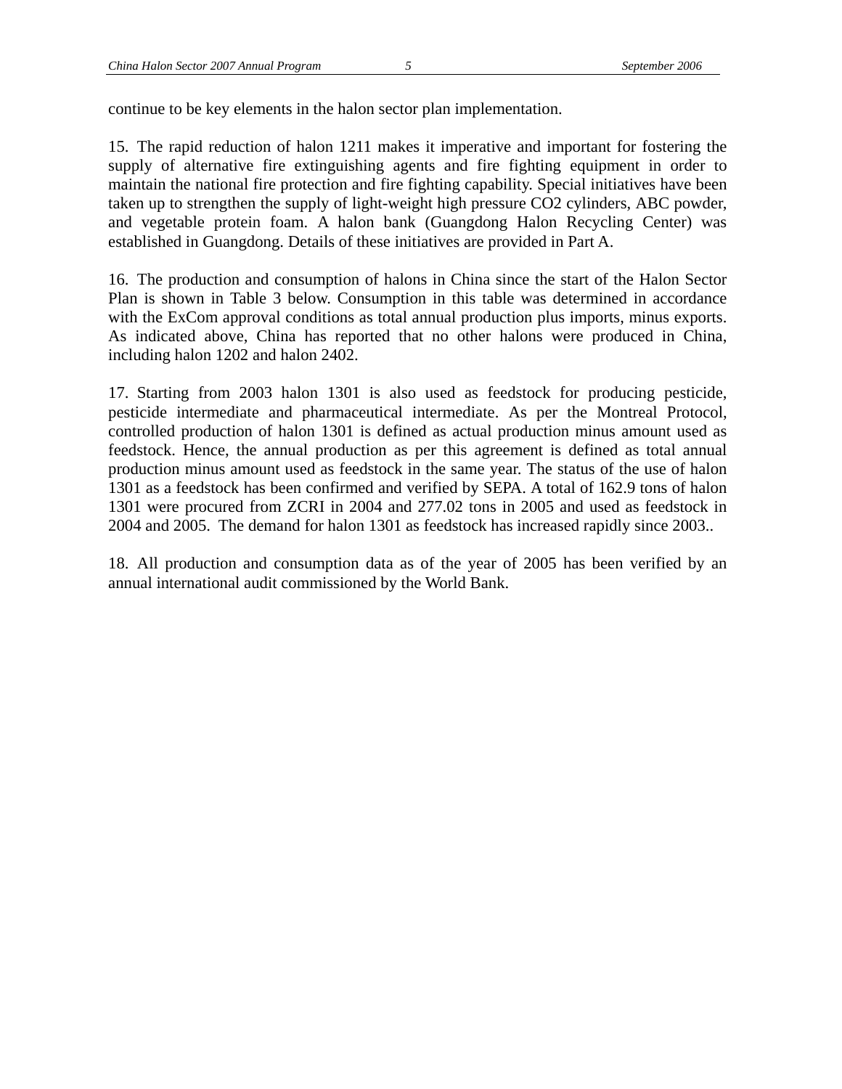continue to be key elements in the halon sector plan implementation.

15. The rapid reduction of halon 1211 makes it imperative and important for fostering the supply of alternative fire extinguishing agents and fire fighting equipment in order to maintain the national fire protection and fire fighting capability. Special initiatives have been taken up to strengthen the supply of light-weight high pressure CO2 cylinders, ABC powder, and vegetable protein foam. A halon bank (Guangdong Halon Recycling Center) was established in Guangdong. Details of these initiatives are provided in Part A.

16. The production and consumption of halons in China since the start of the Halon Sector Plan is shown in Table 3 below. Consumption in this table was determined in accordance with the ExCom approval conditions as total annual production plus imports, minus exports. As indicated above, China has reported that no other halons were produced in China, including halon 1202 and halon 2402.

17. Starting from 2003 halon 1301 is also used as feedstock for producing pesticide, pesticide intermediate and pharmaceutical intermediate. As per the Montreal Protocol, controlled production of halon 1301 is defined as actual production minus amount used as feedstock. Hence, the annual production as per this agreement is defined as total annual production minus amount used as feedstock in the same year. The status of the use of halon 1301 as a feedstock has been confirmed and verified by SEPA. A total of 162.9 tons of halon 1301 were procured from ZCRI in 2004 and 277.02 tons in 2005 and used as feedstock in 2004 and 2005. The demand for halon 1301 as feedstock has increased rapidly since 2003..

18. All production and consumption data as of the year of 2005 has been verified by an annual international audit commissioned by the World Bank.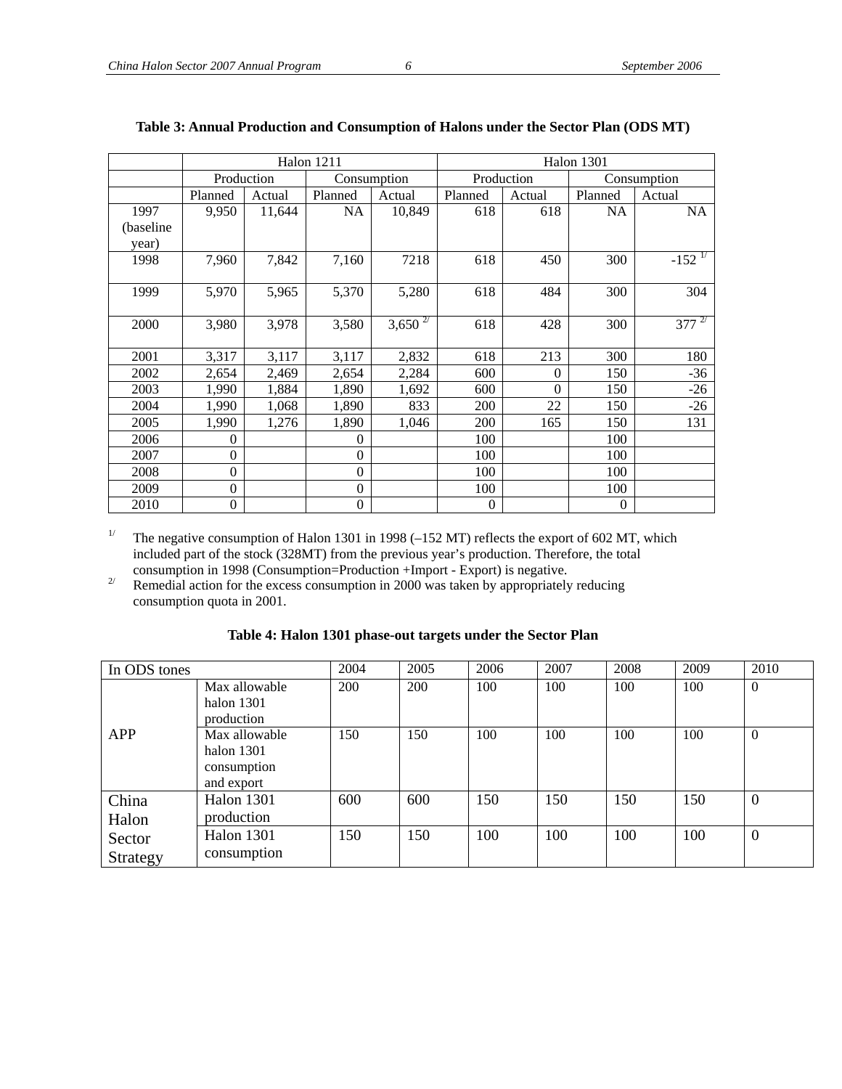|            | <b>Halon 1211</b> |        |                  | <b>Halon 1301</b> |                |            |           |             |
|------------|-------------------|--------|------------------|-------------------|----------------|------------|-----------|-------------|
|            | Production        |        |                  | Consumption       |                | Production |           | Consumption |
|            | Planned           | Actual | Planned          | Actual            | Planned        | Actual     | Planned   | Actual      |
| 1997       | 9,950             | 11,644 | <b>NA</b>        | 10,849            | 618            | 618        | <b>NA</b> | <b>NA</b>   |
| (baseline) |                   |        |                  |                   |                |            |           |             |
| year)      |                   |        |                  |                   |                |            |           |             |
| 1998       | 7,960             | 7,842  | 7,160            | 7218              | 618            | 450        | 300       | $-152^{17}$ |
|            |                   |        |                  |                   |                |            |           |             |
| 1999       | 5,970             | 5,965  | 5,370            | 5,280             | 618            | 484        | 300       | 304         |
|            |                   |        |                  |                   |                |            |           |             |
| 2000       | 3,980             | 3,978  | 3,580            | $3,650^{27}$      | 618            | 428        | 300       | $377^{27}$  |
|            |                   |        |                  |                   |                |            |           |             |
| 2001       | 3,317             | 3,117  | 3,117            | 2,832             | 618            | 213        | 300       | 180         |
| 2002       | 2,654             | 2,469  | 2,654            | 2,284             | 600            | $\theta$   | 150       | $-36$       |
| 2003       | 1,990             | 1,884  | 1,890            | 1,692             | 600            | $\theta$   | 150       | $-26$       |
| 2004       | 1,990             | 1,068  | 1,890            | 833               | 200            | 22         | 150       | $-26$       |
| 2005       | 1,990             | 1,276  | 1,890            | 1,046             | 200            | 165        | 150       | 131         |
| 2006       | $\theta$          |        | $\Omega$         |                   | 100            |            | 100       |             |
| 2007       | $\Omega$          |        | $\theta$         |                   | 100            |            | 100       |             |
| 2008       | $\boldsymbol{0}$  |        | $\boldsymbol{0}$ |                   | 100            |            | 100       |             |
| 2009       | $\Omega$          |        | $\theta$         |                   | 100            |            | 100       |             |
| 2010       | $\theta$          |        | $\boldsymbol{0}$ |                   | $\overline{0}$ |            | $\theta$  |             |

#### **Table 3: Annual Production and Consumption of Halons under the Sector Plan (ODS MT)**

<sup>1/</sup> The negative consumption of Halon 1301 in 1998 ( $-152$  MT) reflects the export of 602 MT, which included part of the stock (328MT) from the previous year's production. Therefore, the total

 $2^{\prime}$  Remedial action for the excess consumption in 2000 was taken by appropriately reducing consumption quota in 2001.

#### **Table 4: Halon 1301 phase-out targets under the Sector Plan**

| In ODS tones       |                                                          | 2004 | 2005 | 2006 | 2007 | 2008 | 2009 | 2010           |
|--------------------|----------------------------------------------------------|------|------|------|------|------|------|----------------|
|                    | Max allowable<br>halon 1301<br>production                | 200  | 200  | 100  | 100  | 100  | 100  | $\Omega$       |
| <b>APP</b>         | Max allowable<br>halon 1301<br>consumption<br>and export | 150  | 150  | 100  | 100  | 100  | 100  | $\Omega$       |
| China<br>Halon     | <b>Halon 1301</b><br>production                          | 600  | 600  | 150  | 150  | 150  | 150  | $\Omega$       |
| Sector<br>Strategy | Halon 1301<br>consumption                                | 150  | 150  | 100  | 100  | 100  | 100  | $\overline{0}$ |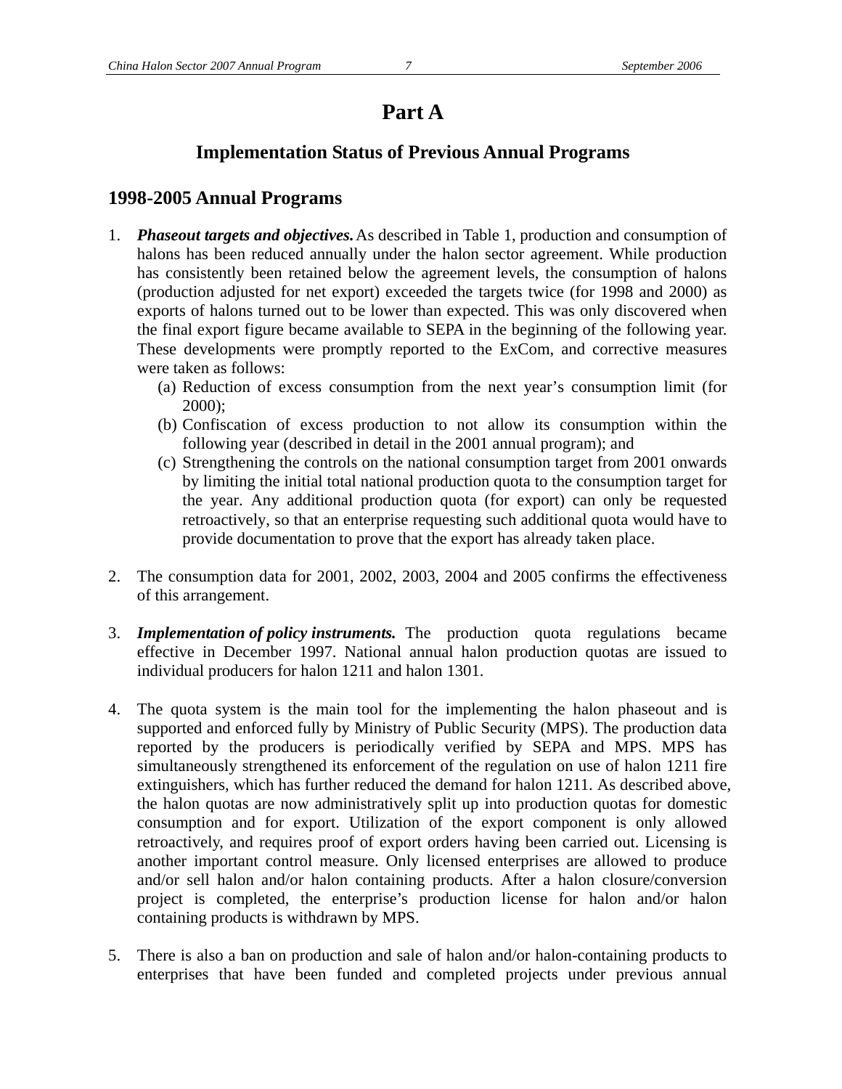## **Part A**

## **Implementation Status of Previous Annual Programs**

#### **1998-2005 Annual Programs**

- 1. *Phaseout targets and objectives.* As described in Table 1, production and consumption of halons has been reduced annually under the halon sector agreement. While production has consistently been retained below the agreement levels, the consumption of halons (production adjusted for net export) exceeded the targets twice (for 1998 and 2000) as exports of halons turned out to be lower than expected. This was only discovered when the final export figure became available to SEPA in the beginning of the following year. These developments were promptly reported to the ExCom, and corrective measures were taken as follows:
	- (a) Reduction of excess consumption from the next year's consumption limit (for 2000);
	- (b) Confiscation of excess production to not allow its consumption within the following year (described in detail in the 2001 annual program); and
	- (c) Strengthening the controls on the national consumption target from 2001 onwards by limiting the initial total national production quota to the consumption target for the year. Any additional production quota (for export) can only be requested retroactively, so that an enterprise requesting such additional quota would have to provide documentation to prove that the export has already taken place.
- 2. The consumption data for 2001, 2002, 2003, 2004 and 2005 confirms the effectiveness of this arrangement.
- 3. *Implementation of policy instruments.* The production quota regulations became effective in December 1997. National annual halon production quotas are issued to individual producers for halon 1211 and halon 1301.
- 4. The quota system is the main tool for the implementing the halon phaseout and is supported and enforced fully by Ministry of Public Security (MPS). The production data reported by the producers is periodically verified by SEPA and MPS. MPS has simultaneously strengthened its enforcement of the regulation on use of halon 1211 fire extinguishers, which has further reduced the demand for halon 1211. As described above, the halon quotas are now administratively split up into production quotas for domestic consumption and for export. Utilization of the export component is only allowed retroactively, and requires proof of export orders having been carried out. Licensing is another important control measure. Only licensed enterprises are allowed to produce and/or sell halon and/or halon containing products. After a halon closure/conversion project is completed, the enterprise's production license for halon and/or halon containing products is withdrawn by MPS.
- 5. There is also a ban on production and sale of halon and/or halon-containing products to enterprises that have been funded and completed projects under previous annual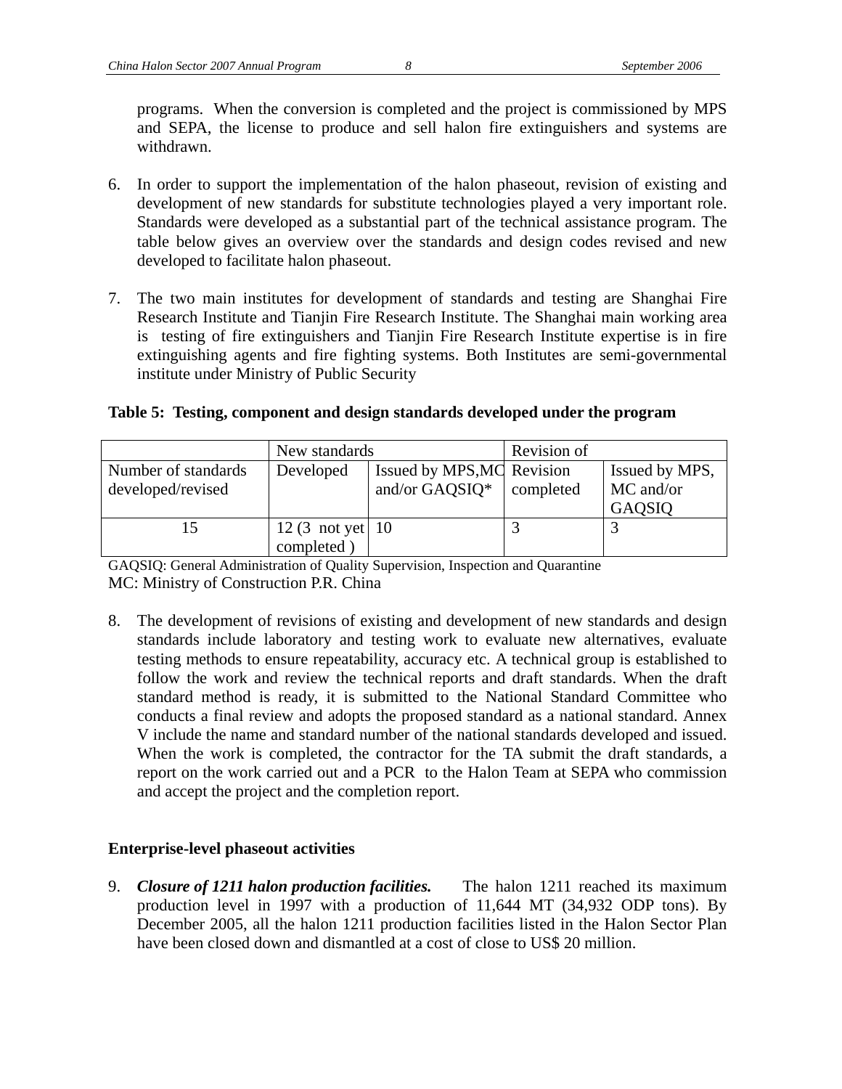programs. When the conversion is completed and the project is commissioned by MPS and SEPA, the license to produce and sell halon fire extinguishers and systems are withdrawn.

- 6. In order to support the implementation of the halon phaseout, revision of existing and development of new standards for substitute technologies played a very important role. Standards were developed as a substantial part of the technical assistance program. The table below gives an overview over the standards and design codes revised and new developed to facilitate halon phaseout.
- 7. The two main institutes for development of standards and testing are Shanghai Fire Research Institute and Tianjin Fire Research Institute. The Shanghai main working area is testing of fire extinguishers and Tianjin Fire Research Institute expertise is in fire extinguishing agents and fire fighting systems. Both Institutes are semi-governmental institute under Ministry of Public Security

**Table 5: Testing, component and design standards developed under the program** 

|                                          | New standards                                |                                              | Revision of |                                       |  |
|------------------------------------------|----------------------------------------------|----------------------------------------------|-------------|---------------------------------------|--|
| Number of standards<br>developed/revised | Developed                                    | Issued by MPS, MC Revision<br>and/or GAQSIQ* | completed   | Issued by MPS,<br>MC and/or<br>GAQSIQ |  |
| 15                                       | $12(3 \text{ not yet} \mid 10$<br>completed) |                                              |             |                                       |  |

GAQSIQ: General Administration of Quality Supervision, Inspection and Quarantine MC: Ministry of Construction P.R. China

8. The development of revisions of existing and development of new standards and design standards include laboratory and testing work to evaluate new alternatives, evaluate testing methods to ensure repeatability, accuracy etc. A technical group is established to follow the work and review the technical reports and draft standards. When the draft standard method is ready, it is submitted to the National Standard Committee who conducts a final review and adopts the proposed standard as a national standard. Annex V include the name and standard number of the national standards developed and issued. When the work is completed, the contractor for the TA submit the draft standards, a report on the work carried out and a PCR to the Halon Team at SEPA who commission and accept the project and the completion report.

#### **Enterprise-level phaseout activities**

9. *Closure of 1211 halon production facilities.* The halon 1211 reached its maximum production level in 1997 with a production of 11,644 MT (34,932 ODP tons). By December 2005, all the halon 1211 production facilities listed in the Halon Sector Plan have been closed down and dismantled at a cost of close to US\$ 20 million.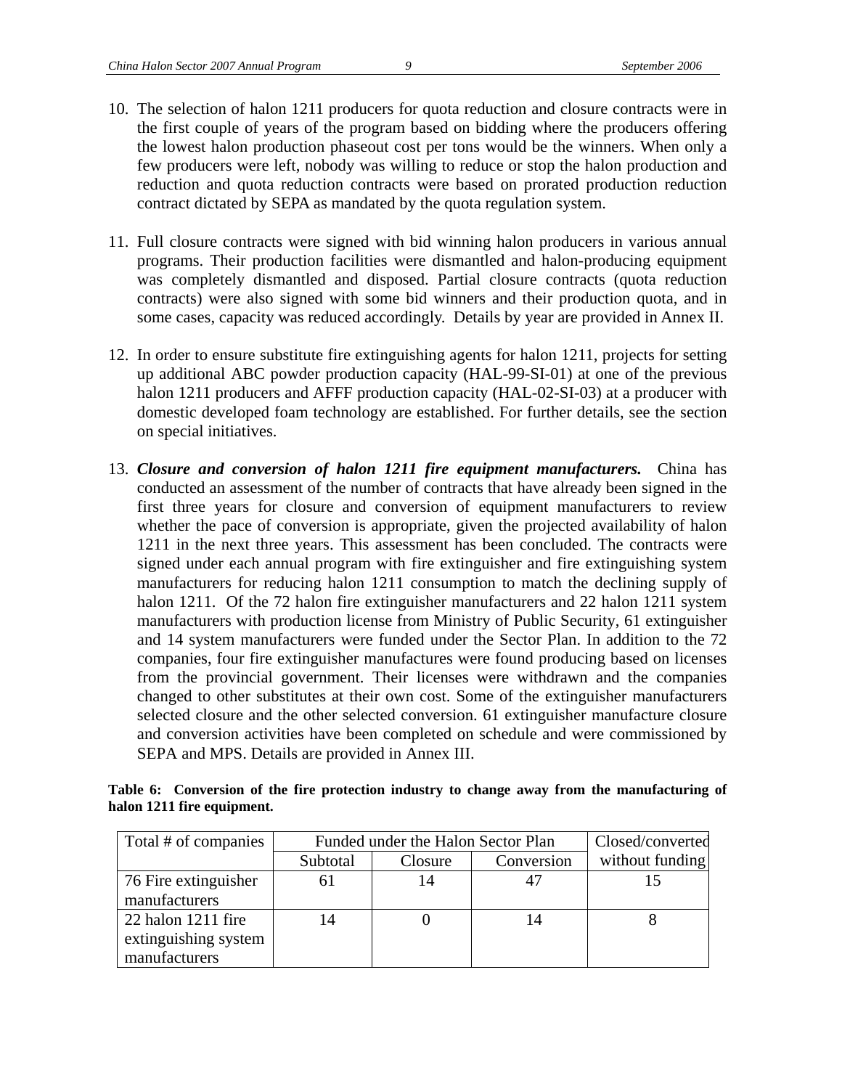- 10. The selection of halon 1211 producers for quota reduction and closure contracts were in the first couple of years of the program based on bidding where the producers offering the lowest halon production phaseout cost per tons would be the winners. When only a few producers were left, nobody was willing to reduce or stop the halon production and reduction and quota reduction contracts were based on prorated production reduction contract dictated by SEPA as mandated by the quota regulation system.
- 11. Full closure contracts were signed with bid winning halon producers in various annual programs. Their production facilities were dismantled and halon-producing equipment was completely dismantled and disposed. Partial closure contracts (quota reduction contracts) were also signed with some bid winners and their production quota, and in some cases, capacity was reduced accordingly. Details by year are provided in Annex II.
- 12. In order to ensure substitute fire extinguishing agents for halon 1211, projects for setting up additional ABC powder production capacity (HAL-99-SI-01) at one of the previous halon 1211 producers and AFFF production capacity (HAL-02-SI-03) at a producer with domestic developed foam technology are established. For further details, see the section on special initiatives.
- 13. *Closure and conversion of halon 1211 fire equipment manufacturers.* China has conducted an assessment of the number of contracts that have already been signed in the first three years for closure and conversion of equipment manufacturers to review whether the pace of conversion is appropriate, given the projected availability of halon 1211 in the next three years. This assessment has been concluded. The contracts were signed under each annual program with fire extinguisher and fire extinguishing system manufacturers for reducing halon 1211 consumption to match the declining supply of halon 1211. Of the 72 halon fire extinguisher manufacturers and 22 halon 1211 system manufacturers with production license from Ministry of Public Security, 61 extinguisher and 14 system manufacturers were funded under the Sector Plan. In addition to the 72 companies, four fire extinguisher manufactures were found producing based on licenses from the provincial government. Their licenses were withdrawn and the companies changed to other substitutes at their own cost. Some of the extinguisher manufacturers selected closure and the other selected conversion. 61 extinguisher manufacture closure and conversion activities have been completed on schedule and were commissioned by SEPA and MPS. Details are provided in Annex III.

|  |                            |  |  |  |  |  | Table 6: Conversion of the fire protection industry to change away from the manufacturing of |  |
|--|----------------------------|--|--|--|--|--|----------------------------------------------------------------------------------------------|--|
|  | halon 1211 fire equipment. |  |  |  |  |  |                                                                                              |  |

| Total # of companies | Funded under the Halon Sector Plan | Closed/converted |            |                 |
|----------------------|------------------------------------|------------------|------------|-----------------|
|                      | Subtotal                           | Closure          | Conversion | without funding |
| 76 Fire extinguisher | 6 I                                | 14               |            |                 |
| manufacturers        |                                    |                  |            |                 |
| 22 halon 1211 fire   | 14                                 |                  | 14         |                 |
| extinguishing system |                                    |                  |            |                 |
| manufacturers        |                                    |                  |            |                 |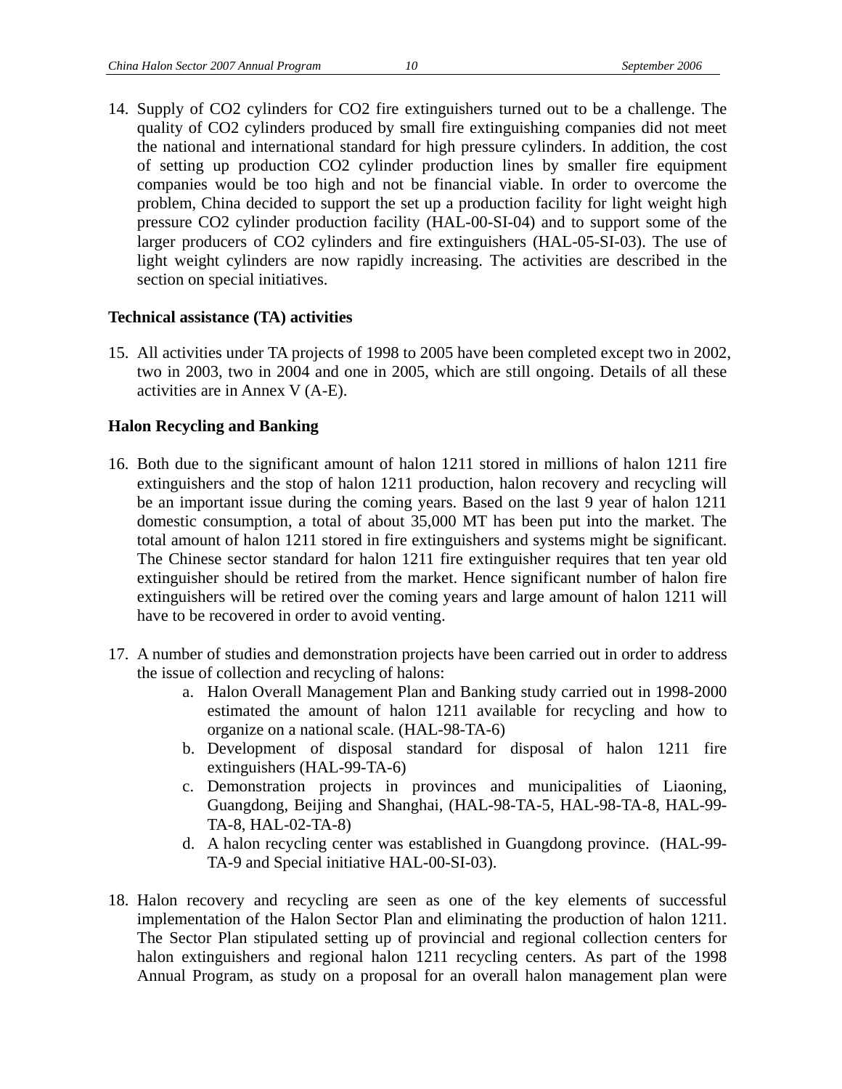14. Supply of CO2 cylinders for CO2 fire extinguishers turned out to be a challenge. The quality of CO2 cylinders produced by small fire extinguishing companies did not meet the national and international standard for high pressure cylinders. In addition, the cost of setting up production CO2 cylinder production lines by smaller fire equipment companies would be too high and not be financial viable. In order to overcome the problem, China decided to support the set up a production facility for light weight high pressure CO2 cylinder production facility (HAL-00-SI-04) and to support some of the larger producers of CO2 cylinders and fire extinguishers (HAL-05-SI-03). The use of light weight cylinders are now rapidly increasing. The activities are described in the section on special initiatives.

#### **Technical assistance (TA) activities**

15. All activities under TA projects of 1998 to 2005 have been completed except two in 2002, two in 2003, two in 2004 and one in 2005, which are still ongoing. Details of all these activities are in Annex V (A-E).

#### **Halon Recycling and Banking**

- 16. Both due to the significant amount of halon 1211 stored in millions of halon 1211 fire extinguishers and the stop of halon 1211 production, halon recovery and recycling will be an important issue during the coming years. Based on the last 9 year of halon 1211 domestic consumption, a total of about 35,000 MT has been put into the market. The total amount of halon 1211 stored in fire extinguishers and systems might be significant. The Chinese sector standard for halon 1211 fire extinguisher requires that ten year old extinguisher should be retired from the market. Hence significant number of halon fire extinguishers will be retired over the coming years and large amount of halon 1211 will have to be recovered in order to avoid venting.
- 17. A number of studies and demonstration projects have been carried out in order to address the issue of collection and recycling of halons:
	- a. Halon Overall Management Plan and Banking study carried out in 1998-2000 estimated the amount of halon 1211 available for recycling and how to organize on a national scale. (HAL-98-TA-6)
	- b. Development of disposal standard for disposal of halon 1211 fire extinguishers (HAL-99-TA-6)
	- c. Demonstration projects in provinces and municipalities of Liaoning, Guangdong, Beijing and Shanghai, (HAL-98-TA-5, HAL-98-TA-8, HAL-99- TA-8, HAL-02-TA-8)
	- d. A halon recycling center was established in Guangdong province. (HAL-99- TA-9 and Special initiative HAL-00-SI-03).
- 18. Halon recovery and recycling are seen as one of the key elements of successful implementation of the Halon Sector Plan and eliminating the production of halon 1211. The Sector Plan stipulated setting up of provincial and regional collection centers for halon extinguishers and regional halon 1211 recycling centers. As part of the 1998 Annual Program, as study on a proposal for an overall halon management plan were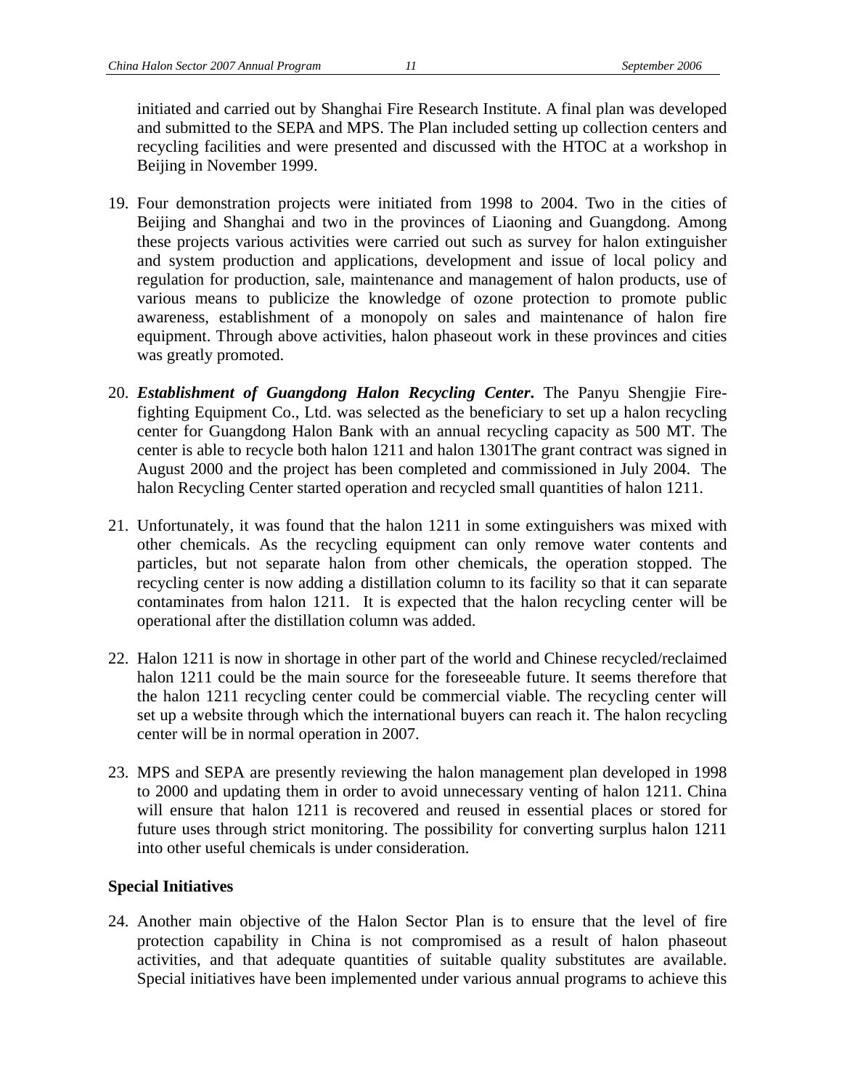initiated and carried out by Shanghai Fire Research Institute. A final plan was developed and submitted to the SEPA and MPS. The Plan included setting up collection centers and recycling facilities and were presented and discussed with the HTOC at a workshop in Beijing in November 1999.

- 19. Four demonstration projects were initiated from 1998 to 2004. Two in the cities of Beijing and Shanghai and two in the provinces of Liaoning and Guangdong. Among these projects various activities were carried out such as survey for halon extinguisher and system production and applications, development and issue of local policy and regulation for production, sale, maintenance and management of halon products, use of various means to publicize the knowledge of ozone protection to promote public awareness, establishment of a monopoly on sales and maintenance of halon fire equipment. Through above activities, halon phaseout work in these provinces and cities was greatly promoted.
- 20. *Establishment of Guangdong Halon Recycling Center***.** The Panyu Shengjie Firefighting Equipment Co., Ltd. was selected as the beneficiary to set up a halon recycling center for Guangdong Halon Bank with an annual recycling capacity as 500 MT. The center is able to recycle both halon 1211 and halon 1301The grant contract was signed in August 2000 and the project has been completed and commissioned in July 2004. The halon Recycling Center started operation and recycled small quantities of halon 1211.
- 21. Unfortunately, it was found that the halon 1211 in some extinguishers was mixed with other chemicals. As the recycling equipment can only remove water contents and particles, but not separate halon from other chemicals, the operation stopped. The recycling center is now adding a distillation column to its facility so that it can separate contaminates from halon 1211. It is expected that the halon recycling center will be operational after the distillation column was added.
- 22. Halon 1211 is now in shortage in other part of the world and Chinese recycled/reclaimed halon 1211 could be the main source for the foreseeable future. It seems therefore that the halon 1211 recycling center could be commercial viable. The recycling center will set up a website through which the international buyers can reach it. The halon recycling center will be in normal operation in 2007.
- 23. MPS and SEPA are presently reviewing the halon management plan developed in 1998 to 2000 and updating them in order to avoid unnecessary venting of halon 1211. China will ensure that halon 1211 is recovered and reused in essential places or stored for future uses through strict monitoring. The possibility for converting surplus halon 1211 into other useful chemicals is under consideration.

#### **Special Initiatives**

24. Another main objective of the Halon Sector Plan is to ensure that the level of fire protection capability in China is not compromised as a result of halon phaseout activities, and that adequate quantities of suitable quality substitutes are available. Special initiatives have been implemented under various annual programs to achieve this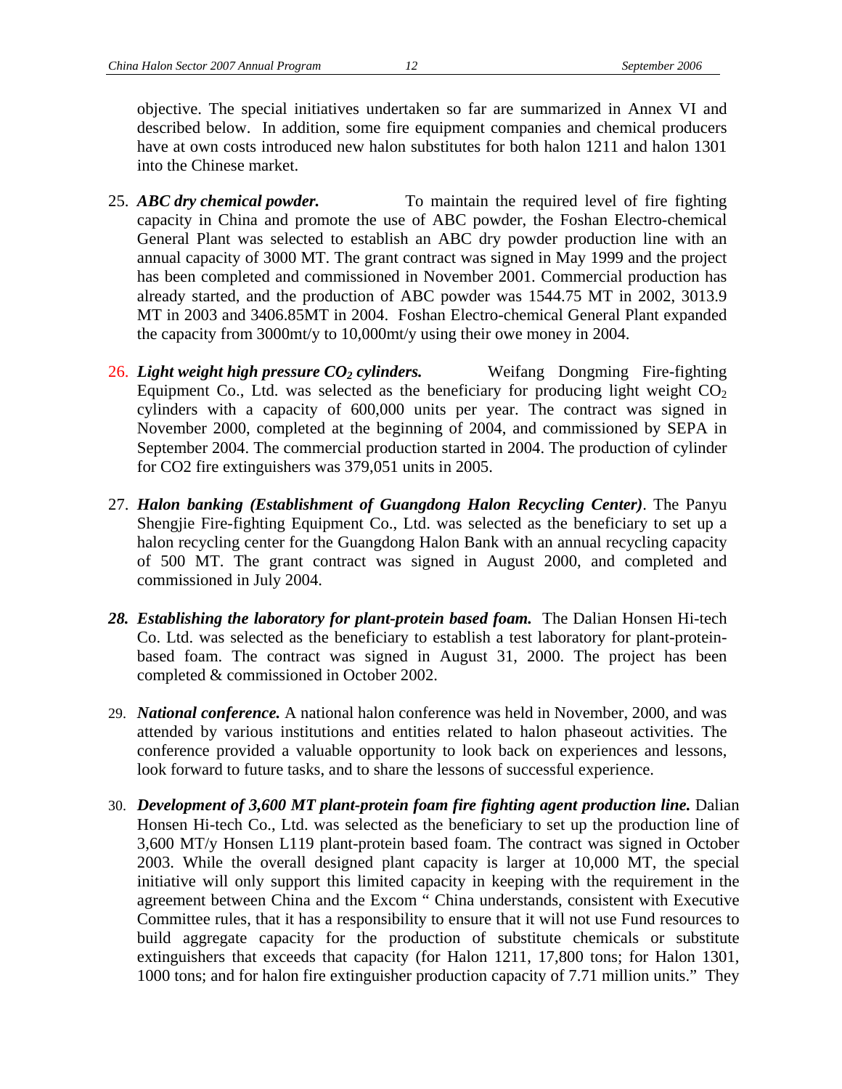objective. The special initiatives undertaken so far are summarized in Annex VI and described below. In addition, some fire equipment companies and chemical producers have at own costs introduced new halon substitutes for both halon 1211 and halon 1301 into the Chinese market.

- 25. *ABC dry chemical powder.* To maintain the required level of fire fighting capacity in China and promote the use of ABC powder, the Foshan Electro-chemical General Plant was selected to establish an ABC dry powder production line with an annual capacity of 3000 MT. The grant contract was signed in May 1999 and the project has been completed and commissioned in November 2001. Commercial production has already started, and the production of ABC powder was 1544.75 MT in 2002, 3013.9 MT in 2003 and 3406.85MT in 2004. Foshan Electro-chemical General Plant expanded the capacity from 3000mt/y to 10,000mt/y using their owe money in 2004.
- 26. *Light weight high pressure CO2 cylinders.* Weifang Dongming Fire-fighting Equipment Co., Ltd. was selected as the beneficiary for producing light weight  $CO<sub>2</sub>$ cylinders with a capacity of 600,000 units per year. The contract was signed in November 2000, completed at the beginning of 2004, and commissioned by SEPA in September 2004. The commercial production started in 2004. The production of cylinder for CO2 fire extinguishers was 379,051 units in 2005.
- 27. *Halon banking (Establishment of Guangdong Halon Recycling Center)*. The Panyu Shengjie Fire-fighting Equipment Co., Ltd. was selected as the beneficiary to set up a halon recycling center for the Guangdong Halon Bank with an annual recycling capacity of 500 MT. The grant contract was signed in August 2000, and completed and commissioned in July 2004.
- *28. Establishing the laboratory for plant-protein based foam.* The Dalian Honsen Hi-tech Co. Ltd. was selected as the beneficiary to establish a test laboratory for plant-proteinbased foam. The contract was signed in August 31, 2000. The project has been completed & commissioned in October 2002.
- 29. *National conference.* A national halon conference was held in November, 2000, and was attended by various institutions and entities related to halon phaseout activities. The conference provided a valuable opportunity to look back on experiences and lessons, look forward to future tasks, and to share the lessons of successful experience.
- 30. *Development of 3,600 MT plant-protein foam fire fighting agent production line.* Dalian Honsen Hi-tech Co., Ltd. was selected as the beneficiary to set up the production line of 3,600 MT/y Honsen L119 plant-protein based foam. The contract was signed in October 2003. While the overall designed plant capacity is larger at 10,000 MT, the special initiative will only support this limited capacity in keeping with the requirement in the agreement between China and the Excom " China understands, consistent with Executive Committee rules, that it has a responsibility to ensure that it will not use Fund resources to build aggregate capacity for the production of substitute chemicals or substitute extinguishers that exceeds that capacity (for Halon 1211, 17,800 tons; for Halon 1301, 1000 tons; and for halon fire extinguisher production capacity of 7.71 million units." They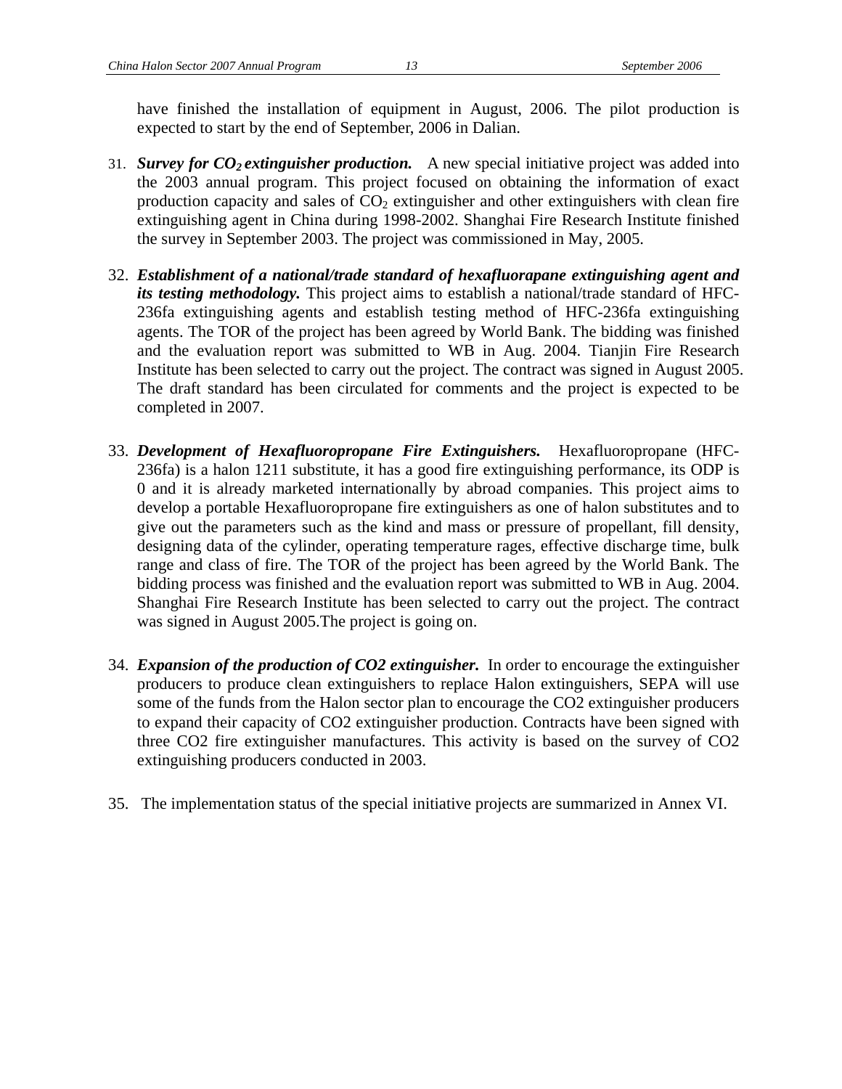have finished the installation of equipment in August, 2006. The pilot production is expected to start by the end of September, 2006 in Dalian.

- 31. *Survey for CO2 extinguisher production.* A new special initiative project was added into the 2003 annual program. This project focused on obtaining the information of exact production capacity and sales of  $CO<sub>2</sub>$  extinguisher and other extinguishers with clean fire extinguishing agent in China during 1998-2002. Shanghai Fire Research Institute finished the survey in September 2003. The project was commissioned in May, 2005.
- 32. *Establishment of a national/trade standard of hexafluorapane extinguishing agent and its testing methodology.* This project aims to establish a national/trade standard of HFC-236fa extinguishing agents and establish testing method of HFC-236fa extinguishing agents. The TOR of the project has been agreed by World Bank. The bidding was finished and the evaluation report was submitted to WB in Aug. 2004. Tianjin Fire Research Institute has been selected to carry out the project. The contract was signed in August 2005. The draft standard has been circulated for comments and the project is expected to be completed in 2007.
- 33. *Development of Hexafluoropropane Fire Extinguishers.* Hexafluoropropane (HFC-236fa) is a halon 1211 substitute, it has a good fire extinguishing performance, its ODP is 0 and it is already marketed internationally by abroad companies. This project aims to develop a portable Hexafluoropropane fire extinguishers as one of halon substitutes and to give out the parameters such as the kind and mass or pressure of propellant, fill density, designing data of the cylinder, operating temperature rages, effective discharge time, bulk range and class of fire. The TOR of the project has been agreed by the World Bank. The bidding process was finished and the evaluation report was submitted to WB in Aug. 2004. Shanghai Fire Research Institute has been selected to carry out the project. The contract was signed in August 2005.The project is going on.
- 34. *Expansion of the production of CO2 extinguisher.* In order to encourage the extinguisher producers to produce clean extinguishers to replace Halon extinguishers, SEPA will use some of the funds from the Halon sector plan to encourage the CO2 extinguisher producers to expand their capacity of CO2 extinguisher production. Contracts have been signed with three CO2 fire extinguisher manufactures. This activity is based on the survey of CO2 extinguishing producers conducted in 2003.
- 35. The implementation status of the special initiative projects are summarized in Annex VI.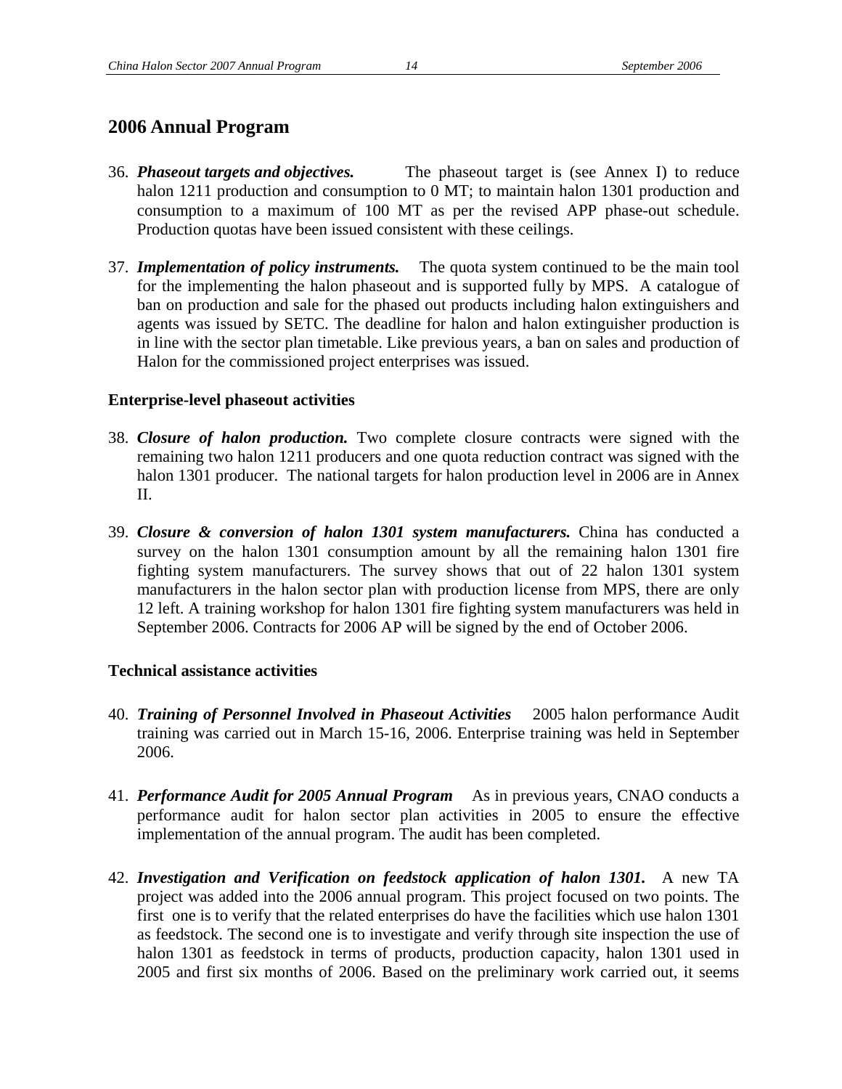#### **2006 Annual Program**

- 36. *Phaseout targets and objectives.* The phaseout target is (see Annex I) to reduce halon 1211 production and consumption to 0 MT; to maintain halon 1301 production and consumption to a maximum of 100 MT as per the revised APP phase-out schedule. Production quotas have been issued consistent with these ceilings.
- 37. *Implementation of policy instruments.* The quota system continued to be the main tool for the implementing the halon phaseout and is supported fully by MPS. A catalogue of ban on production and sale for the phased out products including halon extinguishers and agents was issued by SETC. The deadline for halon and halon extinguisher production is in line with the sector plan timetable. Like previous years, a ban on sales and production of Halon for the commissioned project enterprises was issued.

#### **Enterprise-level phaseout activities**

- 38. *Closure of halon production.* Two complete closure contracts were signed with the remaining two halon 1211 producers and one quota reduction contract was signed with the halon 1301 producer. The national targets for halon production level in 2006 are in Annex II.
- 39. *Closure & conversion of halon 1301 system manufacturers.* China has conducted a survey on the halon 1301 consumption amount by all the remaining halon 1301 fire fighting system manufacturers. The survey shows that out of 22 halon 1301 system manufacturers in the halon sector plan with production license from MPS, there are only 12 left. A training workshop for halon 1301 fire fighting system manufacturers was held in September 2006. Contracts for 2006 AP will be signed by the end of October 2006.

#### **Technical assistance activities**

- 40. *Training of Personnel Involved in Phaseout Activities* 2005 halon performance Audit training was carried out in March 15-16, 2006. Enterprise training was held in September 2006.
- 41. *Performance Audit for 2005 Annual Program* As in previous years, CNAO conducts a performance audit for halon sector plan activities in 2005 to ensure the effective implementation of the annual program. The audit has been completed.
- 42. *Investigation and Verification on feedstock application of halon 1301.* A new TA project was added into the 2006 annual program. This project focused on two points. The first one is to verify that the related enterprises do have the facilities which use halon 1301 as feedstock. The second one is to investigate and verify through site inspection the use of halon 1301 as feedstock in terms of products, production capacity, halon 1301 used in 2005 and first six months of 2006. Based on the preliminary work carried out, it seems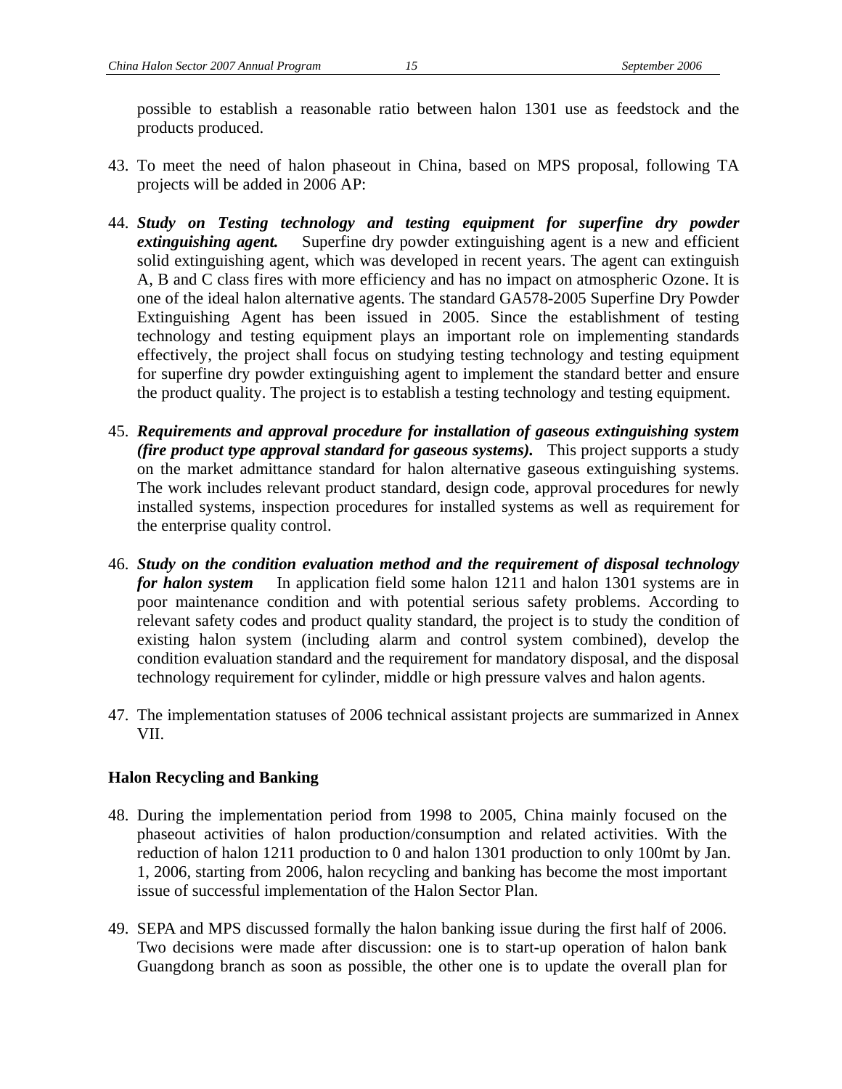possible to establish a reasonable ratio between halon 1301 use as feedstock and the products produced.

- 43. To meet the need of halon phaseout in China, based on MPS proposal, following TA projects will be added in 2006 AP:
- 44. *Study on Testing technology and testing equipment for superfine dry powder extinguishing agent.* Superfine dry powder extinguishing agent is a new and efficient solid extinguishing agent, which was developed in recent years. The agent can extinguish A, B and C class fires with more efficiency and has no impact on atmospheric Ozone. It is one of the ideal halon alternative agents. The standard GA578-2005 Superfine Dry Powder Extinguishing Agent has been issued in 2005. Since the establishment of testing technology and testing equipment plays an important role on implementing standards effectively, the project shall focus on studying testing technology and testing equipment for superfine dry powder extinguishing agent to implement the standard better and ensure the product quality. The project is to establish a testing technology and testing equipment.
- 45. *Requirements and approval procedure for installation of gaseous extinguishing system (fire product type approval standard for gaseous systems).* This project supports a study on the market admittance standard for halon alternative gaseous extinguishing systems. The work includes relevant product standard, design code, approval procedures for newly installed systems, inspection procedures for installed systems as well as requirement for the enterprise quality control.
- 46. *Study on the condition evaluation method and the requirement of disposal technology for halon system* In application field some halon 1211 and halon 1301 systems are in poor maintenance condition and with potential serious safety problems. According to relevant safety codes and product quality standard, the project is to study the condition of existing halon system (including alarm and control system combined), develop the condition evaluation standard and the requirement for mandatory disposal, and the disposal technology requirement for cylinder, middle or high pressure valves and halon agents.
- 47. The implementation statuses of 2006 technical assistant projects are summarized in Annex VII.

#### **Halon Recycling and Banking**

- 48. During the implementation period from 1998 to 2005, China mainly focused on the phaseout activities of halon production/consumption and related activities. With the reduction of halon 1211 production to 0 and halon 1301 production to only 100mt by Jan. 1, 2006, starting from 2006, halon recycling and banking has become the most important issue of successful implementation of the Halon Sector Plan.
- 49. SEPA and MPS discussed formally the halon banking issue during the first half of 2006. Two decisions were made after discussion: one is to start-up operation of halon bank Guangdong branch as soon as possible, the other one is to update the overall plan for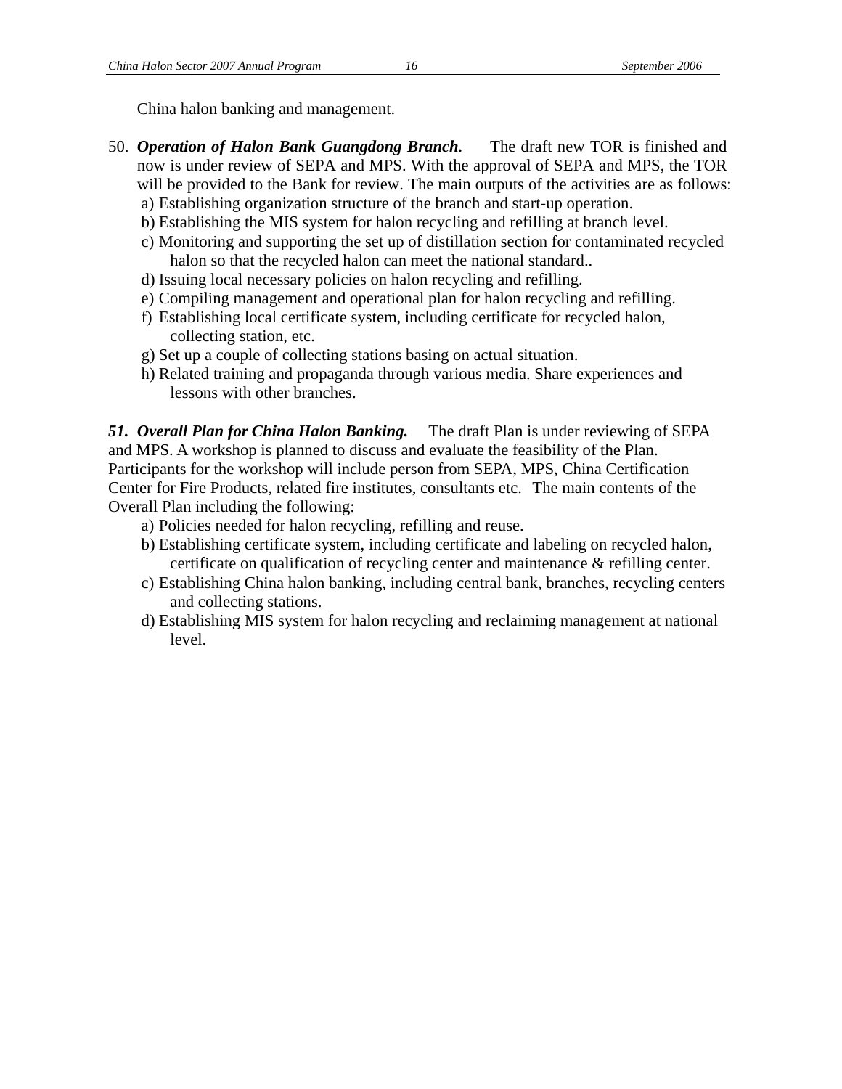China halon banking and management.

- 50. *Operation of Halon Bank Guangdong Branch.* The draft new TOR is finished and now is under review of SEPA and MPS. With the approval of SEPA and MPS, the TOR will be provided to the Bank for review. The main outputs of the activities are as follows:
	- a) Establishing organization structure of the branch and start-up operation.
	- b) Establishing the MIS system for halon recycling and refilling at branch level.
	- c) Monitoring and supporting the set up of distillation section for contaminated recycled halon so that the recycled halon can meet the national standard..
	- d) Issuing local necessary policies on halon recycling and refilling.
	- e) Compiling management and operational plan for halon recycling and refilling.
	- f) Establishing local certificate system, including certificate for recycled halon, collecting station, etc.
	- g) Set up a couple of collecting stations basing on actual situation.
	- h) Related training and propaganda through various media. Share experiences and lessons with other branches.

*51. Overall Plan for China Halon Banking.* The draft Plan is under reviewing of SEPA and MPS. A workshop is planned to discuss and evaluate the feasibility of the Plan. Participants for the workshop will include person from SEPA, MPS, China Certification Center for Fire Products, related fire institutes, consultants etc. The main contents of the Overall Plan including the following:

- a) Policies needed for halon recycling, refilling and reuse.
- b) Establishing certificate system, including certificate and labeling on recycled halon, certificate on qualification of recycling center and maintenance & refilling center.
- c) Establishing China halon banking, including central bank, branches, recycling centers and collecting stations.
- d) Establishing MIS system for halon recycling and reclaiming management at national level.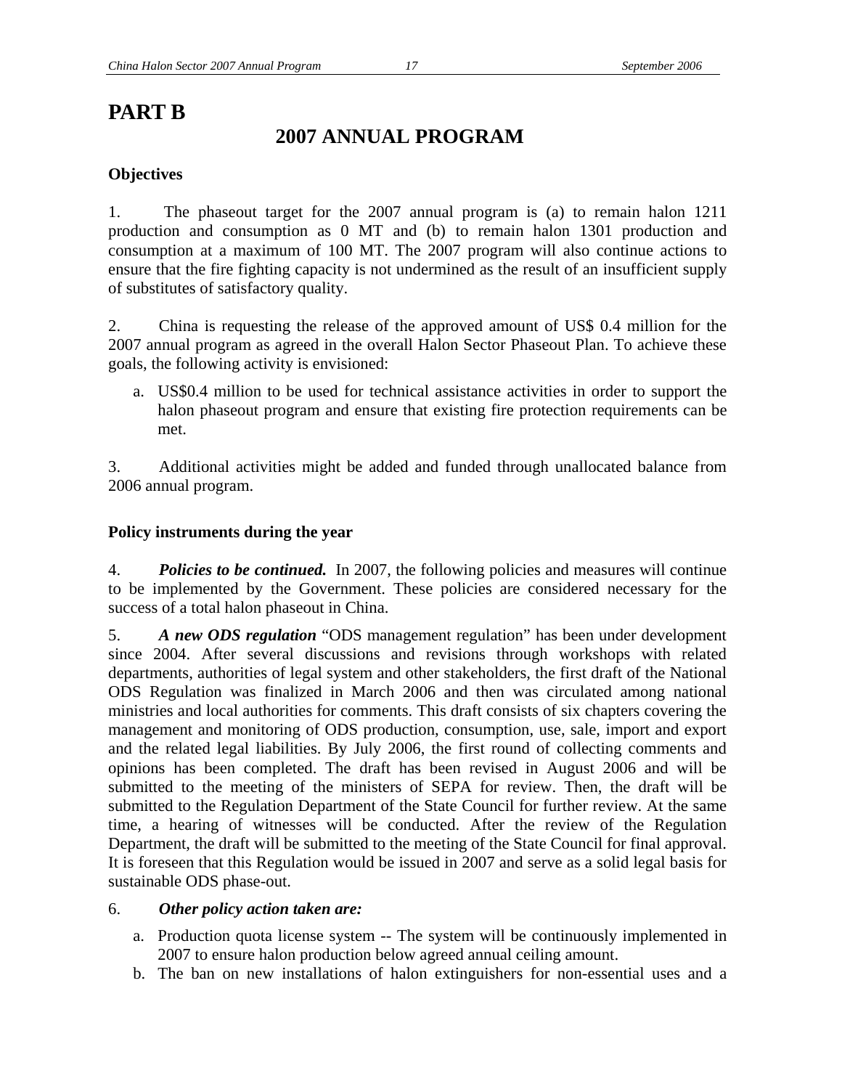## **PART B**

## **2007 ANNUAL PROGRAM**

#### **Objectives**

1. The phaseout target for the 2007 annual program is (a) to remain halon 1211 production and consumption as 0 MT and (b) to remain halon 1301 production and consumption at a maximum of 100 MT. The 2007 program will also continue actions to ensure that the fire fighting capacity is not undermined as the result of an insufficient supply of substitutes of satisfactory quality.

2. China is requesting the release of the approved amount of US\$ 0.4 million for the 2007 annual program as agreed in the overall Halon Sector Phaseout Plan. To achieve these goals, the following activity is envisioned:

a. US\$0.4 million to be used for technical assistance activities in order to support the halon phaseout program and ensure that existing fire protection requirements can be met.

3. Additional activities might be added and funded through unallocated balance from 2006 annual program.

#### **Policy instruments during the year**

4. *Policies to be continued.* In 2007, the following policies and measures will continue to be implemented by the Government. These policies are considered necessary for the success of a total halon phaseout in China.

5. *A new ODS regulation* "ODS management regulation" has been under development since 2004. After several discussions and revisions through workshops with related departments, authorities of legal system and other stakeholders, the first draft of the National ODS Regulation was finalized in March 2006 and then was circulated among national ministries and local authorities for comments. This draft consists of six chapters covering the management and monitoring of ODS production, consumption, use, sale, import and export and the related legal liabilities. By July 2006, the first round of collecting comments and opinions has been completed. The draft has been revised in August 2006 and will be submitted to the meeting of the ministers of SEPA for review. Then, the draft will be submitted to the Regulation Department of the State Council for further review. At the same time, a hearing of witnesses will be conducted. After the review of the Regulation Department, the draft will be submitted to the meeting of the State Council for final approval. It is foreseen that this Regulation would be issued in 2007 and serve as a solid legal basis for sustainable ODS phase-out.

#### 6. *Other policy action taken are:*

- a. Production quota license system -- The system will be continuously implemented in 2007 to ensure halon production below agreed annual ceiling amount.
- b. The ban on new installations of halon extinguishers for non-essential uses and a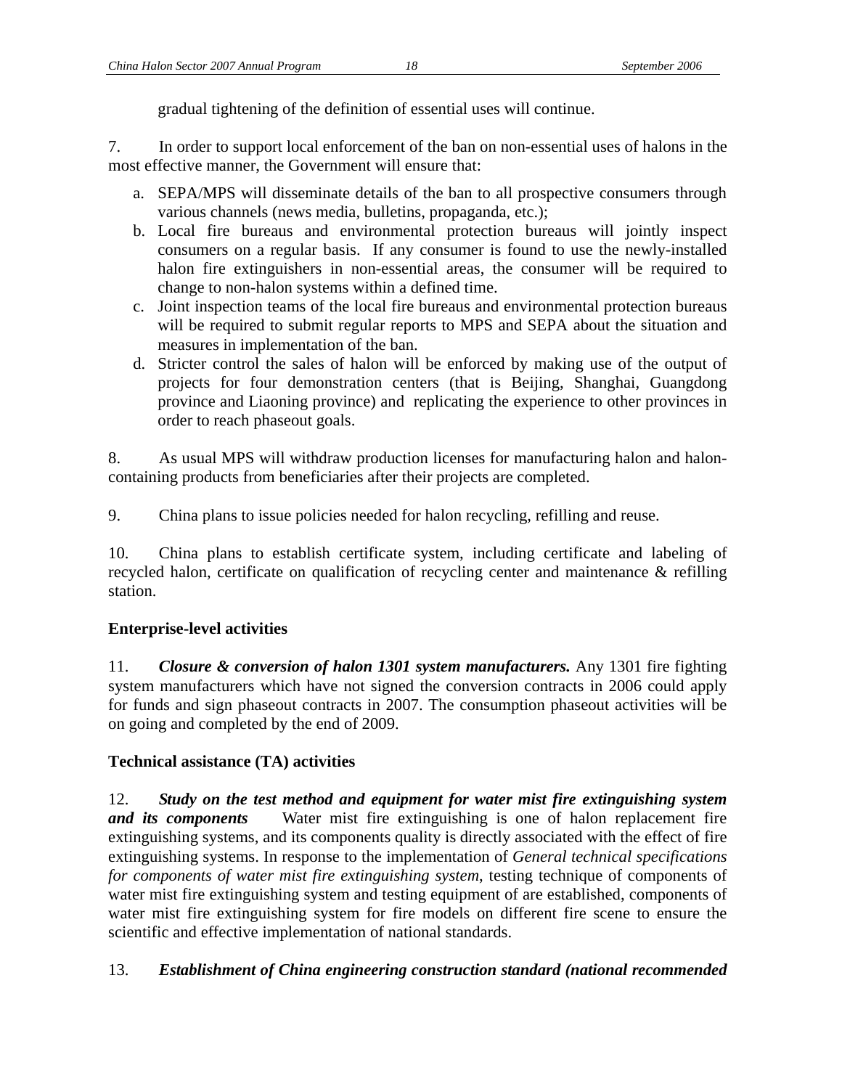gradual tightening of the definition of essential uses will continue.

7. In order to support local enforcement of the ban on non-essential uses of halons in the most effective manner, the Government will ensure that:

- a. SEPA/MPS will disseminate details of the ban to all prospective consumers through various channels (news media, bulletins, propaganda, etc.);
- b. Local fire bureaus and environmental protection bureaus will jointly inspect consumers on a regular basis. If any consumer is found to use the newly-installed halon fire extinguishers in non-essential areas, the consumer will be required to change to non-halon systems within a defined time.
- c. Joint inspection teams of the local fire bureaus and environmental protection bureaus will be required to submit regular reports to MPS and SEPA about the situation and measures in implementation of the ban.
- d. Stricter control the sales of halon will be enforced by making use of the output of projects for four demonstration centers (that is Beijing, Shanghai, Guangdong province and Liaoning province) and replicating the experience to other provinces in order to reach phaseout goals.

8. As usual MPS will withdraw production licenses for manufacturing halon and haloncontaining products from beneficiaries after their projects are completed.

9. China plans to issue policies needed for halon recycling, refilling and reuse.

10. China plans to establish certificate system, including certificate and labeling of recycled halon, certificate on qualification of recycling center and maintenance & refilling station.

#### **Enterprise-level activities**

11. *Closure & conversion of halon 1301 system manufacturers.* Any 1301 fire fighting system manufacturers which have not signed the conversion contracts in 2006 could apply for funds and sign phaseout contracts in 2007. The consumption phaseout activities will be on going and completed by the end of 2009.

#### **Technical assistance (TA) activities**

12. *Study on the test method and equipment for water mist fire extinguishing system and its components* Water mist fire extinguishing is one of halon replacement fire extinguishing systems, and its components quality is directly associated with the effect of fire extinguishing systems. In response to the implementation of *General technical specifications for components of water mist fire extinguishing system*, testing technique of components of water mist fire extinguishing system and testing equipment of are established, components of water mist fire extinguishing system for fire models on different fire scene to ensure the scientific and effective implementation of national standards.

#### 13. *Establishment of China engineering construction standard (national recommended*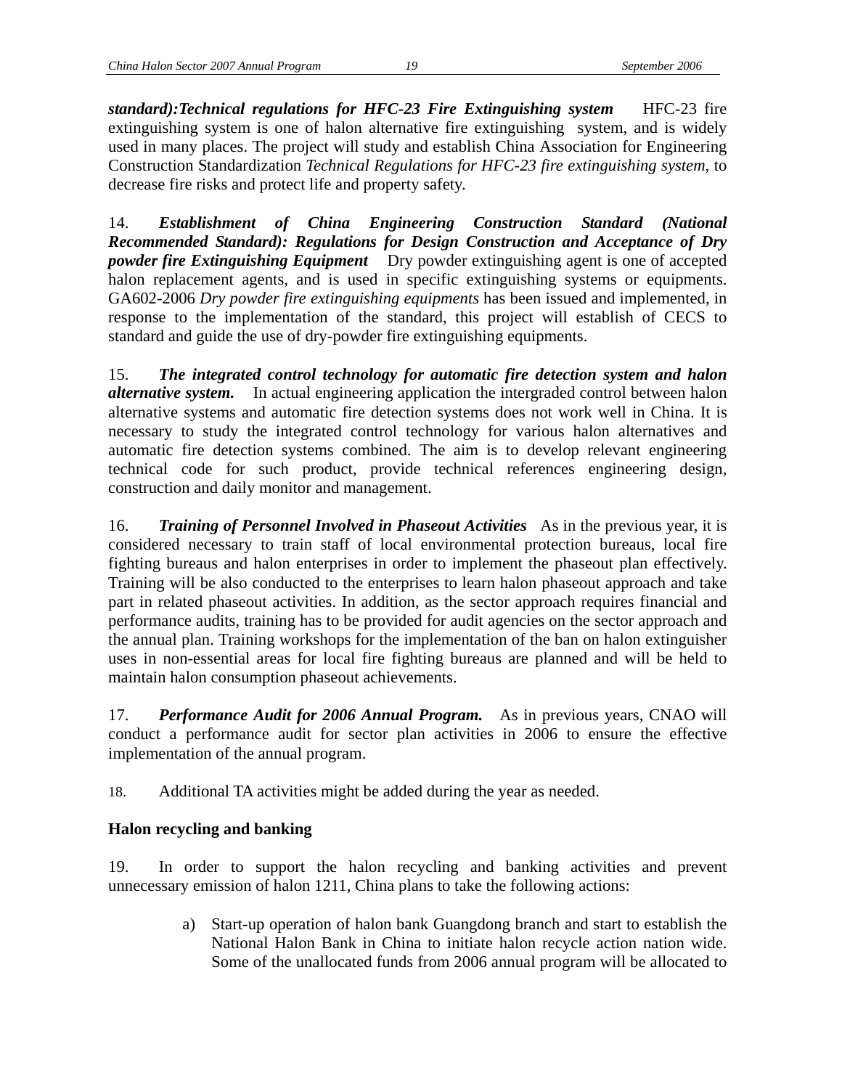*standard):Technical regulations for HFC-23 Fire Extinguishing system* HFC-23 fire extinguishing system is one of halon alternative fire extinguishing system, and is widely used in many places. The project will study and establish China Association for Engineering Construction Standardization *Technical Regulations for HFC-23 fire extinguishing system,* to decrease fire risks and protect life and property safety.

14. *Establishment of China Engineering Construction Standard (National Recommended Standard): Regulations for Design Construction and Acceptance of Dry powder fire Extinguishing Equipment* Dry powder extinguishing agent is one of accepted halon replacement agents, and is used in specific extinguishing systems or equipments. GA602-2006 *Dry powder fire extinguishing equipments* has been issued and implemented, in response to the implementation of the standard, this project will establish of CECS to standard and guide the use of dry-powder fire extinguishing equipments.

15. *The integrated control technology for automatic fire detection system and halon alternative system.* In actual engineering application the intergraded control between halon alternative systems and automatic fire detection systems does not work well in China. It is necessary to study the integrated control technology for various halon alternatives and automatic fire detection systems combined. The aim is to develop relevant engineering technical code for such product, provide technical references engineering design, construction and daily monitor and management.

16. *Training of Personnel Involved in Phaseout Activities* As in the previous year, it is considered necessary to train staff of local environmental protection bureaus, local fire fighting bureaus and halon enterprises in order to implement the phaseout plan effectively. Training will be also conducted to the enterprises to learn halon phaseout approach and take part in related phaseout activities. In addition, as the sector approach requires financial and performance audits, training has to be provided for audit agencies on the sector approach and the annual plan. Training workshops for the implementation of the ban on halon extinguisher uses in non-essential areas for local fire fighting bureaus are planned and will be held to maintain halon consumption phaseout achievements.

17. *Performance Audit for 2006 Annual Program.* As in previous years, CNAO will conduct a performance audit for sector plan activities in 2006 to ensure the effective implementation of the annual program.

18. Additional TA activities might be added during the year as needed.

#### **Halon recycling and banking**

19. In order to support the halon recycling and banking activities and prevent unnecessary emission of halon 1211, China plans to take the following actions:

> a) Start-up operation of halon bank Guangdong branch and start to establish the National Halon Bank in China to initiate halon recycle action nation wide. Some of the unallocated funds from 2006 annual program will be allocated to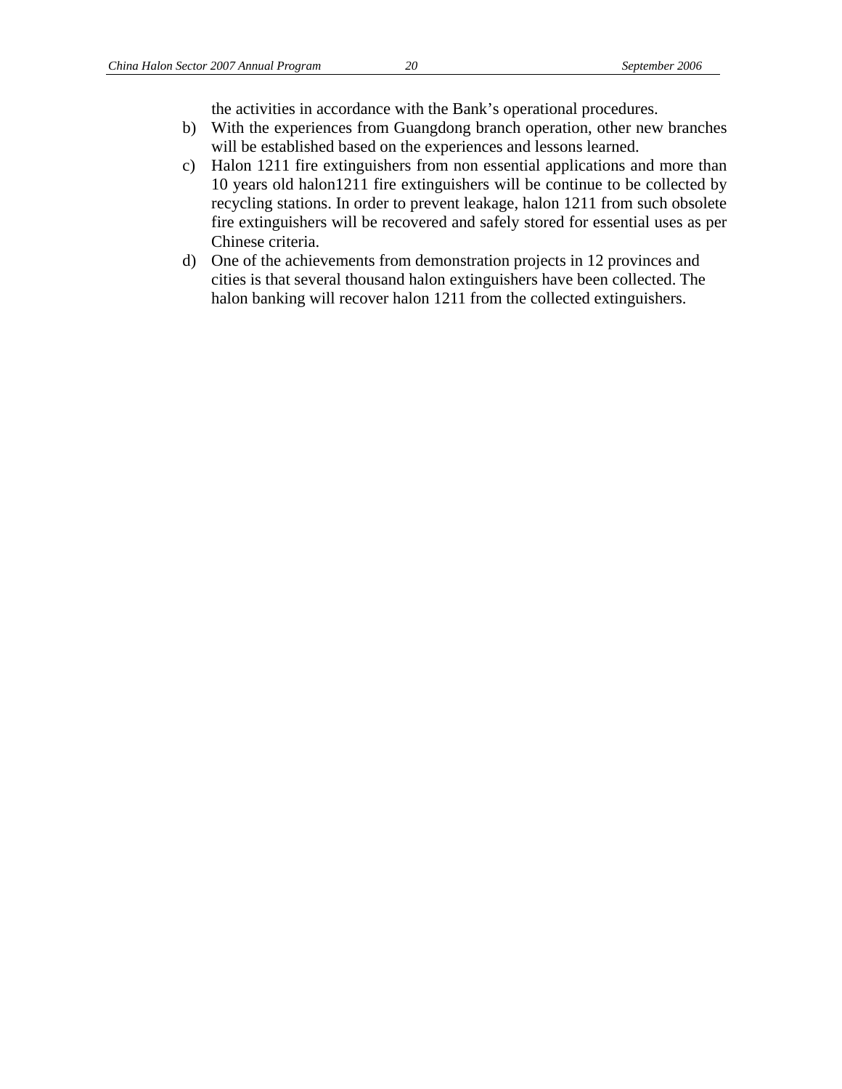the activities in accordance with the Bank's operational procedures.

- b) With the experiences from Guangdong branch operation, other new branches will be established based on the experiences and lessons learned.
- c) Halon 1211 fire extinguishers from non essential applications and more than 10 years old halon1211 fire extinguishers will be continue to be collected by recycling stations. In order to prevent leakage, halon 1211 from such obsolete fire extinguishers will be recovered and safely stored for essential uses as per Chinese criteria.
- d) One of the achievements from demonstration projects in 12 provinces and cities is that several thousand halon extinguishers have been collected. The halon banking will recover halon 1211 from the collected extinguishers.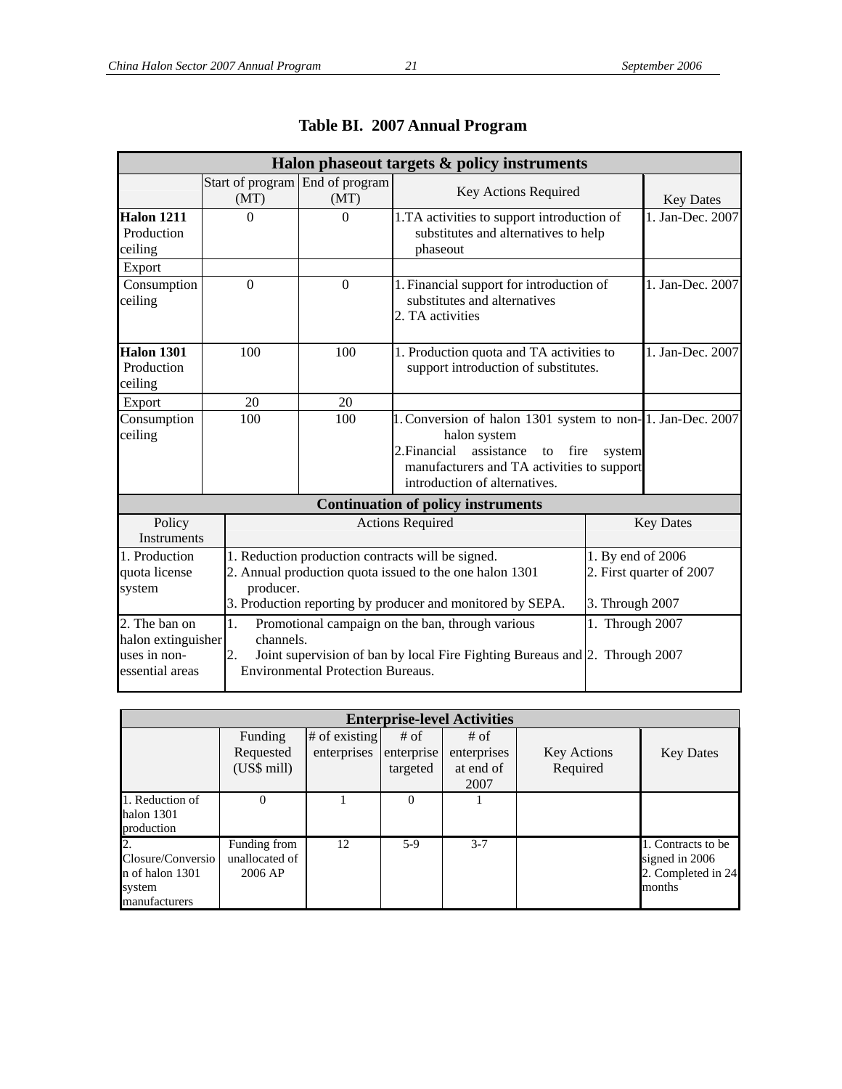| Halon phaseout targets & policy instruments                            |                                         |                                                                                                                                                                            |                                                                                                                                                                                                              |                  |                  |  |  |  |  |
|------------------------------------------------------------------------|-----------------------------------------|----------------------------------------------------------------------------------------------------------------------------------------------------------------------------|--------------------------------------------------------------------------------------------------------------------------------------------------------------------------------------------------------------|------------------|------------------|--|--|--|--|
|                                                                        | Start of program End of program<br>(MT) | (MT)                                                                                                                                                                       | Key Actions Required                                                                                                                                                                                         |                  | <b>Key Dates</b> |  |  |  |  |
| <b>Halon 1211</b><br>Production<br>ceiling                             | $\theta$                                | $\Omega$                                                                                                                                                                   | 1.TA activities to support introduction of<br>substitutes and alternatives to help<br>phaseout                                                                                                               |                  | 1. Jan-Dec. 2007 |  |  |  |  |
| Export<br>Consumption<br>ceiling                                       | $\overline{0}$                          | $\Omega$                                                                                                                                                                   | 1. Financial support for introduction of<br>substitutes and alternatives<br>2. TA activities                                                                                                                 | 1. Jan-Dec. 2007 |                  |  |  |  |  |
| <b>Halon 1301</b><br>Production<br>ceiling                             | 100                                     | 100                                                                                                                                                                        | 1. Production quota and TA activities to<br>support introduction of substitutes.                                                                                                                             | 1. Jan-Dec. 2007 |                  |  |  |  |  |
| Export                                                                 | 20                                      | 20                                                                                                                                                                         |                                                                                                                                                                                                              |                  |                  |  |  |  |  |
| Consumption<br>ceiling                                                 | 100                                     | 100                                                                                                                                                                        | 1. Conversion of halon 1301 system to non-1. Jan-Dec. 2007<br>halon system<br>2. Financial<br>assistance<br>to fire<br>system<br>manufacturers and TA activities to support<br>introduction of alternatives. |                  |                  |  |  |  |  |
|                                                                        |                                         |                                                                                                                                                                            | <b>Continuation of policy instruments</b>                                                                                                                                                                    |                  |                  |  |  |  |  |
| Policy<br><b>Instruments</b>                                           |                                         |                                                                                                                                                                            | <b>Actions Required</b>                                                                                                                                                                                      | <b>Key Dates</b> |                  |  |  |  |  |
| 1. Production<br>quota license<br>system                               | producer.                               | 1. Reduction production contracts will be signed.<br>2. Annual production quota issued to the one halon 1301<br>3. Production reporting by producer and monitored by SEPA. | 1. By end of 2006<br>2. First quarter of 2007<br>3. Through 2007                                                                                                                                             |                  |                  |  |  |  |  |
| 2. The ban on<br>halon extinguisher<br>uses in non-<br>essential areas | 1.<br>channels.<br>2.                   | Promotional campaign on the ban, through various<br><b>Environmental Protection Bureaus.</b>                                                                               | 1. Through 2007<br>Joint supervision of ban by local Fire Fighting Bureaus and 2. Through 2007                                                                                                               |                  |                  |  |  |  |  |

## **Table BI. 2007 Annual Program**

| <b>Enterprise-level Activities</b>                              |                                           |                 |            |             |                    |                                                                      |  |  |  |  |  |
|-----------------------------------------------------------------|-------------------------------------------|-----------------|------------|-------------|--------------------|----------------------------------------------------------------------|--|--|--|--|--|
|                                                                 | Funding                                   | $#$ of existing | $#$ of     | # of        |                    |                                                                      |  |  |  |  |  |
|                                                                 | Requested                                 | enterprises     | enterprise | enterprises | <b>Key Actions</b> | <b>Key Dates</b>                                                     |  |  |  |  |  |
|                                                                 | (US\$ mill)                               |                 | targeted   | at end of   | Required           |                                                                      |  |  |  |  |  |
|                                                                 |                                           |                 |            | 2007        |                    |                                                                      |  |  |  |  |  |
| 1. Reduction of<br>halon 1301<br>production                     | $\Omega$                                  |                 | 0          |             |                    |                                                                      |  |  |  |  |  |
| Closure/Conversio<br>n of halon 1301<br>system<br>manufacturers | Funding from<br>unallocated of<br>2006 AP | 12              | $5-9$      | $3 - 7$     |                    | 1. Contracts to be<br>signed in 2006<br>2. Completed in 24<br>months |  |  |  |  |  |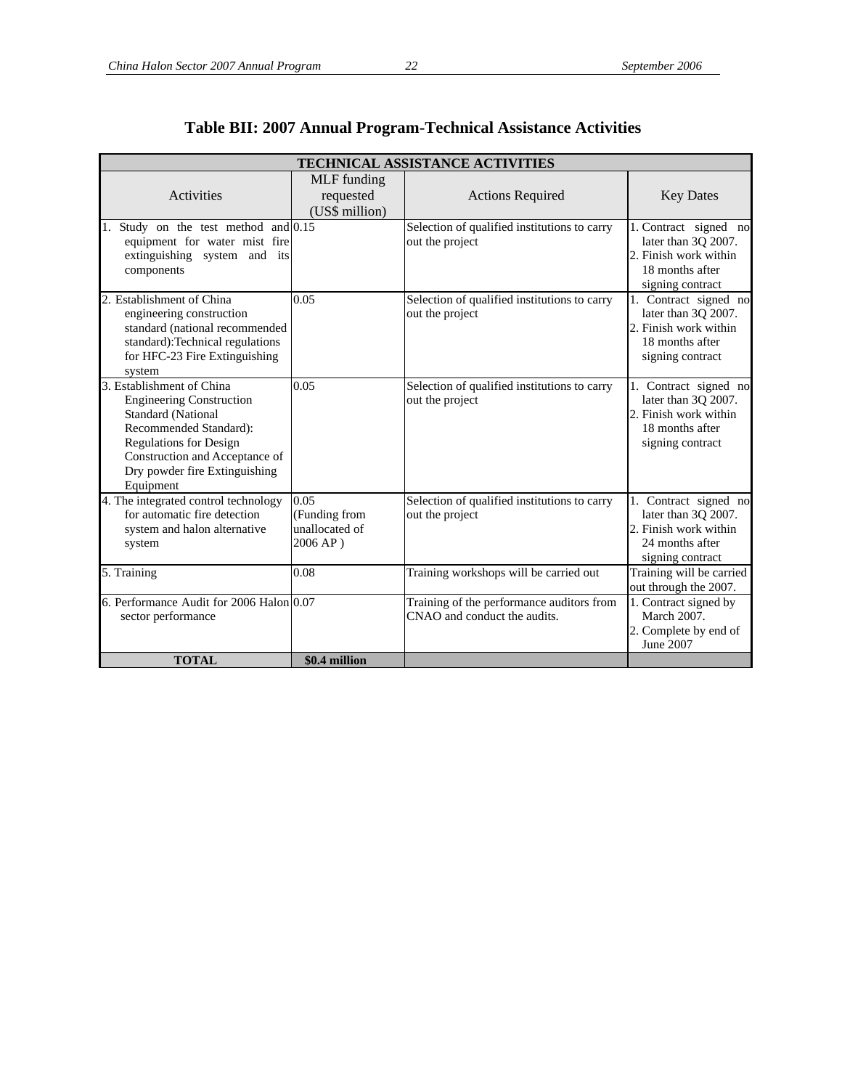| TECHNICAL ASSISTANCE ACTIVITIES                                                                                                                                                                                                      |                                                        |                                                                           |                                                                                                              |  |  |  |  |  |  |
|--------------------------------------------------------------------------------------------------------------------------------------------------------------------------------------------------------------------------------------|--------------------------------------------------------|---------------------------------------------------------------------------|--------------------------------------------------------------------------------------------------------------|--|--|--|--|--|--|
| Activities                                                                                                                                                                                                                           | MLF funding<br>requested<br>(US\$ million)             | <b>Actions Required</b>                                                   | <b>Key Dates</b>                                                                                             |  |  |  |  |  |  |
| Study on the test method and $\overline{0.15}$<br>1.<br>equipment for water mist fire<br>extinguishing system and its<br>components                                                                                                  |                                                        | Selection of qualified institutions to carry<br>out the project           | 1. Contract signed no<br>later than 3Q 2007.<br>2. Finish work within<br>18 months after<br>signing contract |  |  |  |  |  |  |
| 2. Establishment of China<br>engineering construction<br>standard (national recommended<br>standard):Technical regulations<br>for HFC-23 Fire Extinguishing<br>system                                                                | 0.05                                                   | Selection of qualified institutions to carry<br>out the project           | 1. Contract signed no<br>later than 3Q 2007.<br>2. Finish work within<br>18 months after<br>signing contract |  |  |  |  |  |  |
| 3. Establishment of China<br><b>Engineering Construction</b><br><b>Standard (National</b><br>Recommended Standard):<br><b>Regulations for Design</b><br>Construction and Acceptance of<br>Dry powder fire Extinguishing<br>Equipment | 0.05                                                   | Selection of qualified institutions to carry<br>out the project           | 1. Contract signed no<br>later than 3Q 2007.<br>2. Finish work within<br>18 months after<br>signing contract |  |  |  |  |  |  |
| 4. The integrated control technology<br>for automatic fire detection<br>system and halon alternative<br>system                                                                                                                       | 0.05<br>(Funding from<br>unallocated of<br>$2006 AP$ ) | Selection of qualified institutions to carry<br>out the project           | 1. Contract signed no<br>later than 3Q 2007.<br>2. Finish work within<br>24 months after<br>signing contract |  |  |  |  |  |  |
| 5. Training                                                                                                                                                                                                                          | 0.08                                                   | Training workshops will be carried out                                    | Training will be carried<br>out through the 2007.                                                            |  |  |  |  |  |  |
| 6. Performance Audit for 2006 Halon 0.07<br>sector performance                                                                                                                                                                       |                                                        | Training of the performance auditors from<br>CNAO and conduct the audits. | 1. Contract signed by<br>March 2007.<br>2. Complete by end of<br>June 2007                                   |  |  |  |  |  |  |
| <b>TOTAL</b>                                                                                                                                                                                                                         | \$0.4 million                                          |                                                                           |                                                                                                              |  |  |  |  |  |  |

## **Table BII: 2007 Annual Program-Technical Assistance Activities**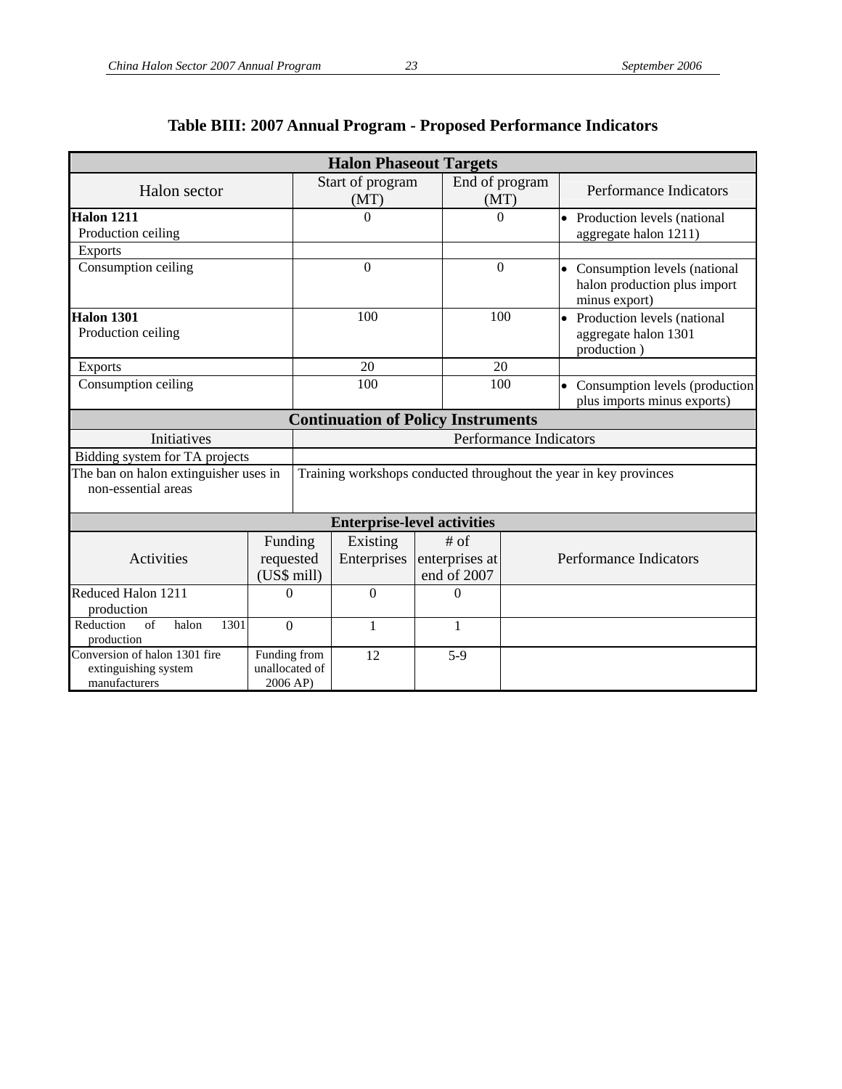|                                                                          |                                            |                                                                   | <b>Halon Phaseout Targets</b>             |                               |                        |  |                                                                                 |  |
|--------------------------------------------------------------------------|--------------------------------------------|-------------------------------------------------------------------|-------------------------------------------|-------------------------------|------------------------|--|---------------------------------------------------------------------------------|--|
| Halon sector                                                             |                                            |                                                                   | Start of program<br>(MT)                  |                               | End of program<br>(MT) |  | Performance Indicators                                                          |  |
| Halon 1211<br>Production ceiling                                         |                                            |                                                                   | $\theta$                                  |                               | $\Omega$               |  | • Production levels (national<br>aggregate halon 1211)                          |  |
| <b>Exports</b>                                                           |                                            |                                                                   |                                           |                               |                        |  |                                                                                 |  |
| Consumption ceiling                                                      |                                            | $\theta$                                                          |                                           |                               | $\theta$               |  | • Consumption levels (national<br>halon production plus import<br>minus export) |  |
| <b>Halon 1301</b><br>Production ceiling                                  |                                            |                                                                   | 100                                       |                               | 100                    |  | • Production levels (national<br>aggregate halon 1301<br>production)            |  |
| <b>Exports</b>                                                           |                                            |                                                                   | 20                                        |                               | 20                     |  |                                                                                 |  |
| Consumption ceiling                                                      |                                            | 100                                                               |                                           |                               | 100                    |  | • Consumption levels (production<br>plus imports minus exports)                 |  |
|                                                                          |                                            |                                                                   | <b>Continuation of Policy Instruments</b> |                               |                        |  |                                                                                 |  |
| Initiatives                                                              |                                            | <b>Performance Indicators</b>                                     |                                           |                               |                        |  |                                                                                 |  |
| Bidding system for TA projects                                           |                                            |                                                                   |                                           |                               |                        |  |                                                                                 |  |
| The ban on halon extinguisher uses in<br>non-essential areas             |                                            | Training workshops conducted throughout the year in key provinces |                                           |                               |                        |  |                                                                                 |  |
|                                                                          |                                            |                                                                   | <b>Enterprise-level activities</b>        |                               |                        |  |                                                                                 |  |
|                                                                          | Funding                                    |                                                                   | Existing                                  | $#$ of                        |                        |  |                                                                                 |  |
| Activities                                                               | requested<br>(US\$ mill)                   |                                                                   | Enterprises                               | enterprises at<br>end of 2007 |                        |  | Performance Indicators                                                          |  |
| Reduced Halon 1211<br>production                                         | 0                                          |                                                                   | $\overline{0}$                            | $\boldsymbol{0}$              |                        |  |                                                                                 |  |
| Reduction<br>$\sigma$ f<br>1301<br>halon<br>$\overline{0}$<br>production |                                            |                                                                   | $\mathbf{1}$<br>1                         |                               |                        |  |                                                                                 |  |
| Conversion of halon 1301 fire<br>extinguishing system<br>manufacturers   | Funding from<br>unallocated of<br>2006 AP) |                                                                   | 12                                        | $5-9$                         |                        |  |                                                                                 |  |

## **Table BIII: 2007 Annual Program - Proposed Performance Indicators**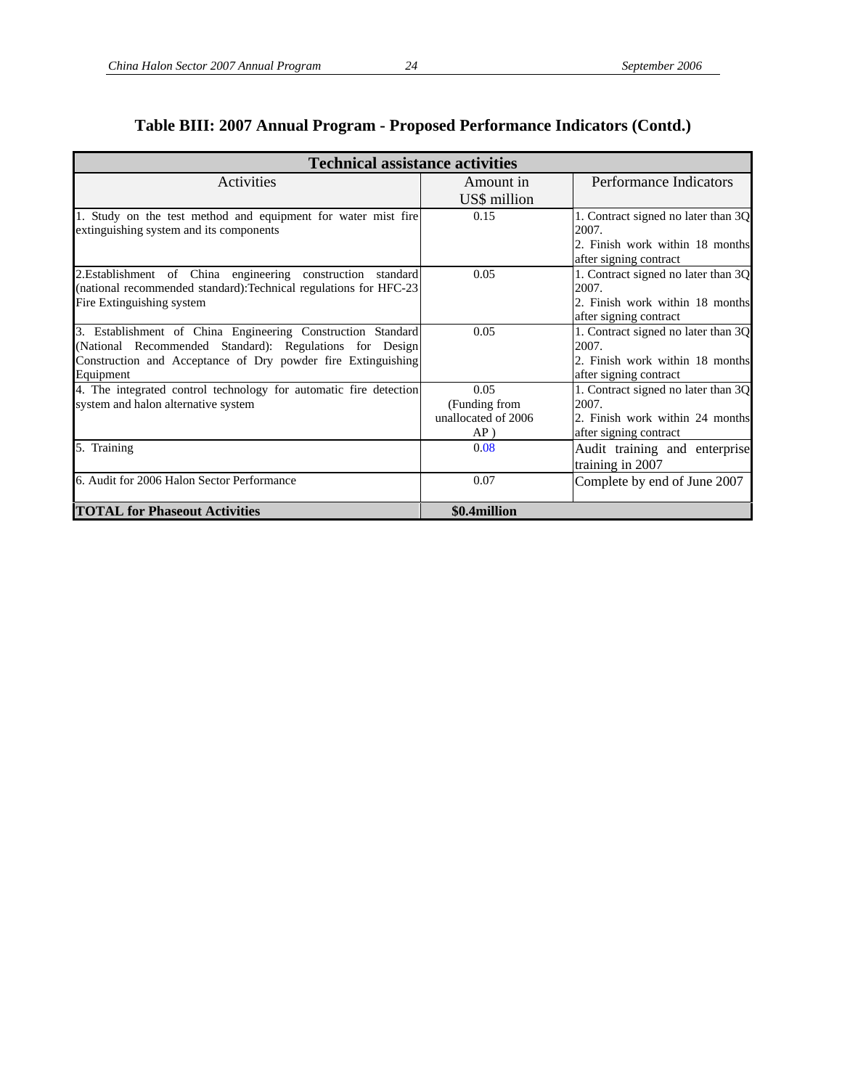|                                                                                                                                 | <b>Technical assistance activities</b>         |                                                                                 |  |  |  |  |  |  |  |  |
|---------------------------------------------------------------------------------------------------------------------------------|------------------------------------------------|---------------------------------------------------------------------------------|--|--|--|--|--|--|--|--|
| Activities                                                                                                                      | Amount in                                      | Performance Indicators                                                          |  |  |  |  |  |  |  |  |
|                                                                                                                                 | US\$ million                                   |                                                                                 |  |  |  |  |  |  |  |  |
| 1. Study on the test method and equipment for water mist fire<br>extinguishing system and its components                        | 0.15                                           | 1. Contract signed no later than 3Q<br>2007.<br>2. Finish work within 18 months |  |  |  |  |  |  |  |  |
|                                                                                                                                 |                                                | after signing contract                                                          |  |  |  |  |  |  |  |  |
| 2.Establishment of China engineering construction standard<br>(national recommended standard): Technical regulations for HFC-23 | 0.05                                           | 1. Contract signed no later than 3Q<br>2007.                                    |  |  |  |  |  |  |  |  |
| Fire Extinguishing system                                                                                                       |                                                | 2. Finish work within 18 months<br>after signing contract                       |  |  |  |  |  |  |  |  |
| 3. Establishment of China Engineering Construction Standard<br>(National Recommended Standard): Regulations for Design          | 0.05                                           | 1. Contract signed no later than 3Q<br>2007.                                    |  |  |  |  |  |  |  |  |
| Construction and Acceptance of Dry powder fire Extinguishing<br>Equipment                                                       |                                                | 2. Finish work within 18 months<br>after signing contract                       |  |  |  |  |  |  |  |  |
| 4. The integrated control technology for automatic fire detection                                                               | 0.05                                           | 1. Contract signed no later than 3Q                                             |  |  |  |  |  |  |  |  |
| system and halon alternative system                                                                                             | (Funding from<br>unallocated of 2006<br>$AP$ ) | 2007.<br>2. Finish work within 24 months<br>after signing contract              |  |  |  |  |  |  |  |  |
| 5. Training                                                                                                                     | 0.08                                           | Audit training and enterprise<br>training in 2007                               |  |  |  |  |  |  |  |  |
| 6. Audit for 2006 Halon Sector Performance                                                                                      | 0.07                                           | Complete by end of June 2007                                                    |  |  |  |  |  |  |  |  |
| <b>TOTAL for Phaseout Activities</b>                                                                                            | \$0.4million                                   |                                                                                 |  |  |  |  |  |  |  |  |

## **Table BIII: 2007 Annual Program - Proposed Performance Indicators (Contd.)**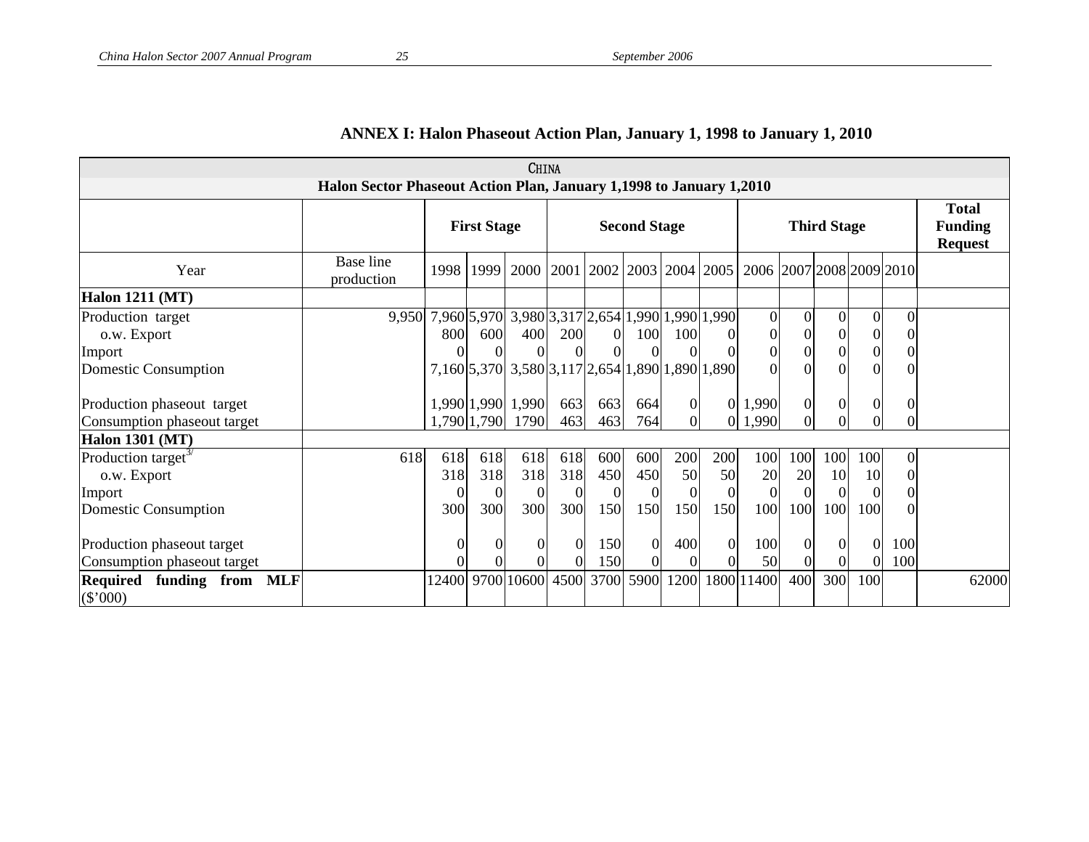| <b>CHINA</b>                                      |                                                                     |                                                              |          |                                                 |          |          |                    |                  |                |                            |                                                  |                      |          |          |       |
|---------------------------------------------------|---------------------------------------------------------------------|--------------------------------------------------------------|----------|-------------------------------------------------|----------|----------|--------------------|------------------|----------------|----------------------------|--------------------------------------------------|----------------------|----------|----------|-------|
|                                                   | Halon Sector Phaseout Action Plan, January 1,1998 to January 1,2010 |                                                              |          |                                                 |          |          |                    |                  |                |                            |                                                  |                      |          |          |       |
|                                                   |                                                                     | <b>First Stage</b>                                           |          | <b>Second Stage</b>                             |          |          | <b>Third Stage</b> |                  |                |                            | <b>Total</b><br><b>Funding</b><br><b>Request</b> |                      |          |          |       |
| Year                                              | Base line<br>production                                             | 1998                                                         | 1999     | 2000 2001 2002 2003 2004 2005                   |          |          |                    |                  |                | 2006 2007 2008 2009 2010   |                                                  |                      |          |          |       |
| <b>Halon 1211 (MT)</b>                            |                                                                     |                                                              |          |                                                 |          |          |                    |                  |                |                            |                                                  |                      |          |          |       |
| Production target<br>o.w. Export                  |                                                                     | 9,950 7,960 5,970 3,980 3,317 2,654 1,990 1,990 1,990<br>800 | 600      | 400                                             | 200      | $\Omega$ | 100                | 100              | $\Omega$       | $\overline{0}$<br>$\Omega$ | $\overline{0}$<br>$\boldsymbol{0}$               | $\Omega$<br>$\Omega$ | $\Omega$ | $\Omega$ |       |
| Import                                            |                                                                     | $\Omega$                                                     |          |                                                 | 0        |          |                    |                  |                | $\Omega$                   | $\Omega$                                         | $\theta$             | $\theta$ |          |       |
| <b>Domestic Consumption</b>                       |                                                                     |                                                              |          | 7,160 5,370 3,580 3,117 2,654 1,890 1,890 1,890 |          |          |                    |                  |                | $\Omega$                   | $\Omega$                                         |                      |          |          |       |
| Production phaseout target                        |                                                                     |                                                              |          | 1,990 1,990 1,990                               | 663      | 663      | 664                | $\boldsymbol{0}$ | $\Omega$       | 1,990                      | $\boldsymbol{0}$                                 | $\theta$             |          |          |       |
| Consumption phaseout target                       |                                                                     |                                                              |          | 1,790 1,790 1790                                | 463      | 463      | 764                | $\Omega$         |                | 0 1,990                    | $\Omega$                                         |                      |          |          |       |
| <b>Halon 1301 (MT)</b>                            |                                                                     |                                                              |          |                                                 |          |          |                    |                  |                |                            |                                                  |                      |          |          |       |
| Production target <sup>3/</sup>                   | 618                                                                 | 618                                                          | 618      | 618                                             | 618      | 600      | 600                | 200              | 200            | 100                        | 100                                              | 100                  | 100      | $\theta$ |       |
| o.w. Export                                       |                                                                     | 318                                                          | 318      | 318                                             | 318      | 450      | 450                | 50               | 50             | 20                         | 20                                               | 10                   | 10       |          |       |
| Import                                            |                                                                     | $\boldsymbol{0}$                                             | $\Omega$ |                                                 | $\Omega$ | $\Omega$ | $\overline{0}$     |                  | $\overline{0}$ | $\Omega$                   |                                                  |                      |          |          |       |
| <b>Domestic Consumption</b>                       |                                                                     | 300                                                          | 300      | 300                                             | 300      | 150      | 150                | 150              | 150            | 100                        | 100                                              | 100                  | 100      |          |       |
| Production phaseout target                        |                                                                     | $\overline{0}$                                               | $\Omega$ | $\theta$                                        | $\Omega$ | 150      | $\overline{0}$     | 400              | $\overline{0}$ | 100                        | $\overline{0}$                                   | $\Omega$             | $\Omega$ | 100      |       |
| Consumption phaseout target                       |                                                                     | $\Omega$                                                     |          |                                                 | $\Omega$ | 150      | $\overline{0}$     |                  | $\Omega$       | 50                         |                                                  |                      |          | 100      |       |
| Required funding from<br><b>MLF</b><br>$(\$'000)$ |                                                                     | 12400                                                        | 9700     | 10600                                           | 4500     | 3700     | 5900               | 1200             | 1800           | 11400                      | 400                                              | 300                  | 100      |          | 62000 |

## **ANNEX I: Halon Phaseout Action Plan, January 1, 1998 to January 1, 2010**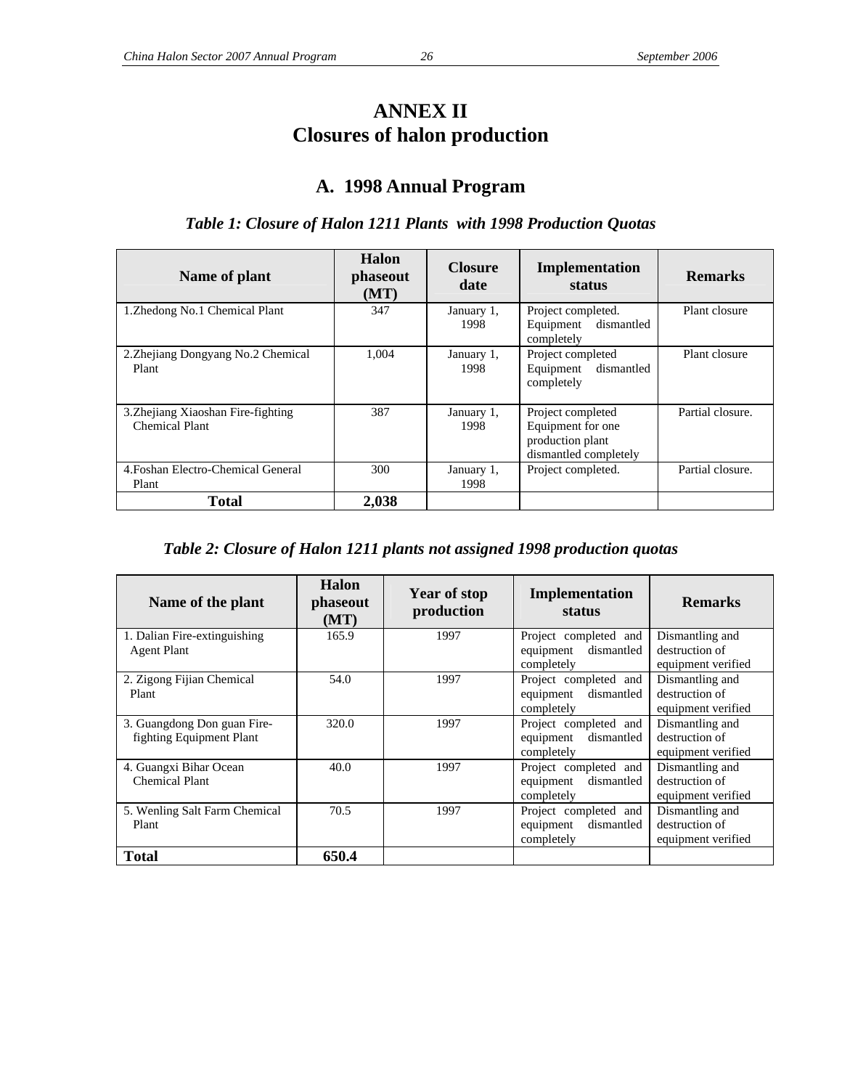## **ANNEX II Closures of halon production**

## **A. 1998 Annual Program**

## *Table 1: Closure of Halon 1211 Plants with 1998 Production Quotas*

| Name of plant                                        | <b>Halon</b><br>phaseout<br>(MT) | <b>Closure</b><br>date | Implementation<br>status                                                            | <b>Remarks</b>   |
|------------------------------------------------------|----------------------------------|------------------------|-------------------------------------------------------------------------------------|------------------|
| 1. Zhedong No. 1 Chemical Plant                      | 347                              | January 1,<br>1998     | Project completed.<br>Equipment dismantled<br>completely                            | Plant closure    |
| 2. Zhejiang Dongyang No. 2 Chemical<br>Plant         | 1.004                            | January 1,<br>1998     | Project completed<br>dismantled<br>Equipment<br>completely                          | Plant closure    |
| 3. Zhejiang Xiaoshan Fire-fighting<br>Chemical Plant | 387                              | January 1,<br>1998     | Project completed<br>Equipment for one<br>production plant<br>dismantled completely | Partial closure. |
| 4. Foshan Electro-Chemical General<br>Plant          | 300                              | January 1,<br>1998     | Project completed.                                                                  | Partial closure. |
| <b>Total</b>                                         | 2,038                            |                        |                                                                                     |                  |

#### *Table 2: Closure of Halon 1211 plants not assigned 1998 production quotas*

| Name of the plant             | Halon<br>phaseout<br>(MT) | <b>Year of stop</b><br>production | Implementation<br>status | <b>Remarks</b>     |
|-------------------------------|---------------------------|-----------------------------------|--------------------------|--------------------|
| 1. Dalian Fire-extinguishing  | 165.9                     | 1997                              | Project completed and    | Dismantling and    |
| <b>Agent Plant</b>            |                           |                                   | dismantled<br>equipment  | destruction of     |
|                               |                           |                                   | completely               | equipment verified |
| 2. Zigong Fijian Chemical     | 54.0                      | 1997                              | Project completed and    | Dismantling and    |
| Plant                         |                           |                                   | dismantled<br>equipment  | destruction of     |
|                               |                           |                                   | completely               | equipment verified |
| 3. Guangdong Don guan Fire-   | 320.0                     | 1997                              | Project completed and    | Dismantling and    |
| fighting Equipment Plant      |                           |                                   | dismantled<br>equipment  | destruction of     |
|                               |                           |                                   | completely               | equipment verified |
| 4. Guangxi Bihar Ocean        | 40.0                      | 1997                              | Project completed and    | Dismantling and    |
| Chemical Plant                |                           |                                   | dismantled<br>equipment  | destruction of     |
|                               |                           |                                   | completely               | equipment verified |
| 5. Wenling Salt Farm Chemical | 70.5                      | 1997                              | Project completed and    | Dismantling and    |
| Plant                         |                           |                                   | dismantled<br>equipment  | destruction of     |
|                               |                           |                                   | completely               | equipment verified |
| Total                         | 650.4                     |                                   |                          |                    |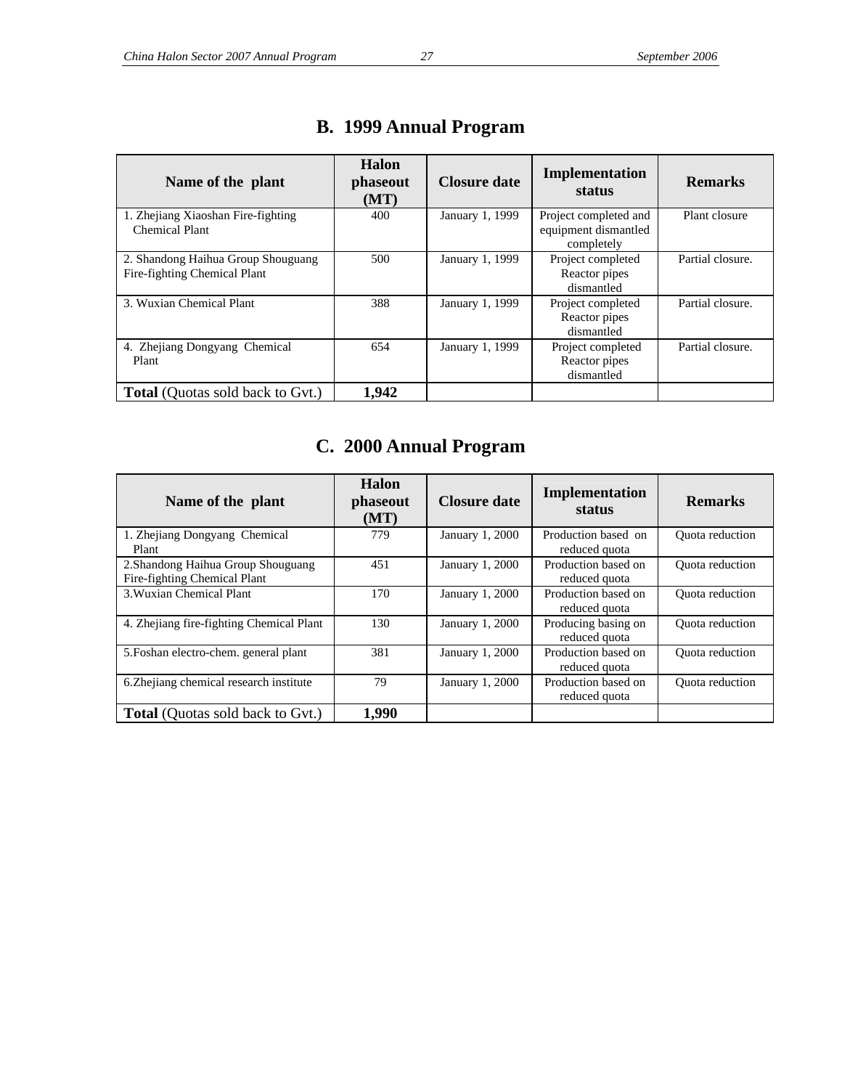| Name of the plant                                                  | Halon<br>phaseout<br>(MT) | Closure date    | Implementation<br>status                                    | <b>Remarks</b>   |
|--------------------------------------------------------------------|---------------------------|-----------------|-------------------------------------------------------------|------------------|
| 1. Zhejiang Xiaoshan Fire-fighting<br>Chemical Plant               | 400                       | January 1, 1999 | Project completed and<br>equipment dismantled<br>completely | Plant closure    |
| 2. Shandong Haihua Group Shouguang<br>Fire-fighting Chemical Plant | 500                       | January 1, 1999 | Project completed<br>Reactor pipes<br>dismantled            | Partial closure. |
| 3. Wuxian Chemical Plant                                           | 388                       | January 1, 1999 | Project completed<br>Reactor pipes<br>dismantled            | Partial closure. |
| 4. Zhejiang Dongyang Chemical<br>Plant                             | 654                       | January 1, 1999 | Project completed<br>Reactor pipes<br>dismantled            | Partial closure. |
| <b>Total</b> (Quotas sold back to Gvt.)                            | 1,942                     |                 |                                                             |                  |

## **B. 1999 Annual Program**

## **C. 2000 Annual Program**

| Name of the plant                                                  | Halon<br>phaseout<br>(MT) | <b>Closure date</b>    | Implementation<br>status             | <b>Remarks</b>         |
|--------------------------------------------------------------------|---------------------------|------------------------|--------------------------------------|------------------------|
| 1. Zhejiang Dongyang Chemical<br>Plant                             | 779                       | <b>January 1, 2000</b> | Production based on<br>reduced quota | <b>Ouota</b> reduction |
| 2. Shandong Haihua Group Shouguang<br>Fire-fighting Chemical Plant | 451                       | January 1, 2000        | Production based on<br>reduced quota | <b>Ouota</b> reduction |
| 3. Wuxian Chemical Plant                                           | 170                       | January 1, 2000        | Production based on<br>reduced quota | Quota reduction        |
| 4. Zhejiang fire-fighting Chemical Plant                           | 130                       | January 1, 2000        | Producing basing on<br>reduced quota | <b>Ouota</b> reduction |
| 5. Foshan electro-chem. general plant                              | 381                       | <b>January 1, 2000</b> | Production based on<br>reduced quota | <b>Ouota</b> reduction |
| 6. Zhejiang chemical research institute                            | 79                        | January 1, 2000        | Production based on<br>reduced quota | <b>Ouota</b> reduction |
| <b>Total</b> (Quotas sold back to Gvt.)                            | 1,990                     |                        |                                      |                        |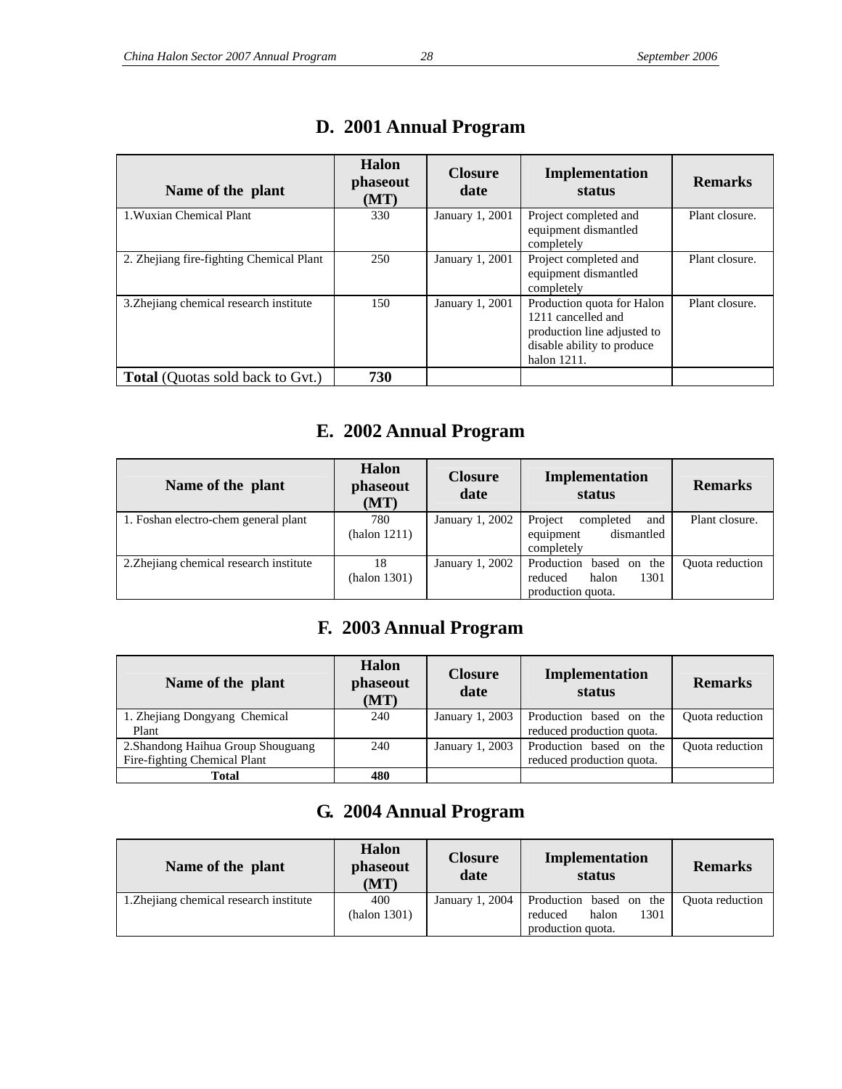| Name of the plant                        | Halon<br><i>phaseout</i><br>(MT) | <b>Closure</b><br>date | Implementation<br>status                                                                                                     | <b>Remarks</b> |
|------------------------------------------|----------------------------------|------------------------|------------------------------------------------------------------------------------------------------------------------------|----------------|
| 1. Wuxian Chemical Plant                 | 330                              | January 1, 2001        | Project completed and<br>equipment dismantled<br>completely                                                                  | Plant closure. |
| 2. Zhejiang fire-fighting Chemical Plant | 250                              | January 1, 2001        | Project completed and<br>equipment dismantled<br>completely                                                                  | Plant closure. |
| 3. Zhejiang chemical research institute  | 150                              | January 1, 2001        | Production quota for Halon<br>1211 cancelled and<br>production line adjusted to<br>disable ability to produce<br>halon 1211. | Plant closure. |
| <b>Total</b> (Quotas sold back to Gvt.)  | 730                              |                        |                                                                                                                              |                |

## **D. 2001 Annual Program**

## **E. 2002 Annual Program**

| Name of the plant                       | <b>Halon</b><br>phaseout<br>(MT) | <b>Closure</b><br>date | Implementation<br>status                                                 | <b>Remarks</b>         |
|-----------------------------------------|----------------------------------|------------------------|--------------------------------------------------------------------------|------------------------|
| 1. Foshan electro-chem general plant    | 780<br>(halon 1211)              | January 1, 2002        | Project<br>completed<br>and<br>dismantled<br>equipment<br>completely     | Plant closure.         |
| 2. Zhejiang chemical research institute | 18<br>(halon 1301)               | January 1, 2002        | Production based on the<br>halon<br>1301<br>reduced<br>production quota. | <b>Ouota</b> reduction |

## **F. 2003 Annual Program**

| Name of the plant                  | Halon<br>phaseout<br>(MT) | <b>Closure</b><br>date | Implementation<br>status  | <b>Remarks</b>         |
|------------------------------------|---------------------------|------------------------|---------------------------|------------------------|
| 1. Zhejiang Dongyang Chemical      | 240                       | January 1, 2003        | Production based on the   | <b>Ouota</b> reduction |
| Plant                              |                           |                        | reduced production quota. |                        |
| 2. Shandong Haihua Group Shouguang | 240                       | January 1, 2003        | Production based on the   | <b>Ouota</b> reduction |
| Fire-fighting Chemical Plant       |                           |                        | reduced production quota. |                        |
| <b>Total</b>                       | 480                       |                        |                           |                        |

## **G. 2004 Annual Program**

| Name of the plant                       | <b>Halon</b><br>phaseout<br>(MT) | <b>Closure</b><br>date | Implementation<br>status                                                 | <b>Remarks</b>  |
|-----------------------------------------|----------------------------------|------------------------|--------------------------------------------------------------------------|-----------------|
| 1. Zhejiang chemical research institute | 400<br>(halon 1301)              | January 1, 2004        | Production based on the<br>1301<br>halon<br>reduced<br>production quota. | Quota reduction |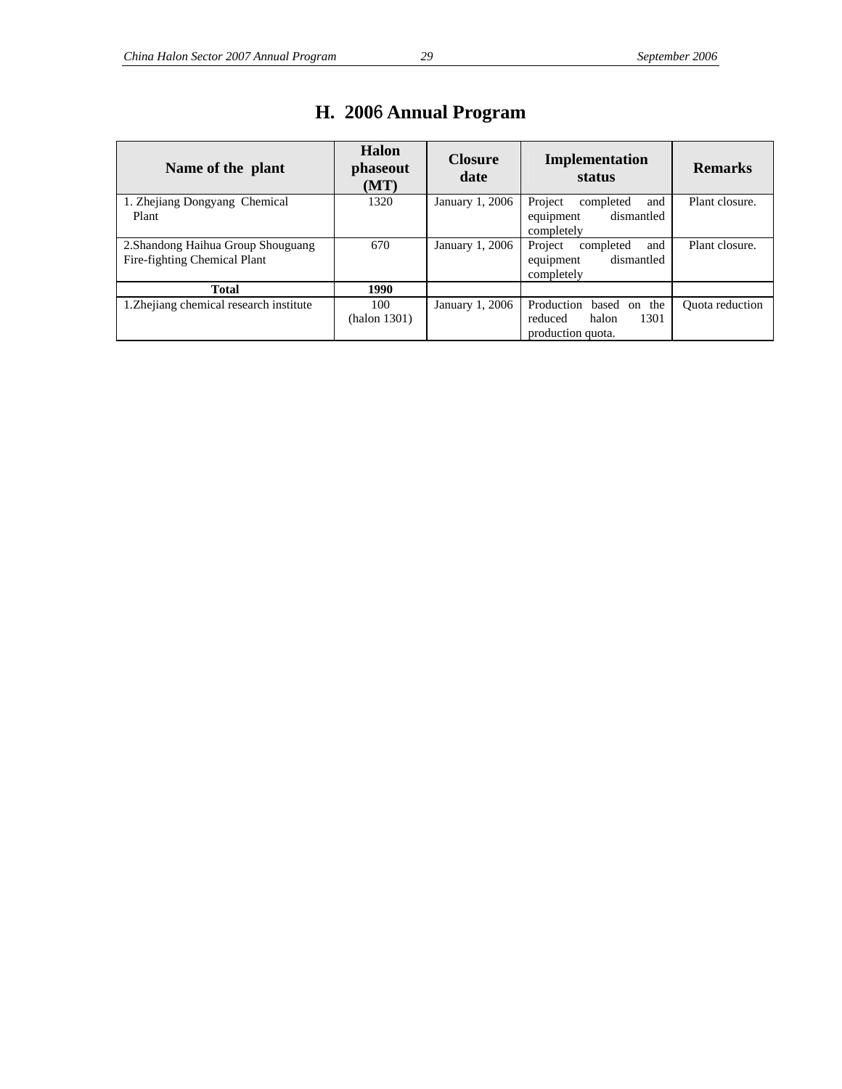| Name of the plant                                                  | Halon<br>phaseout<br>(MT) | <b>Closure</b><br>date | Implementation<br>status                                                 | <b>Remarks</b>  |
|--------------------------------------------------------------------|---------------------------|------------------------|--------------------------------------------------------------------------|-----------------|
| 1. Zhejiang Dongyang Chemical<br>Plant                             | 1320                      | January 1, 2006        | Project<br>and<br>completed<br>dismantled<br>equipment                   | Plant closure.  |
|                                                                    |                           |                        | completely                                                               |                 |
| 2. Shandong Haihua Group Shouguang<br>Fire-fighting Chemical Plant | 670                       | January 1, 2006        | Project<br>and<br>completed<br>dismantled<br>equipment<br>completely     | Plant closure.  |
| <b>Total</b>                                                       | 1990                      |                        |                                                                          |                 |
| 1. Zhejiang chemical research institute                            | 100<br>(halon 1301)       | January 1, 2006        | Production based on the<br>1301<br>halon<br>reduced<br>production quota. | Quota reduction |

## **H. 200**6 **Annual Program**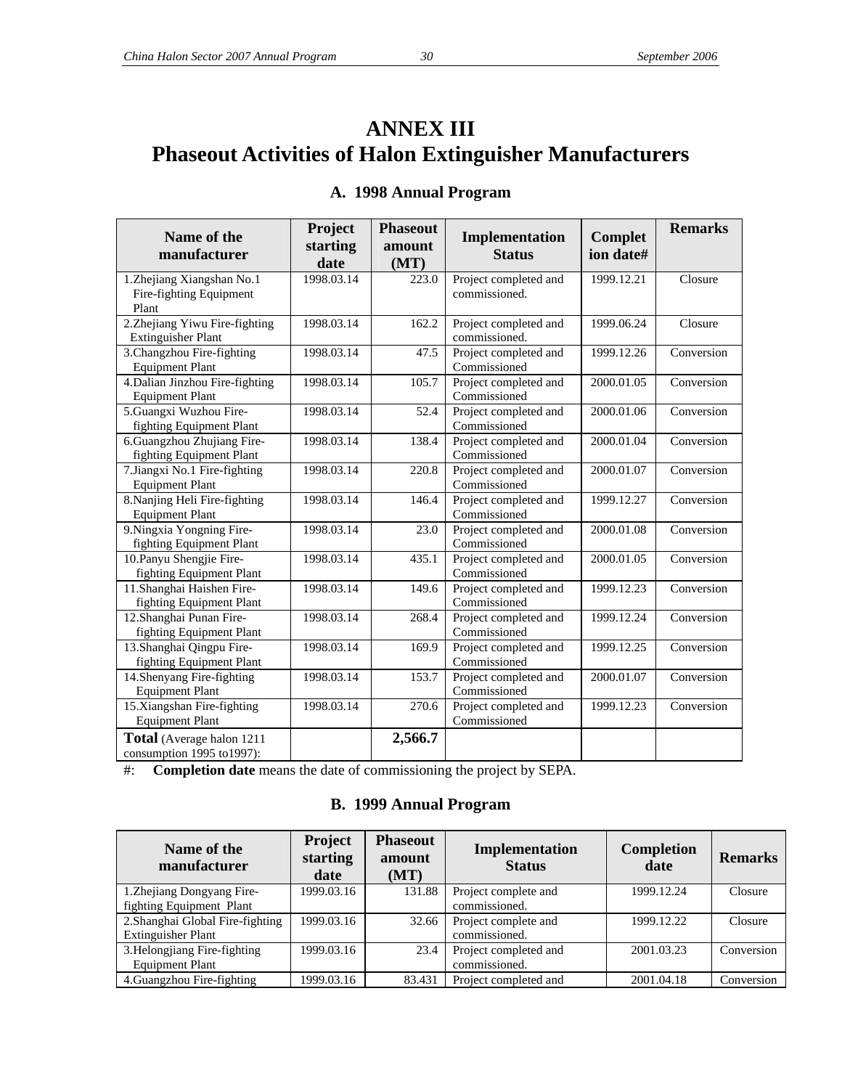## **ANNEX III Phaseout Activities of Halon Extinguisher Manufacturers**

| Name of the<br>manufacturer                                   | Project<br>starting<br>date | <b>Phaseout</b><br>amount<br>(MT) | Implementation<br><b>Status</b>        | <b>Complet</b><br>ion date# | <b>Remarks</b> |
|---------------------------------------------------------------|-----------------------------|-----------------------------------|----------------------------------------|-----------------------------|----------------|
| 1.Zhejiang Xiangshan No.1<br>Fire-fighting Equipment<br>Plant | 1998.03.14                  | 223.0                             | Project completed and<br>commissioned. | 1999.12.21                  | Closure        |
| 2.Zhejiang Yiwu Fire-fighting<br><b>Extinguisher Plant</b>    | 1998.03.14                  | 162.2                             | Project completed and<br>commissioned. | 1999.06.24                  | Closure        |
| 3. Changzhou Fire-fighting<br><b>Equipment Plant</b>          | 1998.03.14                  | 47.5                              | Project completed and<br>Commissioned  | 1999.12.26                  | Conversion     |
| 4. Dalian Jinzhou Fire-fighting<br><b>Equipment Plant</b>     | 1998.03.14                  | 105.7                             | Project completed and<br>Commissioned  | 2000.01.05                  | Conversion     |
| 5.Guangxi Wuzhou Fire-<br>fighting Equipment Plant            | 1998.03.14                  | 52.4                              | Project completed and<br>Commissioned  | 2000.01.06                  | Conversion     |
| 6.Guangzhou Zhujiang Fire-<br>fighting Equipment Plant        | 1998.03.14                  | 138.4                             | Project completed and<br>Commissioned  | 2000.01.04                  | Conversion     |
| 7.Jiangxi No.1 Fire-fighting<br><b>Equipment Plant</b>        | 1998.03.14                  | 220.8                             | Project completed and<br>Commissioned  | 2000.01.07                  | Conversion     |
| 8. Nanjing Heli Fire-fighting<br><b>Equipment Plant</b>       | 1998.03.14                  | 146.4                             | Project completed and<br>Commissioned  | 1999.12.27                  | Conversion     |
| 9. Ningxia Yongning Fire-<br>fighting Equipment Plant         | 1998.03.14                  | 23.0                              | Project completed and<br>Commissioned  | 2000.01.08                  | Conversion     |
| 10. Panyu Shengjie Fire-<br>fighting Equipment Plant          | 1998.03.14                  | 435.1                             | Project completed and<br>Commissioned  | 2000.01.05                  | Conversion     |
| 11.Shanghai Haishen Fire-<br>fighting Equipment Plant         | 1998.03.14                  | 149.6                             | Project completed and<br>Commissioned  | 1999.12.23                  | Conversion     |
| 12.Shanghai Punan Fire-<br>fighting Equipment Plant           | 1998.03.14                  | 268.4                             | Project completed and<br>Commissioned  | 1999.12.24                  | Conversion     |
| 13.Shanghai Qingpu Fire-<br>fighting Equipment Plant          | 1998.03.14                  | 169.9                             | Project completed and<br>Commissioned  | 1999.12.25                  | Conversion     |
| 14. Shenyang Fire-fighting<br><b>Equipment Plant</b>          | 1998.03.14                  | 153.7                             | Project completed and<br>Commissioned  | 2000.01.07                  | Conversion     |
| 15.Xiangshan Fire-fighting<br><b>Equipment Plant</b>          | 1998.03.14                  | 270.6                             | Project completed and<br>Commissioned  | 1999.12.23                  | Conversion     |
| Total (Average halon 1211<br>consumption 1995 to 1997):       |                             | 2,566.7                           |                                        |                             |                |

## **A. 1998 Annual Program**

#: **Completion date** means the date of commissioning the project by SEPA.

#### **B. 1999 Annual Program**

| Name of the<br>manufacturer      | Project<br>starting<br>date | <b>Phaseout</b><br>amount<br>(MT) | Implementation<br><b>Status</b> | <b>Completion</b><br>date | <b>Remarks</b> |
|----------------------------------|-----------------------------|-----------------------------------|---------------------------------|---------------------------|----------------|
| 1. Zhejiang Dongyang Fire-       | 1999.03.16                  | 131.88                            | Project complete and            | 1999.12.24                | Closure        |
| fighting Equipment Plant         |                             |                                   | commissioned.                   |                           |                |
| 2. Shanghai Global Fire-fighting | 1999.03.16                  | 32.66                             | Project complete and            | 1999.12.22                | Closure        |
| <b>Extinguisher Plant</b>        |                             |                                   | commissioned.                   |                           |                |
| 3. Helongjiang Fire-fighting     | 1999.03.16                  | 23.4                              | Project completed and           | 2001.03.23                | Conversion     |
| <b>Equipment Plant</b>           |                             |                                   | commissioned.                   |                           |                |
| 4. Guangzhou Fire-fighting       | 1999.03.16                  | 83.431                            | Project completed and           | 2001.04.18                | Conversion     |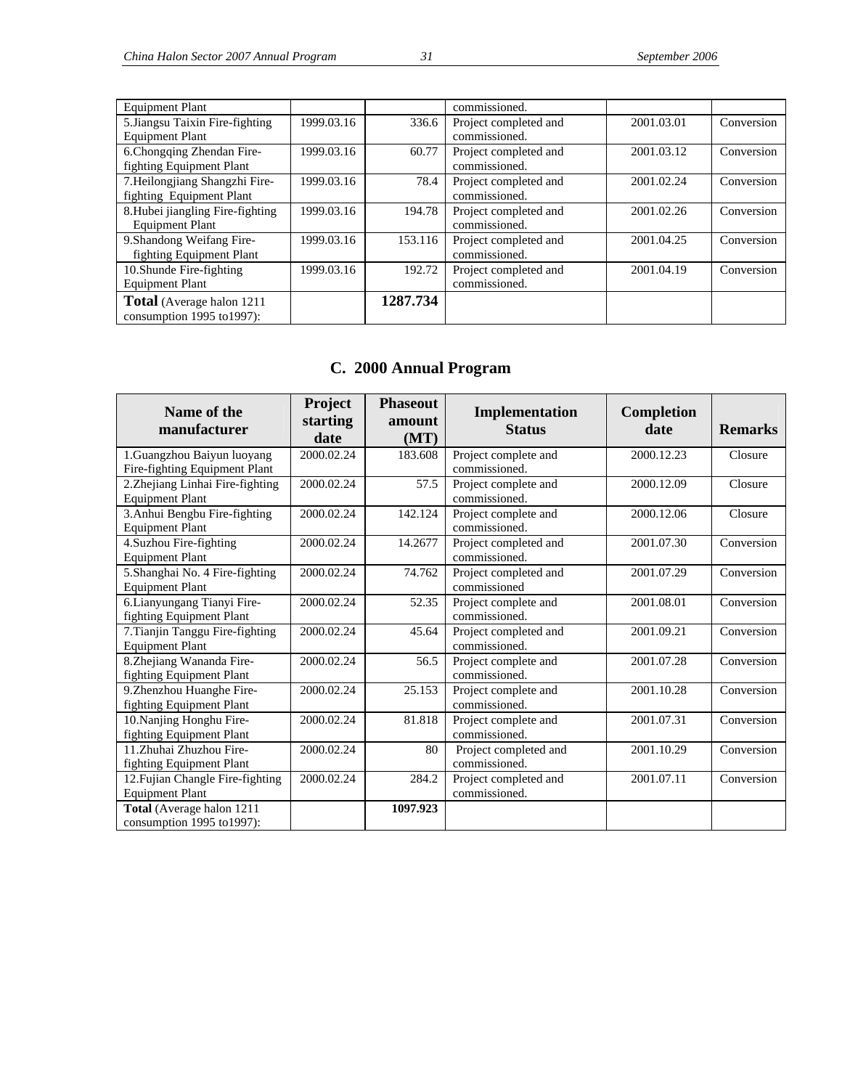| <b>Equipment Plant</b>           |            |          | commissioned.         |            |            |
|----------------------------------|------------|----------|-----------------------|------------|------------|
| 5. Jiangsu Taixin Fire-fighting  | 1999.03.16 | 336.6    | Project completed and | 2001.03.01 | Conversion |
| <b>Equipment Plant</b>           |            |          | commissioned.         |            |            |
| 6. Chongqing Zhendan Fire-       | 1999.03.16 | 60.77    | Project completed and | 2001.03.12 | Conversion |
| fighting Equipment Plant         |            |          | commissioned.         |            |            |
| 7. Heilongjiang Shangzhi Fire-   | 1999.03.16 | 78.4     | Project completed and | 2001.02.24 | Conversion |
| fighting Equipment Plant         |            |          | commissioned.         |            |            |
| 8. Hubei jiangling Fire-fighting | 1999.03.16 | 194.78   | Project completed and | 2001.02.26 | Conversion |
| <b>Equipment Plant</b>           |            |          | commissioned.         |            |            |
| 9. Shandong Weifang Fire-        | 1999.03.16 | 153.116  | Project completed and | 2001.04.25 | Conversion |
| fighting Equipment Plant         |            |          | commissioned.         |            |            |
| 10. Shunde Fire-fighting         | 1999.03.16 | 192.72   | Project completed and | 2001.04.19 | Conversion |
| <b>Equipment Plant</b>           |            |          | commissioned.         |            |            |
| Total (Average halon 1211        |            | 1287.734 |                       |            |            |
| consumption 1995 to 1997):       |            |          |                       |            |            |

## **C. 2000 Annual Program**

| Name of the<br>manufacturer                                 | Project<br>starting<br>date | <b>Phaseout</b><br>amount<br>(MT) | Implementation<br><b>Status</b>        | Completion<br>date | <b>Remarks</b> |
|-------------------------------------------------------------|-----------------------------|-----------------------------------|----------------------------------------|--------------------|----------------|
| 1.Guangzhou Baiyun luoyang<br>Fire-fighting Equipment Plant | 2000.02.24                  | 183.608                           | Project complete and<br>commissioned.  | 2000.12.23         | Closure        |
| 2. Zhejiang Linhai Fire-fighting<br><b>Equipment Plant</b>  | 2000.02.24                  | 57.5                              | Project complete and<br>commissioned.  | 2000.12.09         | Closure        |
| 3. Anhui Bengbu Fire-fighting<br><b>Equipment Plant</b>     | 2000.02.24                  | 142.124                           | Project complete and<br>commissioned.  | 2000.12.06         | Closure        |
| 4. Suzhou Fire-fighting<br><b>Equipment Plant</b>           | 2000.02.24                  | 14.2677                           | Project completed and<br>commissioned. | 2001.07.30         | Conversion     |
| 5.Shanghai No. 4 Fire-fighting<br><b>Equipment Plant</b>    | 2000.02.24                  | 74.762                            | Project completed and<br>commissioned  | 2001.07.29         | Conversion     |
| 6. Lianyungang Tianyi Fire-<br>fighting Equipment Plant     | 2000.02.24                  | 52.35                             | Project complete and<br>commissioned.  | 2001.08.01         | Conversion     |
| 7. Tianjin Tanggu Fire-fighting<br><b>Equipment Plant</b>   | 2000.02.24                  | 45.64                             | Project completed and<br>commissioned. | 2001.09.21         | Conversion     |
| 8.Zhejiang Wananda Fire-<br>fighting Equipment Plant        | 2000.02.24                  | 56.5                              | Project complete and<br>commissioned.  | 2001.07.28         | Conversion     |
| 9.Zhenzhou Huanghe Fire-<br>fighting Equipment Plant        | 2000.02.24                  | 25.153                            | Project complete and<br>commissioned.  | 2001.10.28         | Conversion     |
| 10. Nanjing Honghu Fire-<br>fighting Equipment Plant        | 2000.02.24                  | 81.818                            | Project complete and<br>commissioned.  | 2001.07.31         | Conversion     |
| 11.Zhuhai Zhuzhou Fire-<br>fighting Equipment Plant         | 2000.02.24                  | 80                                | Project completed and<br>commissioned. | 2001.10.29         | Conversion     |
| 12. Fujian Changle Fire-fighting<br><b>Equipment Plant</b>  | 2000.02.24                  | 284.2                             | Project completed and<br>commissioned. | 2001.07.11         | Conversion     |
| Total (Average halon 1211<br>consumption 1995 to 1997):     |                             | 1097.923                          |                                        |                    |                |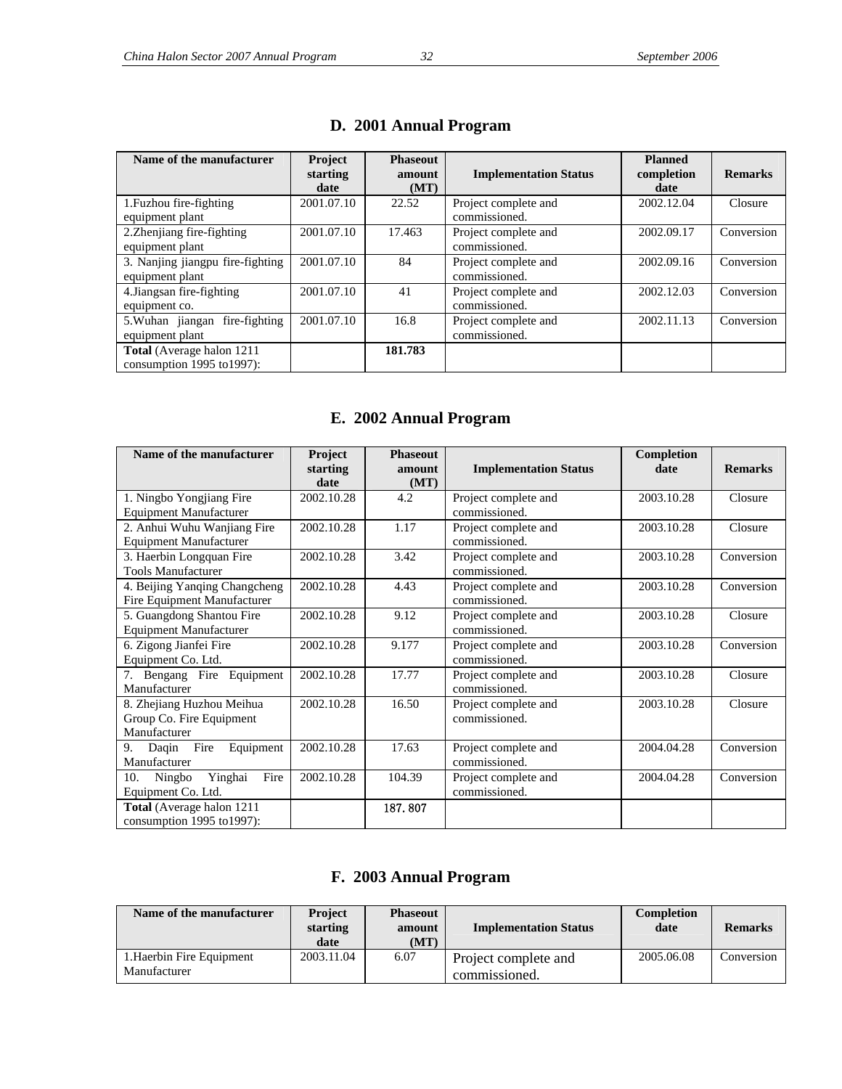| Name of the manufacturer                                            | Project<br>starting<br>date | <b>Phaseout</b><br>amount<br>(MT) | <b>Implementation Status</b>          | <b>Planned</b><br>completion<br>date | <b>Remarks</b> |
|---------------------------------------------------------------------|-----------------------------|-----------------------------------|---------------------------------------|--------------------------------------|----------------|
| 1. Fuzhou fire-fighting<br>equipment plant                          | 2001.07.10                  | 22.52                             | Project complete and<br>commissioned. | 2002.12.04                           | Closure        |
| 2. Zhenjiang fire-fighting<br>equipment plant                       | 2001.07.10                  | 17.463                            | Project complete and<br>commissioned. | 2002.09.17                           | Conversion     |
| 3. Nanjing jiangpu fire-fighting<br>equipment plant                 | 2001.07.10                  | 84                                | Project complete and<br>commissioned. | 2002.09.16                           | Conversion     |
| 4. Jiangsan fire-fighting<br>equipment co.                          | 2001.07.10                  | 41                                | Project complete and<br>commissioned. | 2002.12.03                           | Conversion     |
| 5. Wuhan jiangan fire-fighting<br>equipment plant                   | 2001.07.10                  | 16.8                              | Project complete and<br>commissioned. | 2002.11.13                           | Conversion     |
| <b>Total</b> (Average halon 1211)<br>consumption $1995$ to $1997$ : |                             | 181.783                           |                                       |                                      |                |

#### **D. 2001 Annual Program**

## **E. 2002 Annual Program**

| Name of the manufacturer                                     | Project<br>starting | <b>Phaseout</b><br>amount | <b>Implementation Status</b>          | Completion<br>date | <b>Remarks</b> |
|--------------------------------------------------------------|---------------------|---------------------------|---------------------------------------|--------------------|----------------|
|                                                              | date                | (MT)                      |                                       |                    |                |
| 1. Ningbo Yongjiang Fire                                     | 2002.10.28          | 4.2                       | Project complete and                  | 2003.10.28         | Closure        |
| <b>Equipment Manufacturer</b>                                |                     |                           | commissioned.                         |                    |                |
| 2. Anhui Wuhu Wanjiang Fire<br><b>Equipment Manufacturer</b> | 2002.10.28          | 1.17                      | Project complete and<br>commissioned. | 2003.10.28         | Closure        |
| 3. Haerbin Longquan Fire                                     | 2002.10.28          | 3.42                      | Project complete and                  | 2003.10.28         | Conversion     |
| <b>Tools Manufacturer</b>                                    |                     |                           | commissioned.                         |                    |                |
| 4. Beijing Yanqing Changcheng<br>Fire Equipment Manufacturer | 2002.10.28          | 4.43                      | Project complete and<br>commissioned. | 2003.10.28         | Conversion     |
| 5. Guangdong Shantou Fire                                    | 2002.10.28          | 9.12                      | Project complete and                  | 2003.10.28         | Closure        |
| <b>Equipment Manufacturer</b>                                |                     |                           | commissioned.                         |                    |                |
| 6. Zigong Jianfei Fire                                       | 2002.10.28          | 9.177                     | Project complete and                  | 2003.10.28         | Conversion     |
| Equipment Co. Ltd.                                           |                     |                           | commissioned.                         |                    |                |
| 7. Bengang Fire Equipment<br>Manufacturer                    | 2002.10.28          | 17.77                     | Project complete and<br>commissioned. | 2003.10.28         | Closure        |
| 8. Zhejiang Huzhou Meihua                                    | 2002.10.28          | 16.50                     | Project complete and                  | 2003.10.28         | Closure        |
| Group Co. Fire Equipment                                     |                     |                           | commissioned.                         |                    |                |
| Manufacturer                                                 |                     |                           |                                       |                    |                |
| Equipment<br>Fire<br>Daqin<br>9.                             | 2002.10.28          | 17.63                     | Project complete and                  | 2004.04.28         | Conversion     |
| Manufacturer                                                 |                     |                           | commissioned.                         |                    |                |
| Fire<br>Yinghai<br>Ningbo<br>10.                             | 2002.10.28          | 104.39                    | Project complete and                  | 2004.04.28         | Conversion     |
| Equipment Co. Ltd.                                           |                     |                           | commissioned.                         |                    |                |
| Total (Average halon 1211                                    |                     | 187.807                   |                                       |                    |                |
| consumption $1995$ to $1997$ ):                              |                     |                           |                                       |                    |                |

#### **F. 2003 Annual Program**

| Name of the manufacturer                  | <b>Project</b><br>starting<br>date | <b>Phaseout</b><br>amount<br>(MT) | <b>Implementation Status</b>          | Completion<br>date | <b>Remarks</b> |
|-------------------------------------------|------------------------------------|-----------------------------------|---------------------------------------|--------------------|----------------|
| 1. Haerbin Fire Equipment<br>Manufacturer | 2003.11.04                         | 6.07                              | Project complete and<br>commissioned. | 2005.06.08         | Conversion     |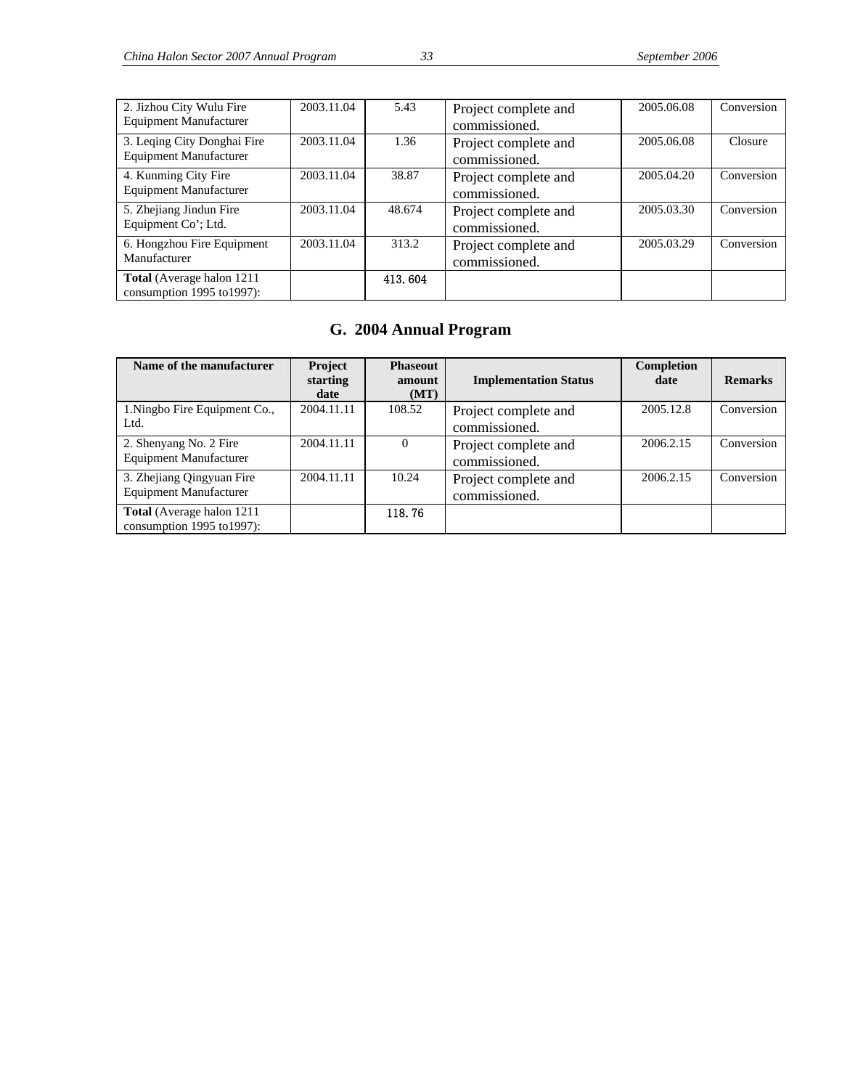| 2. Jizhou City Wulu Fire<br><b>Equipment Manufacturer</b>    | 2003.11.04 | 5.43    | Project complete and<br>commissioned. | 2005.06.08 | Conversion |
|--------------------------------------------------------------|------------|---------|---------------------------------------|------------|------------|
| 3. Leqing City Donghai Fire<br><b>Equipment Manufacturer</b> | 2003.11.04 | 1.36    | Project complete and<br>commissioned. | 2005.06.08 | Closure    |
| 4. Kunming City Fire<br><b>Equipment Manufacturer</b>        | 2003.11.04 | 38.87   | Project complete and<br>commissioned. | 2005.04.20 | Conversion |
| 5. Zhejiang Jindun Fire<br>Equipment Co'; Ltd.               | 2003.11.04 | 48.674  | Project complete and<br>commissioned. | 2005.03.30 | Conversion |
| 6. Hongzhou Fire Equipment<br>Manufacturer                   | 2003.11.04 | 313.2   | Project complete and<br>commissioned. | 2005.03.29 | Conversion |
| Total (Average halon 1211<br>consumption 1995 to 1997):      |            | 413.604 |                                       |            |            |

## **G. 2004 Annual Program**

| Name of the manufacturer                                    | Project<br>starting<br>date | <b>Phaseout</b><br>amount<br>(MT) | <b>Implementation Status</b>          | Completion<br>date | <b>Remarks</b> |
|-------------------------------------------------------------|-----------------------------|-----------------------------------|---------------------------------------|--------------------|----------------|
| 1. Ningbo Fire Equipment Co.,<br>Ltd.                       | 2004.11.11                  | 108.52                            | Project complete and<br>commissioned. | 2005.12.8          | Conversion     |
| 2. Shenyang No. 2 Fire<br><b>Equipment Manufacturer</b>     | 2004.11.11                  | $\Omega$                          | Project complete and<br>commissioned. | 2006.2.15          | Conversion     |
| 3. Zhejiang Qingyuan Fire<br><b>Equipment Manufacturer</b>  | 2004.11.11                  | 10.24                             | Project complete and<br>commissioned. | 2006.2.15          | Conversion     |
| Total (Average halon 1211<br>consumption $1995$ to $1997$ : |                             | 118.76                            |                                       |                    |                |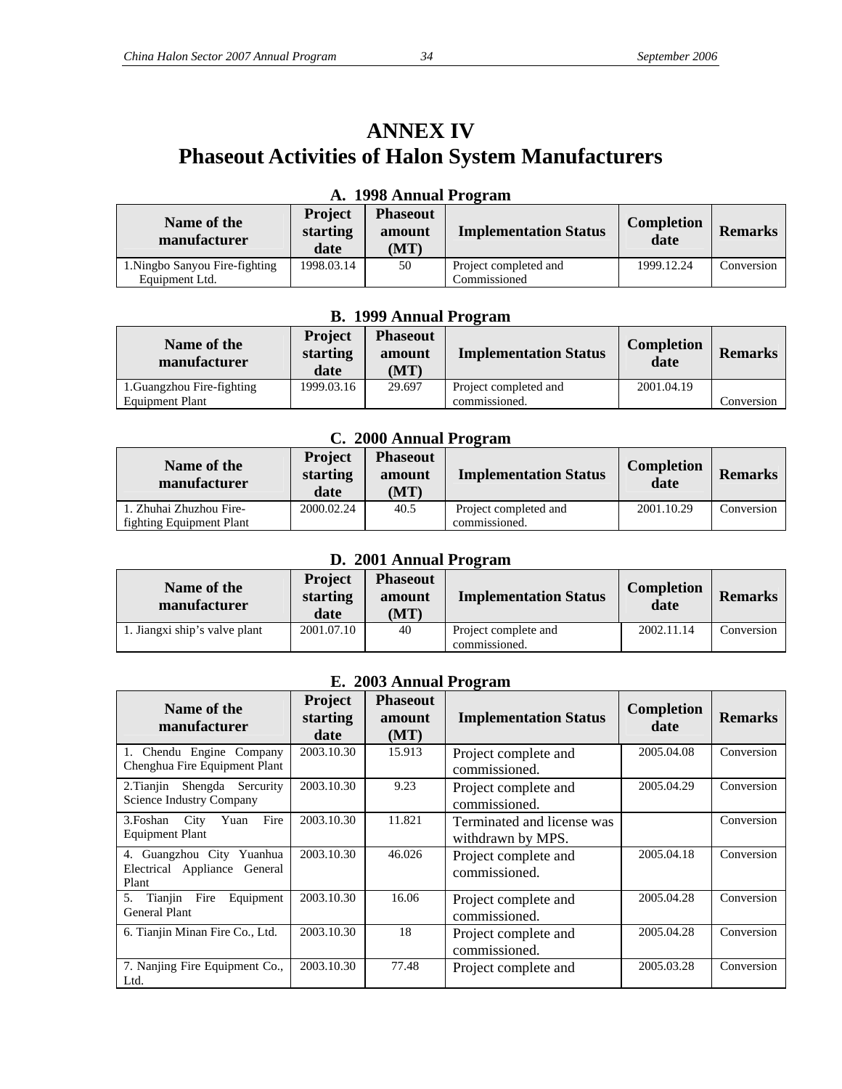## **ANNEX IV Phaseout Activities of Halon System Manufacturers**

| Name of the<br>manufacturer    | <b>Project</b><br>starting<br>date | <b>Phaseout</b><br>amount<br>(MT) | <b>Implementation Status</b> | <b>Completion</b><br>date | <b>Remarks</b> |
|--------------------------------|------------------------------------|-----------------------------------|------------------------------|---------------------------|----------------|
| 1. Ningbo Sanyou Fire-fighting | 1998.03.14                         | 50                                | Project completed and        | 1999.12.24                | Conversion     |
| Equipment Ltd.                 |                                    |                                   | Commissioned                 |                           |                |

#### **A. 1998 Annual Program**

#### **B. 1999 Annual Program**

| Name of the<br>manufacturer | <b>Project</b><br>starting<br>date | <b>Phaseout</b><br>amount<br>(MT) | <b>Implementation Status</b> | Completion<br>date | <b>Remarks</b> |
|-----------------------------|------------------------------------|-----------------------------------|------------------------------|--------------------|----------------|
| 1. Guangzhou Fire-fighting  | 1999.03.16                         | 29.697                            | Project completed and        | 2001.04.19         |                |
| <b>Equipment Plant</b>      |                                    |                                   | commissioned.                |                    | Conversion     |

#### **C. 2000 Annual Program**

| Name of the<br>manufacturer | Project<br>starting<br>date | <b>Phaseout</b><br>amount<br>(MT) | <b>Implementation Status</b> | <b>Completion</b><br>date | <b>Remarks</b> |
|-----------------------------|-----------------------------|-----------------------------------|------------------------------|---------------------------|----------------|
| . Zhuhai Zhuzhou Fire-      | 2000.02.24                  | 40.5                              | Project completed and        | 2001.10.29                | Conversion     |
| fighting Equipment Plant    |                             |                                   | commissioned.                |                           |                |

#### **D. 2001 Annual Program**

| Name of the<br>manufacturer   | <b>Project</b><br>starting<br>date | <b>Phaseout</b><br>amount<br>(MT) | <b>Implementation Status</b>          | Completion<br>date | <b>Remarks</b> |
|-------------------------------|------------------------------------|-----------------------------------|---------------------------------------|--------------------|----------------|
| 1. Jiangxi ship's valve plant | 2001.07.10                         | 40                                | Project complete and<br>commissioned. | 2002.11.14         | Conversion     |

#### **E. 2003 Annual Program**

| Name of the<br>manufacturer<br>1. Chendu Engine Company            | <b>Project</b><br>starting<br>date<br>2003.10.30 | <b>Phaseout</b><br>amount<br>(MT)<br>15.913 | <b>Implementation Status</b>                    | Completion<br>date<br>2005.04.08 | <b>Remarks</b><br>Conversion |
|--------------------------------------------------------------------|--------------------------------------------------|---------------------------------------------|-------------------------------------------------|----------------------------------|------------------------------|
| Chenghua Fire Equipment Plant                                      |                                                  |                                             | Project complete and<br>commissioned.           |                                  |                              |
| 2. Tianjin Shengda Sercurity<br>Science Industry Company           | 2003.10.30                                       | 9.23                                        | Project complete and<br>commissioned.           | 2005.04.29                       | Conversion                   |
| Fire<br>City Yuan<br>3.Foshan<br><b>Equipment Plant</b>            | 2003.10.30                                       | 11.821                                      | Terminated and license was<br>withdrawn by MPS. |                                  | Conversion                   |
| 4. Guangzhou City Yuanhua<br>Electrical Appliance General<br>Plant | 2003.10.30                                       | 46.026                                      | Project complete and<br>commissioned.           | 2005.04.18                       | Conversion                   |
| Tianjin Fire<br>Equipment<br>5.<br><b>General Plant</b>            | 2003.10.30                                       | 16.06                                       | Project complete and<br>commissioned.           | 2005.04.28                       | Conversion                   |
| 6. Tianjin Minan Fire Co., Ltd.                                    | 2003.10.30                                       | 18                                          | Project complete and<br>commissioned.           | 2005.04.28                       | Conversion                   |
| 7. Nanjing Fire Equipment Co.,<br>Ltd.                             | 2003.10.30                                       | 77.48                                       | Project complete and                            | 2005.03.28                       | Conversion                   |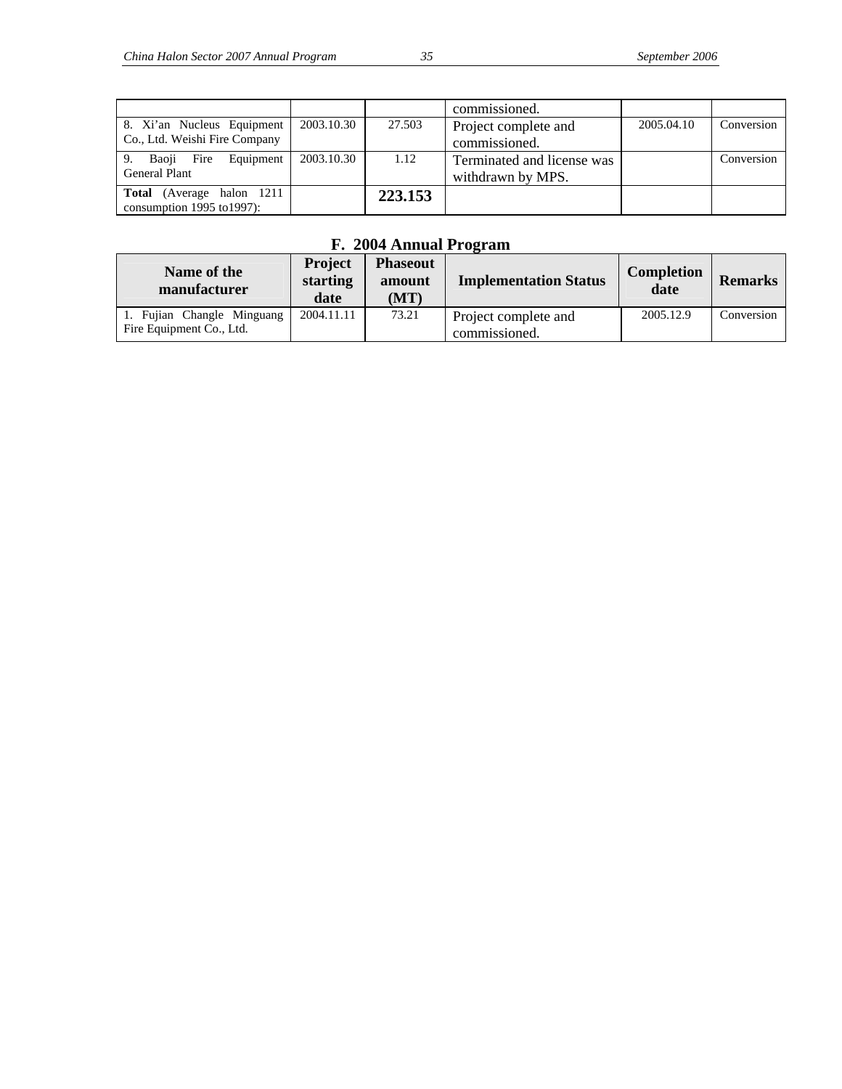|                                   |            |         | commissioned.              |            |            |
|-----------------------------------|------------|---------|----------------------------|------------|------------|
| 8. Xi'an Nucleus Equipment        | 2003.10.30 | 27.503  | Project complete and       | 2005.04.10 | Conversion |
| Co., Ltd. Weishi Fire Company     |            |         | commissioned.              |            |            |
| Baoji Fire<br>Equipment<br>9.     | 2003.10.30 | 1.12    | Terminated and license was |            | Conversion |
| <b>General Plant</b>              |            |         | withdrawn by MPS.          |            |            |
| <b>Total</b> (Average halon 1211) |            | 223.153 |                            |            |            |
| consumption $1995$ to $1997$ ):   |            |         |                            |            |            |

## **F. 2004 Annual Program**

| Name of the<br>manufacturer                            | <b>Project</b><br>starting<br>date | <b>Phaseout</b><br>amount<br>(MT) | <b>Implementation Status</b>          | <b>Completion</b><br>date | <b>Remarks</b> |
|--------------------------------------------------------|------------------------------------|-----------------------------------|---------------------------------------|---------------------------|----------------|
| 1. Fujian Changle Minguang<br>Fire Equipment Co., Ltd. | 2004.11.11                         | 73.21                             | Project complete and<br>commissioned. | 2005.12.9                 | Conversion     |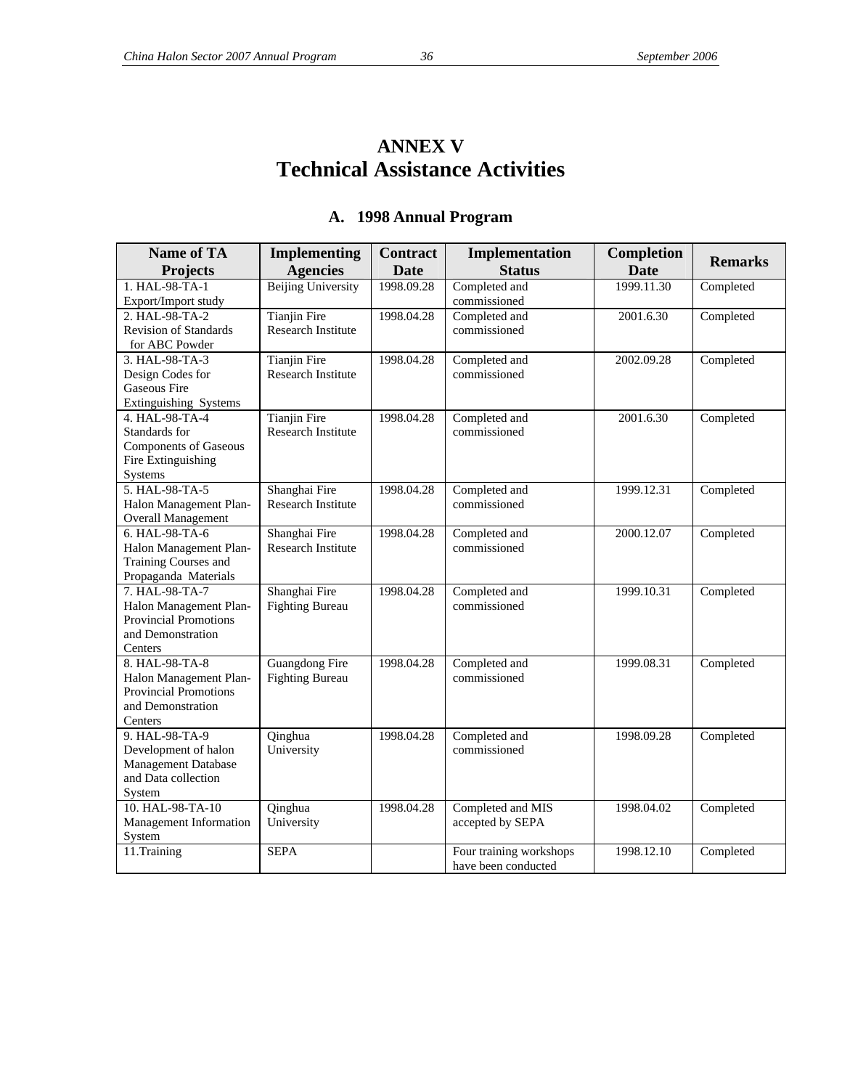## **ANNEX V Technical Assistance Activities**

| <b>Name of TA</b>            | Implementing              | <b>Contract</b> | Implementation                                 | Completion  | <b>Remarks</b> |
|------------------------------|---------------------------|-----------------|------------------------------------------------|-------------|----------------|
| <b>Projects</b>              | <b>Agencies</b>           | Date            | <b>Status</b>                                  | <b>Date</b> |                |
| 1. HAL-98-TA-1               | <b>Beijing University</b> | 1998.09.28      | Completed and                                  | 1999.11.30  | Completed      |
| Export/Import study          |                           |                 | commissioned                                   |             |                |
| 2. HAL-98-TA-2               | <b>Tianjin Fire</b>       | 1998.04.28      | Completed and                                  | 2001.6.30   | Completed      |
| <b>Revision of Standards</b> | Research Institute        |                 | commissioned                                   |             |                |
| for ABC Powder               |                           |                 |                                                |             |                |
| 3. HAL-98-TA-3               | <b>Tianjin Fire</b>       | 1998.04.28      | Completed and                                  | 2002.09.28  | Completed      |
| Design Codes for             | <b>Research Institute</b> |                 | commissioned                                   |             |                |
| <b>Gaseous Fire</b>          |                           |                 |                                                |             |                |
| Extinguishing Systems        |                           |                 |                                                |             |                |
| 4. HAL-98-TA-4               | <b>Tianjin Fire</b>       | 1998.04.28      | Completed and                                  | 2001.6.30   | Completed      |
| Standards for                | <b>Research Institute</b> |                 | commissioned                                   |             |                |
| <b>Components of Gaseous</b> |                           |                 |                                                |             |                |
| Fire Extinguishing           |                           |                 |                                                |             |                |
| Systems                      |                           |                 |                                                |             |                |
| 5. HAL-98-TA-5               | Shanghai Fire             | 1998.04.28      | Completed and                                  | 1999.12.31  | Completed      |
| Halon Management Plan-       | Research Institute        |                 | commissioned                                   |             |                |
| <b>Overall Management</b>    |                           |                 |                                                |             |                |
| $6. HAL-98-TA-6$             | Shanghai Fire             | 1998.04.28      | Completed and                                  | 2000.12.07  | Completed      |
| Halon Management Plan-       | <b>Research Institute</b> |                 | commissioned                                   |             |                |
| Training Courses and         |                           |                 |                                                |             |                |
| Propaganda Materials         |                           |                 |                                                |             |                |
| 7. HAL-98-TA-7               | Shanghai Fire             | 1998.04.28      | Completed and                                  | 1999.10.31  | Completed      |
| Halon Management Plan-       | <b>Fighting Bureau</b>    |                 | commissioned                                   |             |                |
| Provincial Promotions        |                           |                 |                                                |             |                |
| and Demonstration            |                           |                 |                                                |             |                |
| Centers                      |                           |                 |                                                |             |                |
| 8. HAL-98-TA-8               | <b>Guangdong Fire</b>     | 1998.04.28      | Completed and                                  | 1999.08.31  | Completed      |
| Halon Management Plan-       | <b>Fighting Bureau</b>    |                 | commissioned                                   |             |                |
| <b>Provincial Promotions</b> |                           |                 |                                                |             |                |
| and Demonstration            |                           |                 |                                                |             |                |
| Centers                      |                           |                 |                                                |             |                |
| 9. HAL-98-TA-9               | Qinghua                   | 1998.04.28      | Completed and                                  | 1998.09.28  | Completed      |
| Development of halon         | University                |                 | commissioned                                   |             |                |
| Management Database          |                           |                 |                                                |             |                |
| and Data collection          |                           |                 |                                                |             |                |
| System                       |                           |                 |                                                |             |                |
| 10. HAL-98-TA-10             | Qinghua                   | 1998.04.28      | Completed and MIS                              | 1998.04.02  | Completed      |
| Management Information       | University                |                 | accepted by SEPA                               |             |                |
| System                       |                           |                 |                                                |             |                |
| 11.Training                  | <b>SEPA</b>               |                 | Four training workshops<br>have been conducted | 1998.12.10  | Completed      |

## **A. 1998 Annual Program**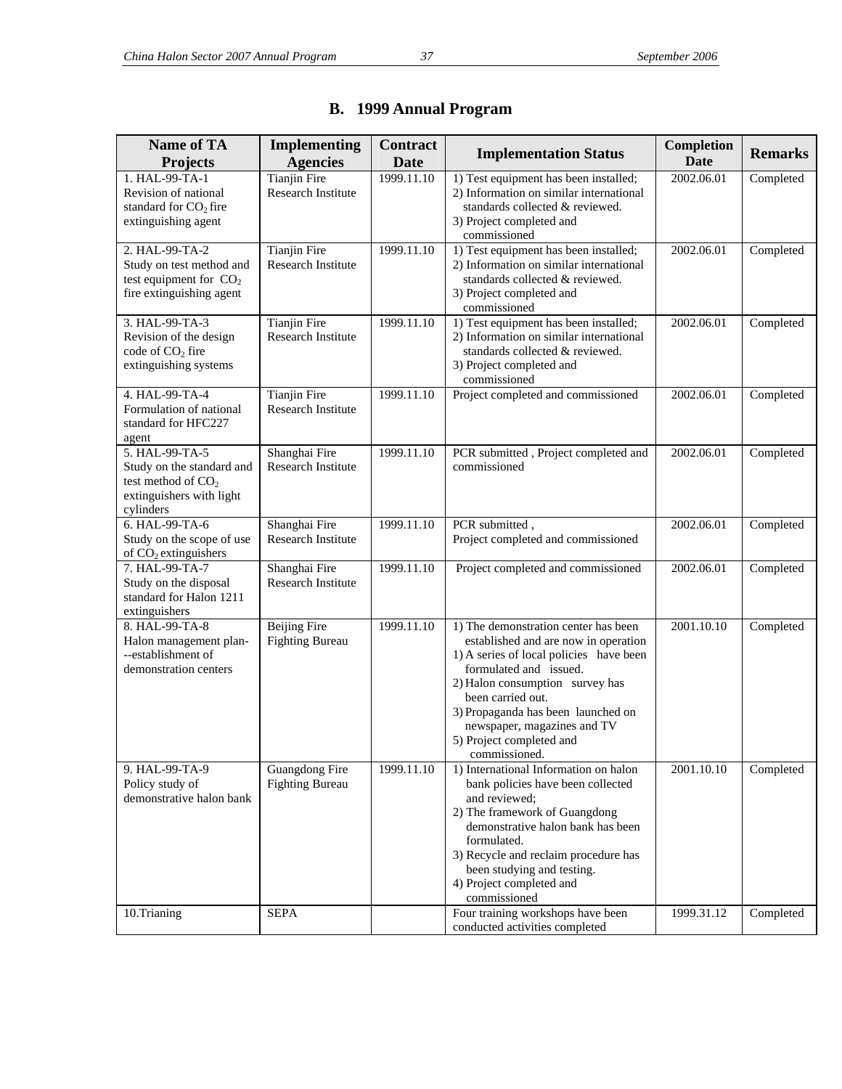| <b>Name of TA</b><br><b>Projects</b>                                                                         | <b>Implementing</b><br><b>Agencies</b>           | <b>Contract</b><br>Date | <b>Implementation Status</b>                                                                                                                                                                                                                                                                                                | Completion<br>Date | <b>Remarks</b> |
|--------------------------------------------------------------------------------------------------------------|--------------------------------------------------|-------------------------|-----------------------------------------------------------------------------------------------------------------------------------------------------------------------------------------------------------------------------------------------------------------------------------------------------------------------------|--------------------|----------------|
| 1. HAL-99-TA-1<br>Revision of national<br>standard for $CO2$ fire<br>extinguishing agent                     | <b>Tianjin Fire</b><br>Research Institute        | 1999.11.10              | 1) Test equipment has been installed;<br>2) Information on similar international<br>standards collected & reviewed.<br>3) Project completed and<br>commissioned                                                                                                                                                             | 2002.06.01         | Completed      |
| 2. HAL-99-TA-2<br>Study on test method and<br>test equipment for $CO2$<br>fire extinguishing agent           | <b>Tianjin Fire</b><br><b>Research Institute</b> | 1999.11.10              | 1) Test equipment has been installed;<br>2) Information on similar international<br>standards collected & reviewed.<br>3) Project completed and<br>commissioned                                                                                                                                                             | 2002.06.01         | Completed      |
| 3. HAL-99-TA-3<br>Revision of the design<br>code of CO <sub>2</sub> fire<br>extinguishing systems            | <b>Tianjin Fire</b><br>Research Institute        | 1999.11.10              | 1) Test equipment has been installed;<br>2) Information on similar international<br>standards collected & reviewed.<br>3) Project completed and<br>commissioned                                                                                                                                                             | 2002.06.01         | Completed      |
| 4. HAL-99-TA-4<br>Formulation of national<br>standard for HFC227<br>agent                                    | <b>Tianjin Fire</b><br><b>Research Institute</b> | 1999.11.10              | Project completed and commissioned                                                                                                                                                                                                                                                                                          | 2002.06.01         | Completed      |
| 5. HAL-99-TA-5<br>Study on the standard and<br>test method of $CO2$<br>extinguishers with light<br>cylinders | Shanghai Fire<br>Research Institute              | 1999.11.10              | PCR submitted, Project completed and<br>commissioned                                                                                                                                                                                                                                                                        | 2002.06.01         | Completed      |
| 6. HAL-99-TA-6<br>Study on the scope of use<br>of $CO2$ extinguishers                                        | Shanghai Fire<br><b>Research Institute</b>       | 1999.11.10              | PCR submitted,<br>Project completed and commissioned                                                                                                                                                                                                                                                                        | 2002.06.01         | Completed      |
| 7. HAL-99-TA-7<br>Study on the disposal<br>standard for Halon 1211<br>extinguishers                          | Shanghai Fire<br>Research Institute              | 1999.11.10              | Project completed and commissioned                                                                                                                                                                                                                                                                                          | 2002.06.01         | Completed      |
| 8. HAL-99-TA-8<br>Halon management plan-<br>--establishment of<br>demonstration centers                      | <b>Beijing Fire</b><br><b>Fighting Bureau</b>    | 1999.11.10              | 1) The demonstration center has been<br>established and are now in operation<br>1) A series of local policies have been<br>formulated and issued.<br>2) Halon consumption survey has<br>been carried out.<br>3) Propaganda has been launched on<br>newspaper, magazines and TV<br>5) Project completed and<br>commissioned. | 2001.10.10         | Completed      |
| 9. HAL-99-TA-9<br>Policy study of<br>demonstrative halon bank                                                | Guangdong Fire<br><b>Fighting Bureau</b>         | 1999.11.10              | 1) International Information on halon<br>bank policies have been collected<br>and reviewed;<br>2) The framework of Guangdong<br>demonstrative halon bank has been<br>formulated.<br>3) Recycle and reclaim procedure has<br>been studying and testing.<br>4) Project completed and<br>commissioned                          | 2001.10.10         | Completed      |
| 10.Trianing                                                                                                  | <b>SEPA</b>                                      |                         | Four training workshops have been<br>conducted activities completed                                                                                                                                                                                                                                                         | 1999.31.12         | Completed      |

## **B. 1999 Annual Program**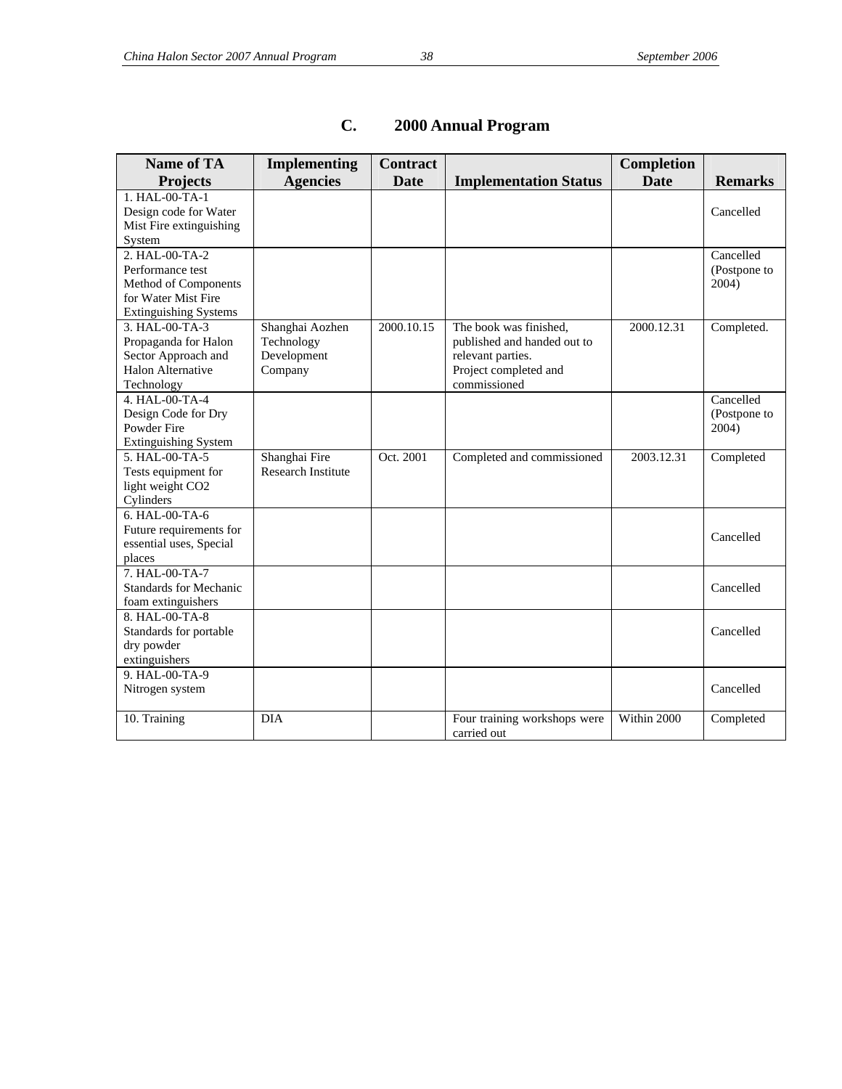| <b>Name of TA</b>            | <b>Implementing</b>       | <b>Contract</b> |                              | <b>Completion</b> |                |
|------------------------------|---------------------------|-----------------|------------------------------|-------------------|----------------|
| <b>Projects</b>              | <b>Agencies</b>           | <b>Date</b>     | <b>Implementation Status</b> | <b>Date</b>       | <b>Remarks</b> |
| 1. HAL-00-TA-1               |                           |                 |                              |                   |                |
| Design code for Water        |                           |                 |                              |                   | Cancelled      |
| Mist Fire extinguishing      |                           |                 |                              |                   |                |
| System                       |                           |                 |                              |                   |                |
| 2. HAL-00-TA-2               |                           |                 |                              |                   | Cancelled      |
| Performance test             |                           |                 |                              |                   | (Postpone to   |
| Method of Components         |                           |                 |                              |                   | 2004)          |
| for Water Mist Fire          |                           |                 |                              |                   |                |
| <b>Extinguishing Systems</b> |                           |                 |                              |                   |                |
| 3. HAL-00-TA-3               | Shanghai Aozhen           | 2000.10.15      | The book was finished,       | 2000.12.31        | Completed.     |
| Propaganda for Halon         | Technology                |                 | published and handed out to  |                   |                |
| Sector Approach and          | Development               |                 | relevant parties.            |                   |                |
| <b>Halon Alternative</b>     | Company                   |                 | Project completed and        |                   |                |
| Technology                   |                           |                 | commissioned                 |                   |                |
| 4. HAL-00-TA-4               |                           |                 |                              |                   | Cancelled      |
| Design Code for Dry          |                           |                 |                              |                   | (Postpone to   |
| Powder Fire                  |                           |                 |                              |                   | 2004)          |
| <b>Extinguishing System</b>  |                           |                 |                              |                   |                |
| 5. HAL-00-TA-5               | Shanghai Fire             | Oct. 2001       | Completed and commissioned   | 2003.12.31        | Completed      |
| Tests equipment for          | <b>Research Institute</b> |                 |                              |                   |                |
| light weight CO2             |                           |                 |                              |                   |                |
| Cylinders                    |                           |                 |                              |                   |                |
| 6. HAL-00-TA-6               |                           |                 |                              |                   |                |
| Future requirements for      |                           |                 |                              |                   | Cancelled      |
| essential uses, Special      |                           |                 |                              |                   |                |
| places<br>7. HAL-00-TA-7     |                           |                 |                              |                   |                |
| Standards for Mechanic       |                           |                 |                              |                   | Cancelled      |
| foam extinguishers           |                           |                 |                              |                   |                |
| 8. HAL-00-TA-8               |                           |                 |                              |                   |                |
| Standards for portable       |                           |                 |                              |                   | Cancelled      |
| dry powder                   |                           |                 |                              |                   |                |
| extinguishers                |                           |                 |                              |                   |                |
| 9. HAL-00-TA-9               |                           |                 |                              |                   |                |
| Nitrogen system              |                           |                 |                              |                   | Cancelled      |
|                              |                           |                 |                              |                   |                |
| 10. Training                 | <b>DIA</b>                |                 | Four training workshops were | Within 2000       | Completed      |
|                              |                           |                 | carried out                  |                   |                |

## **C. 2000 Annual Program**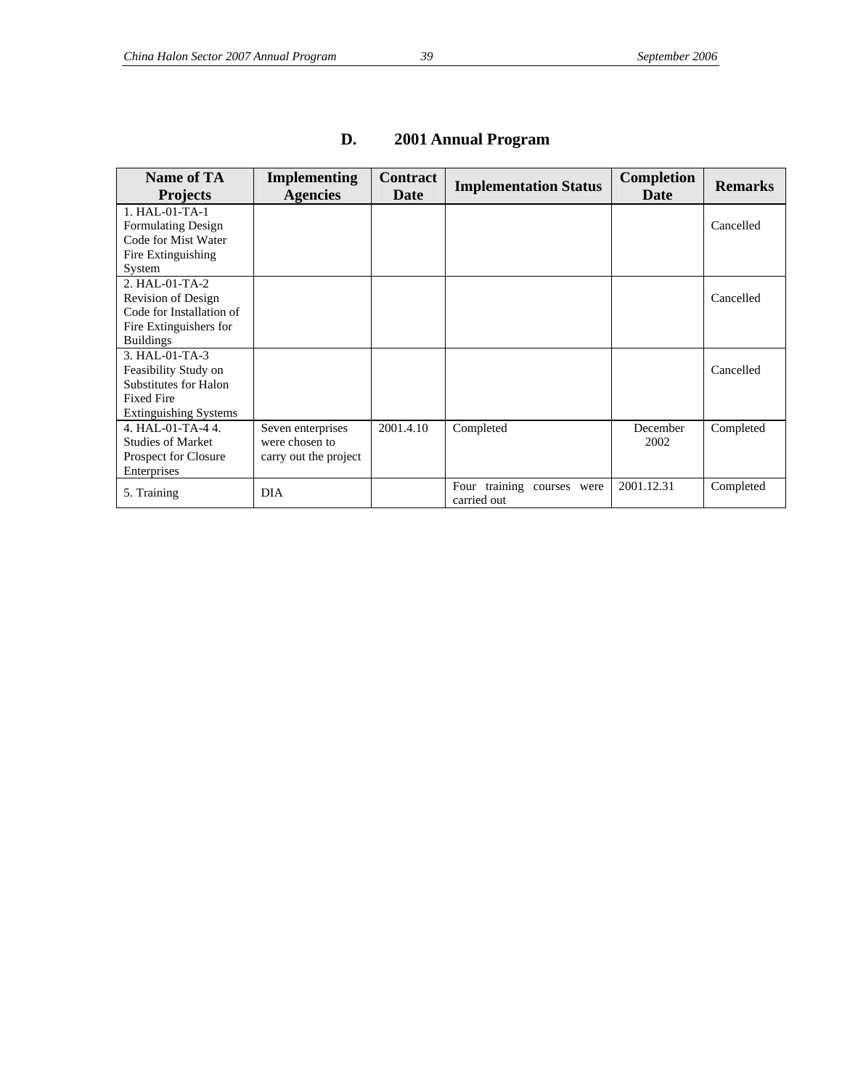| Name of TA<br><b>Projects</b>                                                                                               | <b>Implementing</b><br><b>Agencies</b>                       | <b>Contract</b><br><b>Date</b> | <b>Implementation Status</b>              | <b>Completion</b><br><b>Date</b> | <b>Remarks</b> |
|-----------------------------------------------------------------------------------------------------------------------------|--------------------------------------------------------------|--------------------------------|-------------------------------------------|----------------------------------|----------------|
| 1. HAL-01-TA-1<br><b>Formulating Design</b><br>Code for Mist Water<br>Fire Extinguishing<br>System                          |                                                              |                                |                                           |                                  | Cancelled      |
| $2. HAI - 01-TA - 2$<br><b>Revision of Design</b><br>Code for Installation of<br>Fire Extinguishers for<br><b>Buildings</b> |                                                              |                                |                                           |                                  | Cancelled      |
| $3. HAL-01-TA-3$<br>Feasibility Study on<br>Substitutes for Halon<br><b>Fixed Fire</b><br><b>Extinguishing Systems</b>      |                                                              |                                |                                           |                                  | Cancelled      |
| 4. HAL- $01$ -TA-44.<br><b>Studies of Market</b><br>Prospect for Closure<br>Enterprises                                     | Seven enterprises<br>were chosen to<br>carry out the project | 2001.4.10                      | Completed                                 | December<br>2002                 | Completed      |
| 5. Training                                                                                                                 | <b>DIA</b>                                                   |                                | Four training courses were<br>carried out | 2001.12.31                       | Completed      |

## **D. 2001 Annual Program**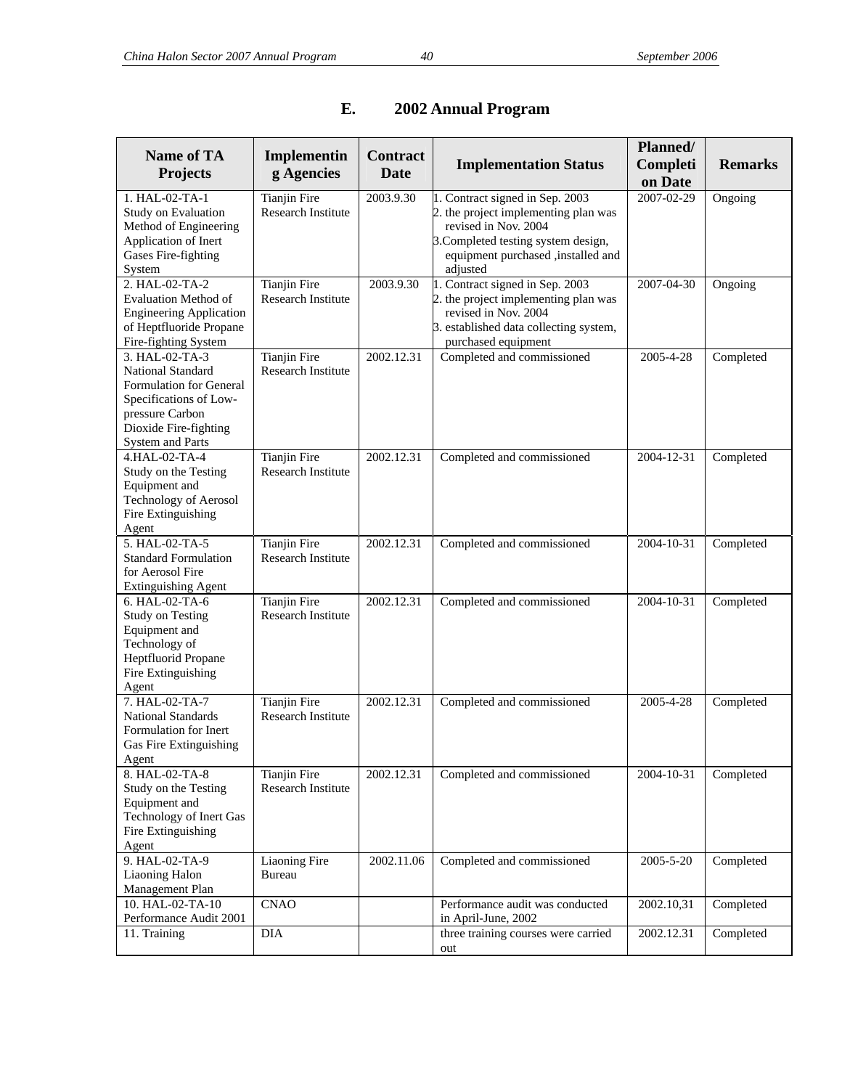| <b>Name of TA</b>                                                                                                                                                      | Implementin<br>g Agencies                        | <b>Contract</b><br>Date | <b>Implementation Status</b>                                                                                                                                                             | Planned/<br>Completi | <b>Remarks</b> |
|------------------------------------------------------------------------------------------------------------------------------------------------------------------------|--------------------------------------------------|-------------------------|------------------------------------------------------------------------------------------------------------------------------------------------------------------------------------------|----------------------|----------------|
| <b>Projects</b>                                                                                                                                                        |                                                  |                         |                                                                                                                                                                                          | on Date              |                |
| 1. HAL-02-TA-1<br>Study on Evaluation<br>Method of Engineering<br>Application of Inert<br>Gases Fire-fighting<br>System                                                | <b>Tianjin Fire</b><br>Research Institute        | 2003.9.30               | 1. Contract signed in Sep. 2003<br>2. the project implementing plan was<br>revised in Nov. 2004<br>3. Completed testing system design,<br>equipment purchased ,installed and<br>adjusted | 2007-02-29           | Ongoing        |
| 2. HAL-02-TA-2<br><b>Evaluation Method of</b><br><b>Engineering Application</b><br>of Heptfluoride Propane<br>Fire-fighting System                                     | <b>Tianjin Fire</b><br><b>Research Institute</b> | 2003.9.30               | 1. Contract signed in Sep. 2003<br>2. the project implementing plan was<br>revised in Nov. 2004<br>3. established data collecting system,<br>purchased equipment                         | 2007-04-30           | Ongoing        |
| 3. HAL-02-TA-3<br>National Standard<br><b>Formulation for General</b><br>Specifications of Low-<br>pressure Carbon<br>Dioxide Fire-fighting<br><b>System and Parts</b> | Tianjin Fire<br><b>Research Institute</b>        | 2002.12.31              | Completed and commissioned                                                                                                                                                               | 2005-4-28            | Completed      |
| 4.HAL-02-TA-4<br>Study on the Testing<br>Equipment and<br>Technology of Aerosol<br>Fire Extinguishing<br>Agent                                                         | <b>Tianjin Fire</b><br><b>Research Institute</b> | 2002.12.31              | Completed and commissioned                                                                                                                                                               | 2004-12-31           | Completed      |
| 5. HAL-02-TA-5<br><b>Standard Formulation</b><br>for Aerosol Fire<br><b>Extinguishing Agent</b>                                                                        | <b>Tianjin Fire</b><br><b>Research Institute</b> | 2002.12.31              | Completed and commissioned                                                                                                                                                               | 2004-10-31           | Completed      |
| 6. HAL-02-TA-6<br><b>Study on Testing</b><br>Equipment and<br>Technology of<br>Heptfluorid Propane<br>Fire Extinguishing<br>Agent                                      | <b>Tianjin Fire</b><br><b>Research Institute</b> | 2002.12.31              | Completed and commissioned                                                                                                                                                               | 2004-10-31           | Completed      |
| 7. HAL-02-TA-7<br><b>National Standards</b><br>Formulation for Inert<br>Gas Fire Extinguishing<br>Agent                                                                | <b>Tianjin Fire</b><br><b>Research Institute</b> | 2002.12.31              | Completed and commissioned                                                                                                                                                               | 2005-4-28            | Completed      |
| 8. HAL-02-TA-8<br>Study on the Testing<br>Equipment and<br>Technology of Inert Gas<br>Fire Extinguishing<br>Agent                                                      | <b>Tianjin Fire</b><br>Research Institute        | 2002.12.31              | Completed and commissioned                                                                                                                                                               | 2004-10-31           | Completed      |
| 9. HAL-02-TA-9<br>Liaoning Halon<br>Management Plan                                                                                                                    | <b>Liaoning Fire</b><br><b>Bureau</b>            | 2002.11.06              | Completed and commissioned                                                                                                                                                               | 2005-5-20            | Completed      |
| 10. HAL-02-TA-10<br>Performance Audit 2001                                                                                                                             | <b>CNAO</b>                                      |                         | Performance audit was conducted<br>in April-June, 2002                                                                                                                                   | 2002.10,31           | Completed      |
| 11. Training                                                                                                                                                           | $\rm DIA$                                        |                         | three training courses were carried<br>out                                                                                                                                               | 2002.12.31           | Completed      |

## **E. 2002 Annual Program**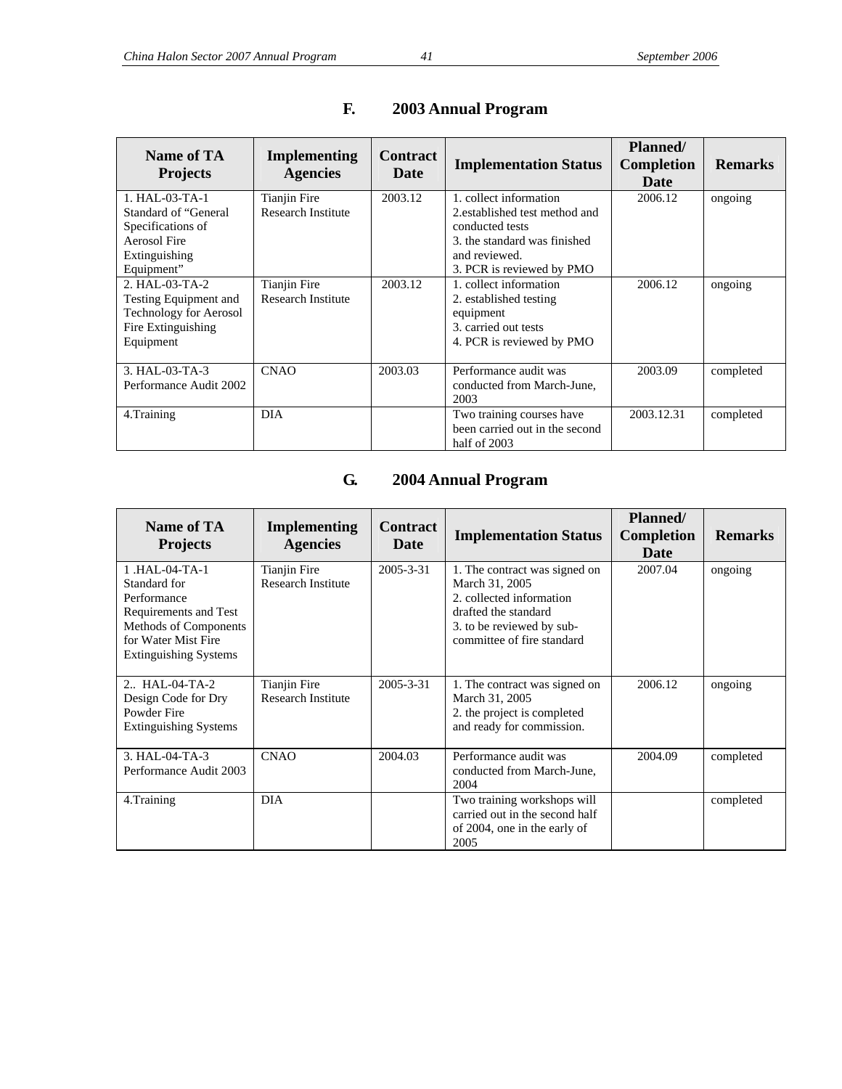| Name of TA<br><b>Projects</b>                                                                                      | Implementing<br><b>Agencies</b>           | <b>Contract</b><br>Date | <b>Implementation Status</b>                                                                                                                    | Planned/<br><b>Completion</b><br><b>Date</b> | <b>Remarks</b> |
|--------------------------------------------------------------------------------------------------------------------|-------------------------------------------|-------------------------|-------------------------------------------------------------------------------------------------------------------------------------------------|----------------------------------------------|----------------|
| $1. HAI - 03 - TA - 1$<br>Standard of "General<br>Specifications of<br><b>Aerosol Fire</b><br>Extinguishing        | Tianjin Fire<br><b>Research Institute</b> | 2003.12                 | 1. collect information<br>2. established test method and<br>conducted tests<br>3. the standard was finished<br>and reviewed.                    | 2006.12                                      | ongoing        |
| Equipment"<br>2. HAL-03-TA-2<br>Testing Equipment and<br>Technology for Aerosol<br>Fire Extinguishing<br>Equipment | Tianjin Fire<br><b>Research Institute</b> | 2003.12                 | 3. PCR is reviewed by PMO<br>1. collect information<br>2. established testing<br>equipment<br>3. carried out tests<br>4. PCR is reviewed by PMO | 2006.12                                      | ongoing        |
| 3. HAL-03-TA-3<br>Performance Audit 2002                                                                           | <b>CNAO</b>                               | 2003.03                 | Performance audit was<br>conducted from March-June,<br>2003                                                                                     | 2003.09                                      | completed      |
| 4. Training                                                                                                        | <b>DIA</b>                                |                         | Two training courses have<br>been carried out in the second<br>half of 2003                                                                     | 2003.12.31                                   | completed      |

## **F. 2003 Annual Program**

## **G. 2004 Annual Program**

| Name of TA<br><b>Projects</b>                                                                                                                         | <b>Implementing</b><br><b>Agencies</b>    | <b>Contract</b><br><b>Date</b> | <b>Implementation Status</b>                                                                                                                                   | <b>Planned/</b><br><b>Completion</b><br>Date | <b>Remarks</b> |
|-------------------------------------------------------------------------------------------------------------------------------------------------------|-------------------------------------------|--------------------------------|----------------------------------------------------------------------------------------------------------------------------------------------------------------|----------------------------------------------|----------------|
| 1.HAL-04-TA-1<br>Standard for<br>Performance<br>Requirements and Test<br>Methods of Components<br>for Water Mist Fire<br><b>Extinguishing Systems</b> | Tianjin Fire<br><b>Research Institute</b> | $2005 - 3 - 31$                | 1. The contract was signed on<br>March 31, 2005<br>2. collected information<br>drafted the standard<br>3. to be reviewed by sub-<br>committee of fire standard | 2007.04                                      | ongoing        |
| 2. HAL-04-TA-2<br>Design Code for Dry<br>Powder Fire<br><b>Extinguishing Systems</b>                                                                  | <b>Tianjin Fire</b><br>Research Institute | $2005 - 3 - 31$                | 1. The contract was signed on<br>March 31, 2005<br>2. the project is completed<br>and ready for commission.                                                    | 2006.12                                      | ongoing        |
| $3. HAI - 04-TA - 3$<br>Performance Audit 2003                                                                                                        | <b>CNAO</b>                               | 2004.03                        | Performance audit was<br>conducted from March-June,<br>2004                                                                                                    | 2004.09                                      | completed      |
| 4. Training                                                                                                                                           | <b>DIA</b>                                |                                | Two training workshops will<br>carried out in the second half<br>of 2004, one in the early of<br>2005                                                          |                                              | completed      |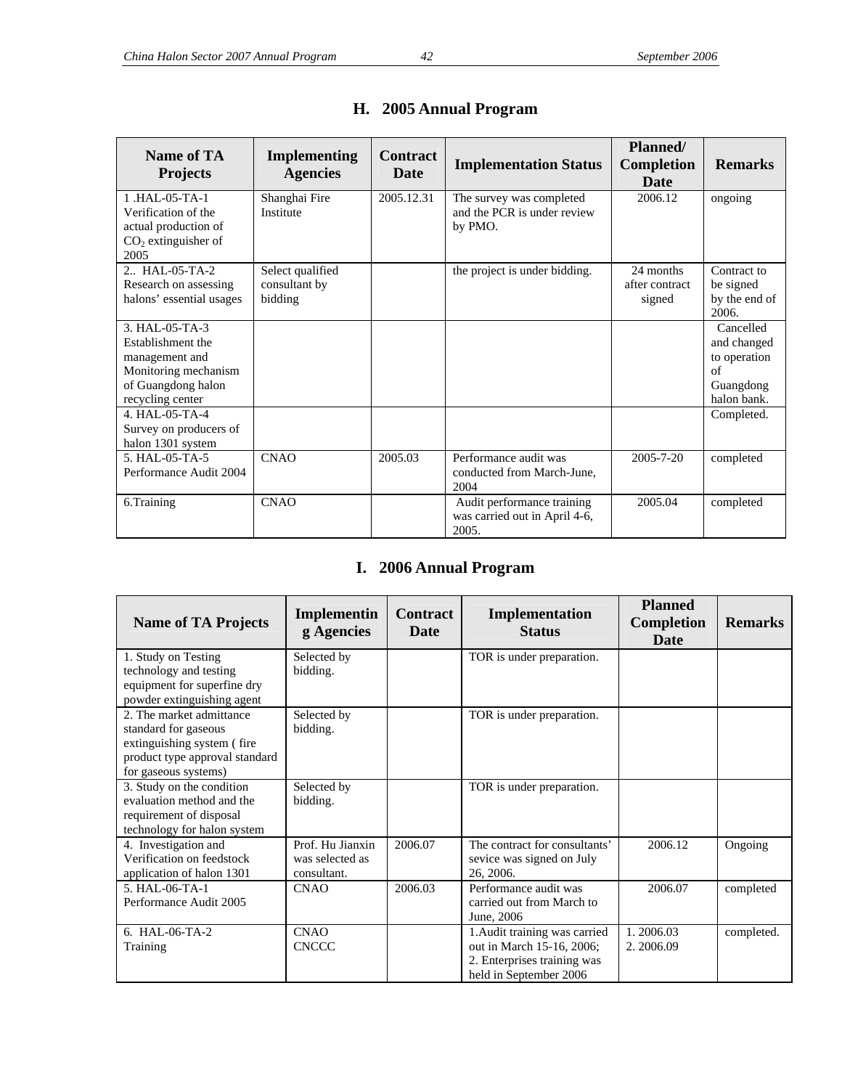| Name of TA<br><b>Projects</b>                                                                                           | <b>Implementing</b><br><b>Agencies</b>       | <b>Contract</b><br><b>Date</b> | <b>Implementation Status</b>                                         | <b>Planned/</b><br><b>Completion</b><br>Date | <b>Remarks</b>                                                             |
|-------------------------------------------------------------------------------------------------------------------------|----------------------------------------------|--------------------------------|----------------------------------------------------------------------|----------------------------------------------|----------------------------------------------------------------------------|
| 1.HAL-05-TA-1<br>Verification of the<br>actual production of<br>$CO2$ extinguisher of<br>2005                           | Shanghai Fire<br>Institute                   | 2005.12.31                     | The survey was completed<br>and the PCR is under review<br>by PMO.   | 2006.12                                      | ongoing                                                                    |
| 2. HAL-05-TA-2<br>Research on assessing<br>halons' essential usages                                                     | Select qualified<br>consultant by<br>bidding |                                | the project is under bidding.                                        | 24 months<br>after contract<br>signed        | Contract to<br>be signed<br>by the end of<br>2006.                         |
| 3. HAL-05-TA-3<br>Establishment the<br>management and<br>Monitoring mechanism<br>of Guangdong halon<br>recycling center |                                              |                                |                                                                      |                                              | Cancelled<br>and changed<br>to operation<br>of<br>Guangdong<br>halon bank. |
| 4. HAL-05-TA-4<br>Survey on producers of<br>halon 1301 system                                                           |                                              |                                |                                                                      |                                              | Completed.                                                                 |
| 5. HAL-05-TA-5<br>Performance Audit 2004                                                                                | <b>CNAO</b>                                  | 2005.03                        | Performance audit was<br>conducted from March-June,<br>2004          | $2005 - 7 - 20$                              | completed                                                                  |
| 6.Training                                                                                                              | <b>CNAO</b>                                  |                                | Audit performance training<br>was carried out in April 4-6,<br>2005. | 2005.04                                      | completed                                                                  |

## **H. 2005 Annual Program**

## **I. 2006 Annual Program**

| <b>Name of TA Projects</b>                                                                                                               | Implementin<br>g Agencies                          | <b>Contract</b><br>Date | Implementation<br><b>Status</b>                                                                                     | <b>Planned</b><br><b>Completion</b><br><b>Date</b> | <b>Remarks</b> |
|------------------------------------------------------------------------------------------------------------------------------------------|----------------------------------------------------|-------------------------|---------------------------------------------------------------------------------------------------------------------|----------------------------------------------------|----------------|
| 1. Study on Testing<br>technology and testing                                                                                            | Selected by<br>bidding.                            |                         | TOR is under preparation.                                                                                           |                                                    |                |
| equipment for superfine dry<br>powder extinguishing agent                                                                                |                                                    |                         |                                                                                                                     |                                                    |                |
| 2. The market admittance<br>standard for gaseous<br>extinguishing system (fire<br>product type approval standard<br>for gaseous systems) | Selected by<br>bidding.                            |                         | TOR is under preparation.                                                                                           |                                                    |                |
| 3. Study on the condition<br>evaluation method and the<br>requirement of disposal<br>technology for halon system                         | Selected by<br>bidding.                            |                         | TOR is under preparation.                                                                                           |                                                    |                |
| 4. Investigation and<br>Verification on feedstock<br>application of halon 1301                                                           | Prof. Hu Jianxin<br>was selected as<br>consultant. | 2006.07                 | The contract for consultants'<br>sevice was signed on July<br>26, 2006.                                             | 2006.12                                            | Ongoing        |
| 5. HAL-06-TA-1<br>Performance Audit 2005                                                                                                 | <b>CNAO</b>                                        | 2006.03                 | Performance audit was<br>carried out from March to<br>June, 2006                                                    | 2006.07                                            | completed      |
| $6. HAI-06-TA-2$<br>Training                                                                                                             | <b>CNAO</b><br><b>CNCCC</b>                        |                         | 1. Audit training was carried<br>out in March 15-16, 2006;<br>2. Enterprises training was<br>held in September 2006 | 1.2006.03<br>2.2006.09                             | completed.     |